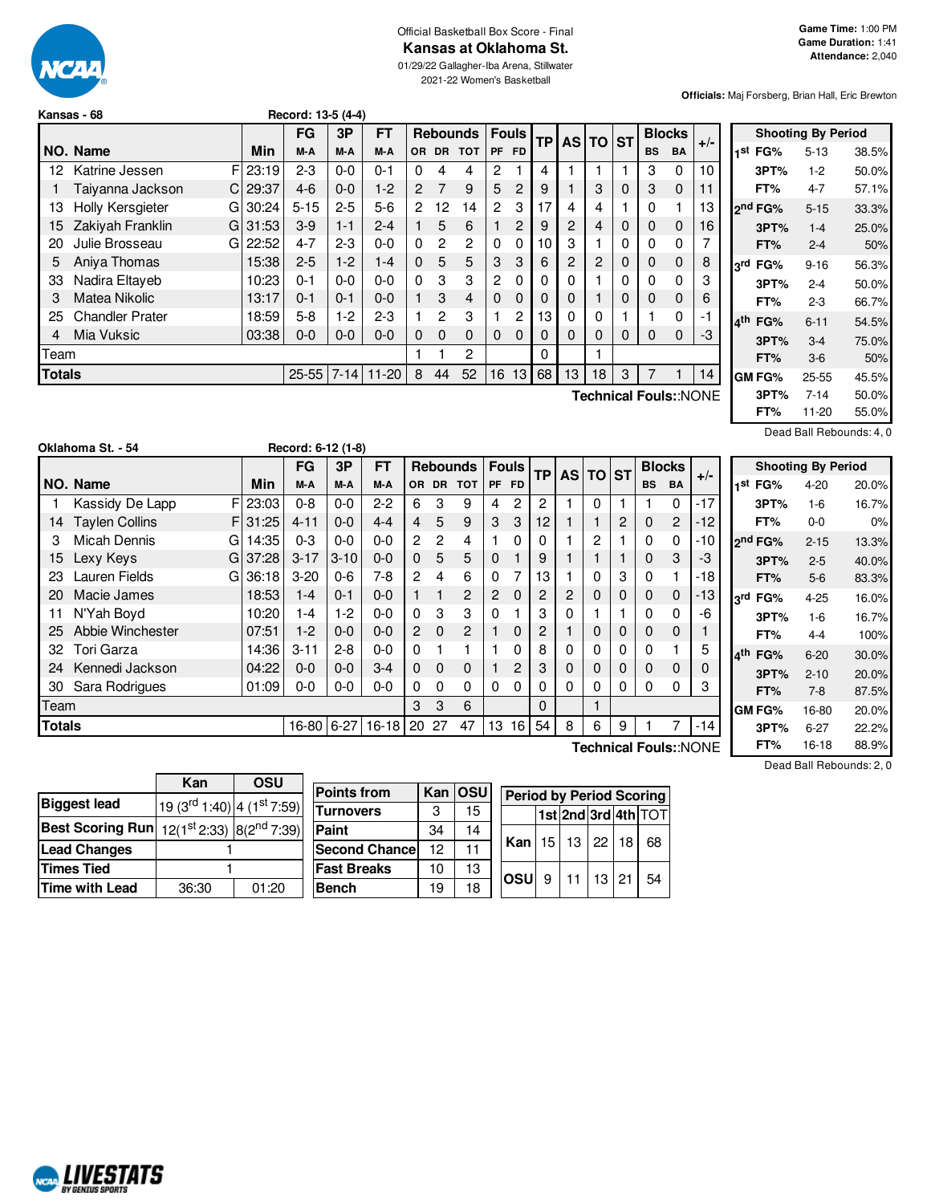

# Official Basketball Box Score - Final **Kansas at Oklahoma St.**

01/29/22 Gallagher-Iba Arena, Stillwater 2021-22 Women's Basketball

**Officials:** Maj Forsberg, Brian Hall, Eric Brewton

|               | Kansas - 68            |    |       | Record: 13-5 (4-4) |         |           |           |                 |            |                |              |    |           |         |   |           |               |                       |
|---------------|------------------------|----|-------|--------------------|---------|-----------|-----------|-----------------|------------|----------------|--------------|----|-----------|---------|---|-----------|---------------|-----------------------|
|               |                        |    |       | FG                 | 3P      | <b>FT</b> |           | <b>Rebounds</b> |            |                | <b>Fouls</b> | ТP | <b>AS</b> | $TO$ ST |   |           | <b>Blocks</b> |                       |
|               | NO. Name               |    | Min   | M-A                | M-A     | M-A       | <b>OR</b> | <b>DR</b>       | <b>TOT</b> | <b>PF</b>      | <b>FD</b>    |    |           |         |   | <b>BS</b> | <b>BA</b>     | $+/-$                 |
| 12            | Katrine Jessen         | F  | 23:19 | $2 - 3$            | $0 - 0$ | $0 - 1$   | 0         | 4               | 4          | 2              | 1            | 4  |           |         |   | 3         | 0             | 10                    |
|               | Taiyanna Jackson       | C. | 29:37 | $4-6$              | $0 - 0$ | $1-2$     | 2         | 7               | 9          | 5              | 2            | 9  |           | 3       | 0 | 3         | $\mathbf 0$   | 11                    |
| 13            | Holly Kersgieter       | GI | 30:24 | $5 - 15$           | $2 - 5$ | $5-6$     | 2         | 12              | 14         | $\overline{2}$ | 3            | 17 | 4         |         |   | 0         |               | 13                    |
| 15            | Zakiyah Franklin       | GI | 31:53 | $3-9$              | $1 - 1$ | $2 - 4$   |           | 5               | 6          |                | 2            | 9  | 2         | 4       | 0 | 0         | 0             | 16                    |
| 20            | Julie Brosseau         | G  | 22:52 | $4 - 7$            | $2 - 3$ | $0 - 0$   | $\Omega$  | 2               | 2          | 0              | 0            | 10 | 3         |         | 0 | 0         | 0             |                       |
| 5             | Aniva Thomas           |    | 15:38 | $2 - 5$            | $1-2$   | $1 - 4$   | $\Omega$  | 5               | 5          | 3              | 3            | 6  | 2         | 2       | 0 | 0         | 0             | 8                     |
| 33            | Nadira Eltayeb         |    | 10:23 | $0 - 1$            | $0 - 0$ | $0 - 0$   | $\Omega$  | 3               | 3          | 2              | 0            | 0  | 0         |         | 0 | 0         | 0             | 3                     |
| 3             | Matea Nikolic          |    | 13:17 | $0 - 1$            | $0 - 1$ | $0 - 0$   |           | 3               | 4          | 0              | $\Omega$     | 0  | 0         |         | 0 | 0         | 0             | 6                     |
| 25            | <b>Chandler Prater</b> |    | 18:59 | $5-8$              | $1-2$   | $2 - 3$   |           | 2               | 3          |                | 2            | 13 | 0         | 0       |   |           | 0             | -1                    |
| 4             | Mia Vuksic             |    | 03:38 | $0 - 0$            | $0 - 0$ | $0 - 0$   | 0         | $\Omega$        | $\Omega$   | $\Omega$       | $\Omega$     | 0  | 0         | 0       | 0 | 0         | 0             | -3                    |
| Team          |                        |    |       |                    |         |           |           |                 | 2          |                |              | 0  |           |         |   |           |               |                       |
| <b>Totals</b> |                        |    |       | 25-55 7-14         |         | $11-20$   | 8         | 44              | 52         | 16             | 13           | 68 | 13        | 18      | 3 | 7         |               | 14                    |
|               |                        |    |       |                    |         |           |           |                 |            |                |              |    |           |         |   |           |               | Technical Fouls::NONE |

| <b>Shooting By Period</b> |          |       |  |  |  |  |  |  |  |  |  |  |
|---------------------------|----------|-------|--|--|--|--|--|--|--|--|--|--|
| 1 <sup>st</sup> FG%       | $5 - 13$ | 38.5% |  |  |  |  |  |  |  |  |  |  |
| 3PT%                      | $1-2$    | 50.0% |  |  |  |  |  |  |  |  |  |  |
| FT%                       | $4 - 7$  | 57.1% |  |  |  |  |  |  |  |  |  |  |
| ond FG%                   | $5 - 15$ | 33.3% |  |  |  |  |  |  |  |  |  |  |
| 3PT%                      | $1 - 4$  | 25.0% |  |  |  |  |  |  |  |  |  |  |
| FT%                       | $2 - 4$  | 50%   |  |  |  |  |  |  |  |  |  |  |
| 3rd FG%                   | $9 - 16$ | 56.3% |  |  |  |  |  |  |  |  |  |  |
| 3PT%                      | $2 - 4$  | 50.0% |  |  |  |  |  |  |  |  |  |  |
| FT%                       | $2 - 3$  | 66.7% |  |  |  |  |  |  |  |  |  |  |
| 4 <sup>th</sup> FG%       | $6 - 11$ | 54.5% |  |  |  |  |  |  |  |  |  |  |
| 3PT%                      | $3 - 4$  | 75.0% |  |  |  |  |  |  |  |  |  |  |
| FT%                       | $3-6$    | 50%   |  |  |  |  |  |  |  |  |  |  |
| <b>GM FG%</b>             | 25-55    | 45.5% |  |  |  |  |  |  |  |  |  |  |
| 3PT%                      | 7-14     | 50.0% |  |  |  |  |  |  |  |  |  |  |
| FT%                       | 11-20    | 55.0% |  |  |  |  |  |  |  |  |  |  |

Dead Ball Rebounds: 4, 0

|               |                       |            |            |          | $\overline{\phantom{a}}$ |                |              |                 |                |              |                 |             |             |             |           |                |                       |                           |          |       |  |
|---------------|-----------------------|------------|------------|----------|--------------------------|----------------|--------------|-----------------|----------------|--------------|-----------------|-------------|-------------|-------------|-----------|----------------|-----------------------|---------------------------|----------|-------|--|
|               |                       |            | <b>FG</b>  | 3P       | <b>FT</b>                |                |              | <b>Rebounds</b> |                | <b>Fouls</b> |                 | TP AS TO ST |             |             |           | <b>Blocks</b>  | $+/-$                 | <b>Shooting By Period</b> |          |       |  |
|               | <b>NO. Name</b>       | <b>Min</b> | M-A        | M-A      | M-A                      | <b>OR</b>      | <b>DR</b>    | <b>TOT</b>      |                | PF FD        |                 |             |             |             | <b>BS</b> | <b>BA</b>      |                       | 1 <sup>st</sup> FG%       | $4 - 20$ | 20.0% |  |
|               | Kassidy De Lapp       | F 23:03    | $0 - 8$    | $0-0$    | $2 - 2$                  | 6              | 3            | 9               | 4              | $\mathbf{2}$ | 2               |             | $\Omega$    |             |           | 0              | $-17$                 | 3PT%                      | $1 - 6$  | 16.7% |  |
| 14            | <b>Taylen Collins</b> | F131:25    | $4 - 11$   | $0-0$    | $4 - 4$                  | 4              | 5            | 9               | 3              | 3            | 12 <sub>1</sub> |             |             | 2           | 0         | $\overline{2}$ | $-12$                 | FT%                       | $0-0$    | 0%    |  |
| 3             | Micah Dennis<br>GI    | 14:35      | $0 - 3$    | $0-0$    | $0-0$                    | $\overline{c}$ | $\mathbf{2}$ | 4               |                | $\Omega$     | 0               |             | 2           |             | 0         | 0              | $-10$                 | 2 <sup>nd</sup> FG%       | $2 - 15$ | 13.3% |  |
| 15            | Lexy Keys             | G 37:28    | $3 - 17$   | $3 - 10$ | $0 - 0$                  | $\mathbf{0}$   | 5            | 5               | $\mathbf{0}$   |              | 9               |             |             |             | $\Omega$  | 3              | -3                    | 3PT%                      | $2 - 5$  | 40.0% |  |
| 23            | Lauren Fields         | G136:18    | $3 - 20$   | $0 - 6$  | $7-8$                    | $\overline{c}$ | 4            | 6               | $\Omega$       |              | 13              |             | 0           | 3           | $\Omega$  |                | $-18$                 | FT%                       | $5-6$    | 83.3% |  |
| 20            | Macie James           | 18:53      | $1 - 4$    | $0 - 1$  | $0 - 0$                  |                |              | 2               | $\overline{2}$ | $\mathbf 0$  | 2               | 2           | $\mathbf 0$ | $\mathbf 0$ | 0         | $\mathbf 0$    | $-13$                 | 3rd FG%                   | $4 - 25$ | 16.0% |  |
| 11            | N'Yah Boyd            | 10:20      | 1-4        | $-2$     | $0-0$                    | $\Omega$       | 3            | 3               | 0              |              | 3               |             |             |             | 0         | 0              | -6                    | 3PT%                      | $1-6$    | 16.7% |  |
| 25            | Abbie Winchester      | 07:51      | $1-2$      | $0-0$    | $0 - 0$                  | $\overline{2}$ | $\Omega$     | 2               |                | $\mathbf 0$  | 2               |             | $\mathbf 0$ | $\mathbf 0$ | 0         | $\mathbf 0$    |                       | FT%                       | $4 - 4$  | 100%  |  |
| 32            | Tori Garza            | 14:36      | $3 - 11$   | $2 - 8$  | $0 - 0$                  | 0              |              |                 |                | 0            | 8               |             | 0           | 0           |           |                | 5                     | 4th FG%                   | $6 - 20$ | 30.0% |  |
| 24            | Kennedi Jackson       | 04:22      | $0 - 0$    | $0-0$    | $3 - 4$                  | $\mathbf{0}$   | $\mathbf 0$  | $\mathbf{0}$    |                | 2            | 3               | $\Omega$    | $\mathbf 0$ | $\mathbf 0$ | 0         | $\mathbf 0$    | 0                     | 3PT%                      | $2 - 10$ | 20.0% |  |
| 30            | Sara Rodrigues        | 01:09      | $0 - 0$    | $0-0$    | $0 - 0$                  | 0              | 0            | 0               | 0              | $\Omega$     | 0               |             | 0           | 0           | 0         | 0              | 3                     | FT%                       | $7-8$    | 87.5% |  |
| Team          |                       |            |            |          |                          | 3              | 3            | 6               |                |              | 0               |             |             |             |           |                |                       | <b>GM FG%</b>             | 16-80    | 20.0% |  |
| <b>Totals</b> |                       |            | 16-80 6-27 |          | $16-18$                  | 20             | 27           | 47              | 13             | 16           | 54              | 8           | 6           | 9           |           |                | $-14$                 | 3PT%                      | $6 - 27$ | 22.2% |  |
|               |                       |            |            |          |                          |                |              |                 |                |              |                 |             |             |             |           |                | Technical Fouls::NONE | FT%                       | 16-18    | 88.9% |  |

**Technical Fouls:**:NONE

**Kan OSU Biggest** lead  $\frac{\text{rd}}{\text{1:40}}$  4 (1<sup>st</sup> 7:59) **Best Scoring Run**  $12(1^{st}2:33)$  $8(2^{nd}7:39)$ **Lead Changes** 1 **Times Tied** 1 **Time with Lead** | 36:30 01:20

**Oklahoma St. - 54 Record: 6-12 (1-8)**

| <b>Points from</b>   |    | Kan OSU | <b>Period by Period Scoring</b> |   |                |  |  |                     |  |  |  |
|----------------------|----|---------|---------------------------------|---|----------------|--|--|---------------------|--|--|--|
| <b>Turnovers</b>     | 3  | 15      |                                 |   |                |  |  | 1st 2nd 3rd 4th TOT |  |  |  |
| Paint                | 34 | 14      |                                 |   |                |  |  |                     |  |  |  |
| <b>Second Chance</b> | 12 | 11      | <b>Kan</b>   15   13   22   18  |   |                |  |  | 68                  |  |  |  |
| <b>Fast Breaks</b>   | 10 | 13      | losul                           | 9 | $11$   13   21 |  |  | 54                  |  |  |  |
| <b>Bench</b>         | 19 | 18      |                                 |   |                |  |  |                     |  |  |  |

Dead Ball Rebounds: 2, 0

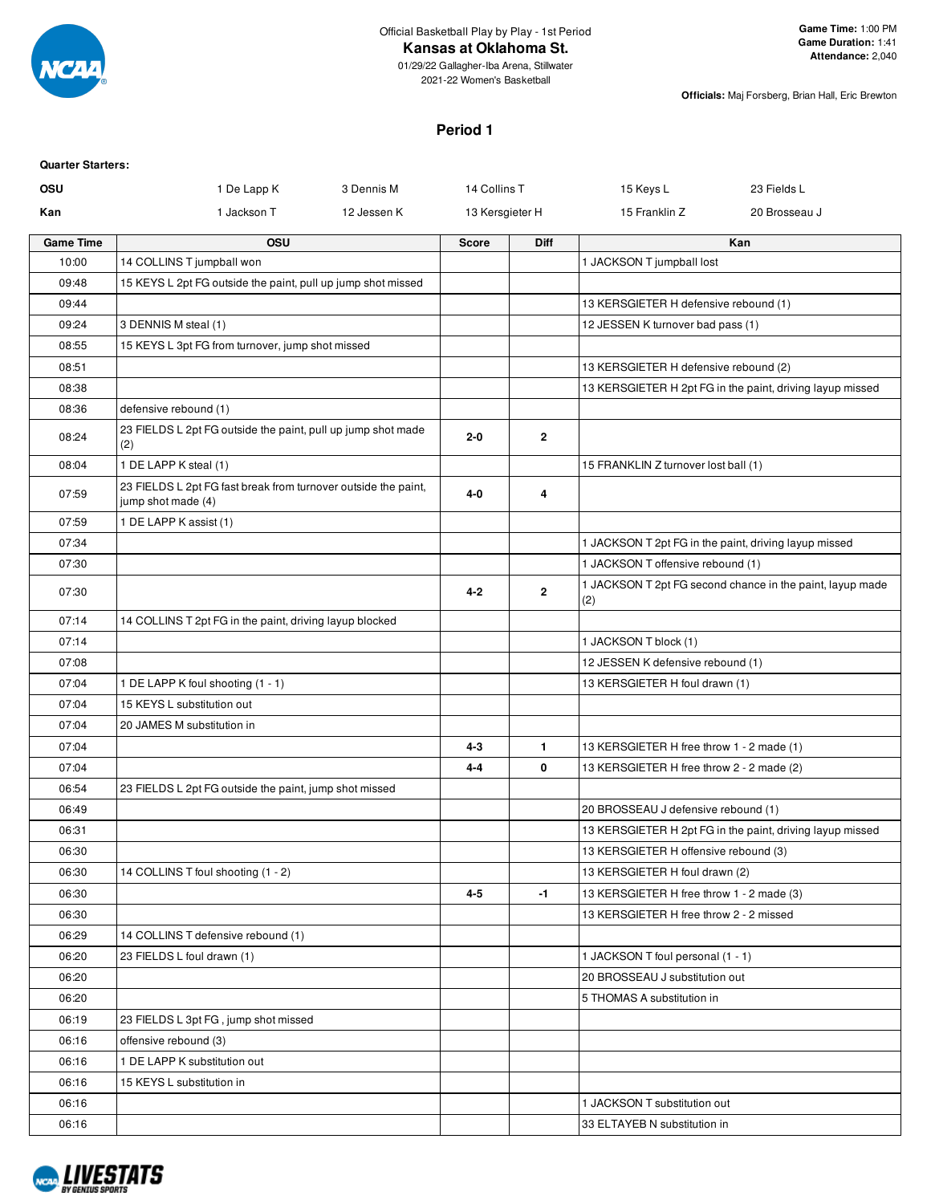

# **Kansas at Oklahoma St.**

**Officials:** Maj Forsberg, Brian Hall, Eric Brewton

#### **Period 1**

| <b>Quarter Starters:</b> |                                                                                      |             |                 |                |                                                       |                                                           |
|--------------------------|--------------------------------------------------------------------------------------|-------------|-----------------|----------------|-------------------------------------------------------|-----------------------------------------------------------|
| OSU                      | 1 De Lapp K                                                                          | 3 Dennis M  | 14 Collins T    |                | 15 Keys L                                             | 23 Fields L                                               |
| Kan                      | 1 Jackson T                                                                          | 12 Jessen K | 13 Kersgieter H |                | 15 Franklin Z                                         | 20 Brosseau J                                             |
| <b>Game Time</b>         | <b>OSU</b>                                                                           |             | <b>Score</b>    | <b>Diff</b>    |                                                       | Kan                                                       |
| 10:00                    | 14 COLLINS T jumpball won                                                            |             |                 |                | 1 JACKSON T jumpball lost                             |                                                           |
| 09:48                    | 15 KEYS L 2pt FG outside the paint, pull up jump shot missed                         |             |                 |                |                                                       |                                                           |
| 09:44                    |                                                                                      |             |                 |                | 13 KERSGIETER H defensive rebound (1)                 |                                                           |
| 09:24                    | 3 DENNIS M steal (1)                                                                 |             |                 |                | 12 JESSEN K turnover bad pass (1)                     |                                                           |
| 08:55                    | 15 KEYS L 3pt FG from turnover, jump shot missed                                     |             |                 |                |                                                       |                                                           |
| 08:51                    |                                                                                      |             |                 |                | 13 KERSGIETER H defensive rebound (2)                 |                                                           |
| 08:38                    |                                                                                      |             |                 |                |                                                       | 13 KERSGIETER H 2pt FG in the paint, driving layup missed |
| 08:36                    | defensive rebound (1)                                                                |             |                 |                |                                                       |                                                           |
| 08:24                    | 23 FIELDS L 2pt FG outside the paint, pull up jump shot made<br>(2)                  |             | $2 - 0$         | $\mathbf{2}$   |                                                       |                                                           |
| 08:04                    | 1 DE LAPP K steal (1)                                                                |             |                 |                | 15 FRANKLIN Z turnover lost ball (1)                  |                                                           |
| 07:59                    | 23 FIELDS L 2pt FG fast break from turnover outside the paint,<br>jump shot made (4) |             | 4-0             | 4              |                                                       |                                                           |
| 07:59                    | 1 DE LAPP K assist (1)                                                               |             |                 |                |                                                       |                                                           |
| 07:34                    |                                                                                      |             |                 |                | 1 JACKSON T 2pt FG in the paint, driving layup missed |                                                           |
| 07:30                    |                                                                                      |             |                 |                | 1 JACKSON T offensive rebound (1)                     |                                                           |
| 07:30                    |                                                                                      |             | $4 - 2$         | $\overline{2}$ | (2)                                                   | 1 JACKSON T 2pt FG second chance in the paint, layup made |
| 07:14                    | 14 COLLINS T 2pt FG in the paint, driving layup blocked                              |             |                 |                |                                                       |                                                           |
| 07:14                    |                                                                                      |             |                 |                | 1 JACKSON T block (1)                                 |                                                           |
| 07:08                    |                                                                                      |             |                 |                | 12 JESSEN K defensive rebound (1)                     |                                                           |
| 07:04                    | 1 DE LAPP K foul shooting (1 - 1)                                                    |             |                 |                | 13 KERSGIETER H foul drawn (1)                        |                                                           |
| 07:04                    | 15 KEYS L substitution out                                                           |             |                 |                |                                                       |                                                           |
| 07:04                    | 20 JAMES M substitution in                                                           |             |                 |                |                                                       |                                                           |
| 07:04                    |                                                                                      |             | $4 - 3$         | $\mathbf{1}$   | 13 KERSGIETER H free throw 1 - 2 made (1)             |                                                           |
| 07:04                    |                                                                                      |             | 4-4             | 0              | 13 KERSGIETER H free throw 2 - 2 made (2)             |                                                           |
| 06:54                    | 23 FIELDS L 2pt FG outside the paint, jump shot missed                               |             |                 |                |                                                       |                                                           |
| 06:49                    |                                                                                      |             |                 |                | 20 BROSSEAU J defensive rebound (1)                   |                                                           |
| 06:31                    |                                                                                      |             |                 |                |                                                       | 13 KERSGIETER H 2pt FG in the paint, driving layup missed |
| 06:30                    |                                                                                      |             |                 |                | 13 KERSGIETER H offensive rebound (3)                 |                                                           |
| 06:30                    | 14 COLLINS T foul shooting (1 - 2)                                                   |             |                 |                | 13 KERSGIETER H foul drawn (2)                        |                                                           |
| 06:30                    |                                                                                      |             | $4 - 5$         | $-1$           | 13 KERSGIETER H free throw 1 - 2 made (3)             |                                                           |
| 06:30                    |                                                                                      |             |                 |                | 13 KERSGIETER H free throw 2 - 2 missed               |                                                           |
| 06:29                    | 14 COLLINS T defensive rebound (1)                                                   |             |                 |                |                                                       |                                                           |
| 06:20                    | 23 FIELDS L foul drawn (1)                                                           |             |                 |                | 1 JACKSON T foul personal (1 - 1)                     |                                                           |
| 06:20                    |                                                                                      |             |                 |                | 20 BROSSEAU J substitution out                        |                                                           |
| 06:20                    |                                                                                      |             |                 |                | 5 THOMAS A substitution in                            |                                                           |
| 06:19                    | 23 FIELDS L 3pt FG, jump shot missed                                                 |             |                 |                |                                                       |                                                           |
| 06:16                    | offensive rebound (3)                                                                |             |                 |                |                                                       |                                                           |
| 06:16                    | 1 DE LAPP K substitution out                                                         |             |                 |                |                                                       |                                                           |
| 06:16                    | 15 KEYS L substitution in                                                            |             |                 |                |                                                       |                                                           |
| 06:16                    |                                                                                      |             |                 |                | 1 JACKSON T substitution out                          |                                                           |
| 06:16                    |                                                                                      |             |                 |                | 33 ELTAYEB N substitution in                          |                                                           |

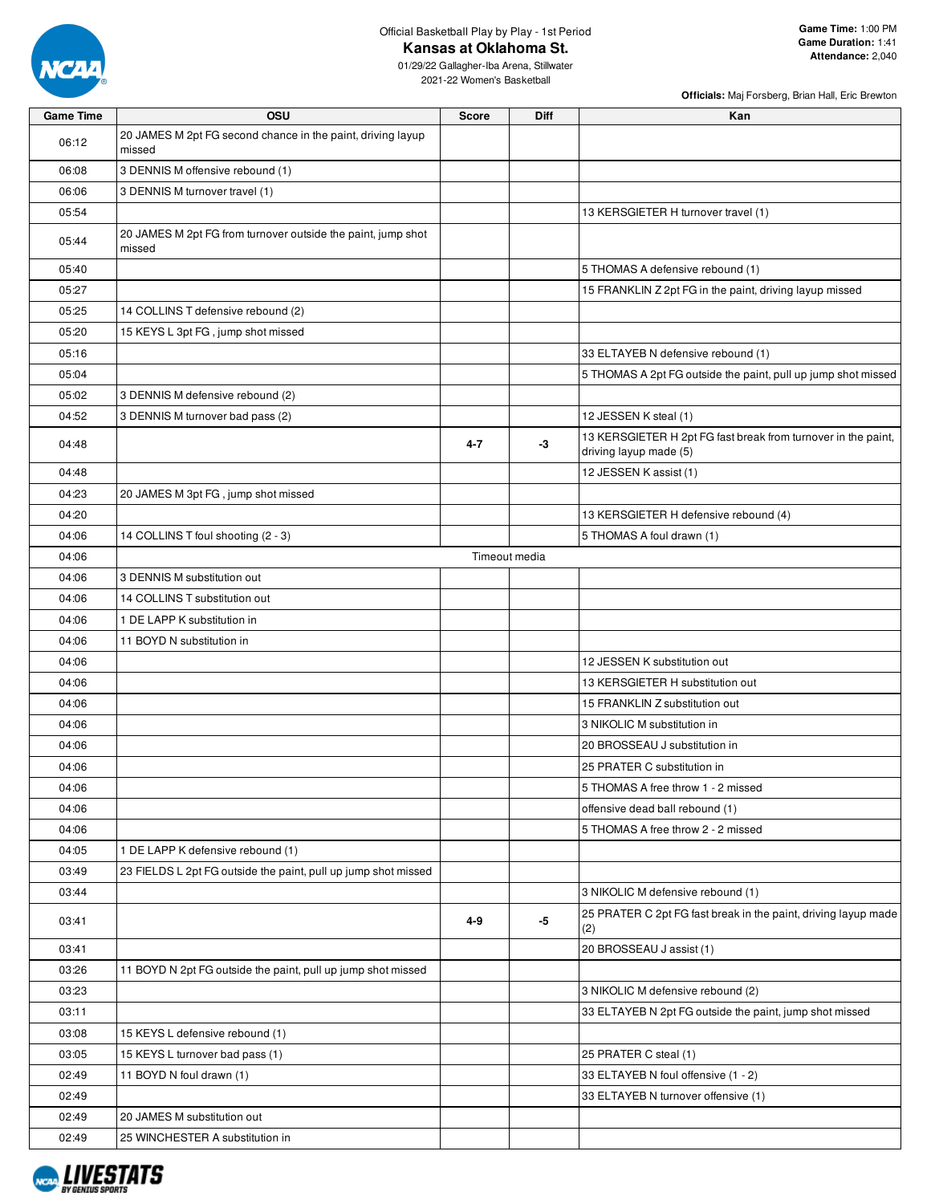

Official Basketball Play by Play - 1st Period

**Kansas at Oklahoma St.**

01/29/22 Gallagher-Iba Arena, Stillwater 2021-22 Women's Basketball

|                  |                                                                        |               |             | Officials: Maj Forsberg, Brian Hall, Eric Brewton                                       |
|------------------|------------------------------------------------------------------------|---------------|-------------|-----------------------------------------------------------------------------------------|
| <b>Game Time</b> | OSU                                                                    | <b>Score</b>  | <b>Diff</b> | Kan                                                                                     |
| 06:12            | 20 JAMES M 2pt FG second chance in the paint, driving layup<br>missed  |               |             |                                                                                         |
| 06:08            | 3 DENNIS M offensive rebound (1)                                       |               |             |                                                                                         |
| 06:06            | 3 DENNIS M turnover travel (1)                                         |               |             |                                                                                         |
| 05:54            |                                                                        |               |             | 13 KERSGIETER H turnover travel (1)                                                     |
| 05:44            | 20 JAMES M 2pt FG from turnover outside the paint, jump shot<br>missed |               |             |                                                                                         |
| 05:40            |                                                                        |               |             | 5 THOMAS A defensive rebound (1)                                                        |
| 05:27            |                                                                        |               |             | 15 FRANKLIN Z 2pt FG in the paint, driving layup missed                                 |
| 05:25            | 14 COLLINS T defensive rebound (2)                                     |               |             |                                                                                         |
| 05:20            | 15 KEYS L 3pt FG, jump shot missed                                     |               |             |                                                                                         |
| 05:16            |                                                                        |               |             | 33 ELTAYEB N defensive rebound (1)                                                      |
| 05:04            |                                                                        |               |             | 5 THOMAS A 2pt FG outside the paint, pull up jump shot missed                           |
| 05:02            | 3 DENNIS M defensive rebound (2)                                       |               |             |                                                                                         |
| 04:52            | 3 DENNIS M turnover bad pass (2)                                       |               |             | 12 JESSEN K steal (1)                                                                   |
| 04:48            |                                                                        | $4 - 7$       | -3          | 13 KERSGIETER H 2pt FG fast break from turnover in the paint,<br>driving layup made (5) |
| 04:48            |                                                                        |               |             | 12 JESSEN K assist (1)                                                                  |
| 04:23            | 20 JAMES M 3pt FG, jump shot missed                                    |               |             |                                                                                         |
| 04:20            |                                                                        |               |             | 13 KERSGIETER H defensive rebound (4)                                                   |
| 04:06            | 14 COLLINS T foul shooting (2 - 3)                                     |               |             | 5 THOMAS A foul drawn (1)                                                               |
| 04:06            |                                                                        | Timeout media |             |                                                                                         |
| 04:06            | 3 DENNIS M substitution out                                            |               |             |                                                                                         |
| 04:06            | 14 COLLINS T substitution out                                          |               |             |                                                                                         |
| 04:06            | 1 DE LAPP K substitution in                                            |               |             |                                                                                         |
| 04:06            | 11 BOYD N substitution in                                              |               |             |                                                                                         |
| 04:06            |                                                                        |               |             | 12 JESSEN K substitution out                                                            |
| 04:06            |                                                                        |               |             | 13 KERSGIETER H substitution out                                                        |
| 04:06            |                                                                        |               |             | 15 FRANKLIN Z substitution out                                                          |
| 04:06            |                                                                        |               |             | 3 NIKOLIC M substitution in                                                             |
| 04:06            |                                                                        |               |             | 20 BROSSEAU J substitution in                                                           |
| 04:06            |                                                                        |               |             | 25 PRATER C substitution in                                                             |
| 04:06            |                                                                        |               |             | 5 THOMAS A free throw 1 - 2 missed                                                      |
| 04:06            |                                                                        |               |             | offensive dead ball rebound (1)                                                         |
| 04:06            |                                                                        |               |             | 5 THOMAS A free throw 2 - 2 missed                                                      |
| 04:05            | 1 DE LAPP K defensive rebound (1)                                      |               |             |                                                                                         |
| 03:49            | 23 FIELDS L 2pt FG outside the paint, pull up jump shot missed         |               |             |                                                                                         |
| 03:44            |                                                                        |               |             | 3 NIKOLIC M defensive rebound (1)                                                       |
| 03:41            |                                                                        | 4-9           | $-5$        | 25 PRATER C 2pt FG fast break in the paint, driving layup made<br>(2)                   |
| 03:41            |                                                                        |               |             | 20 BROSSEAU J assist (1)                                                                |
| 03:26            | 11 BOYD N 2pt FG outside the paint, pull up jump shot missed           |               |             |                                                                                         |
| 03:23            |                                                                        |               |             | 3 NIKOLIC M defensive rebound (2)                                                       |
| 03:11            |                                                                        |               |             | 33 ELTAYEB N 2pt FG outside the paint, jump shot missed                                 |
| 03:08            | 15 KEYS L defensive rebound (1)                                        |               |             |                                                                                         |
| 03:05            | 15 KEYS L turnover bad pass (1)                                        |               |             | 25 PRATER C steal (1)                                                                   |
| 02:49            | 11 BOYD N foul drawn (1)                                               |               |             | 33 ELTAYEB N foul offensive (1 - 2)                                                     |
| 02:49            |                                                                        |               |             | 33 ELTAYEB N turnover offensive (1)                                                     |
| 02:49            | 20 JAMES M substitution out                                            |               |             |                                                                                         |
| 02:49            | 25 WINCHESTER A substitution in                                        |               |             |                                                                                         |

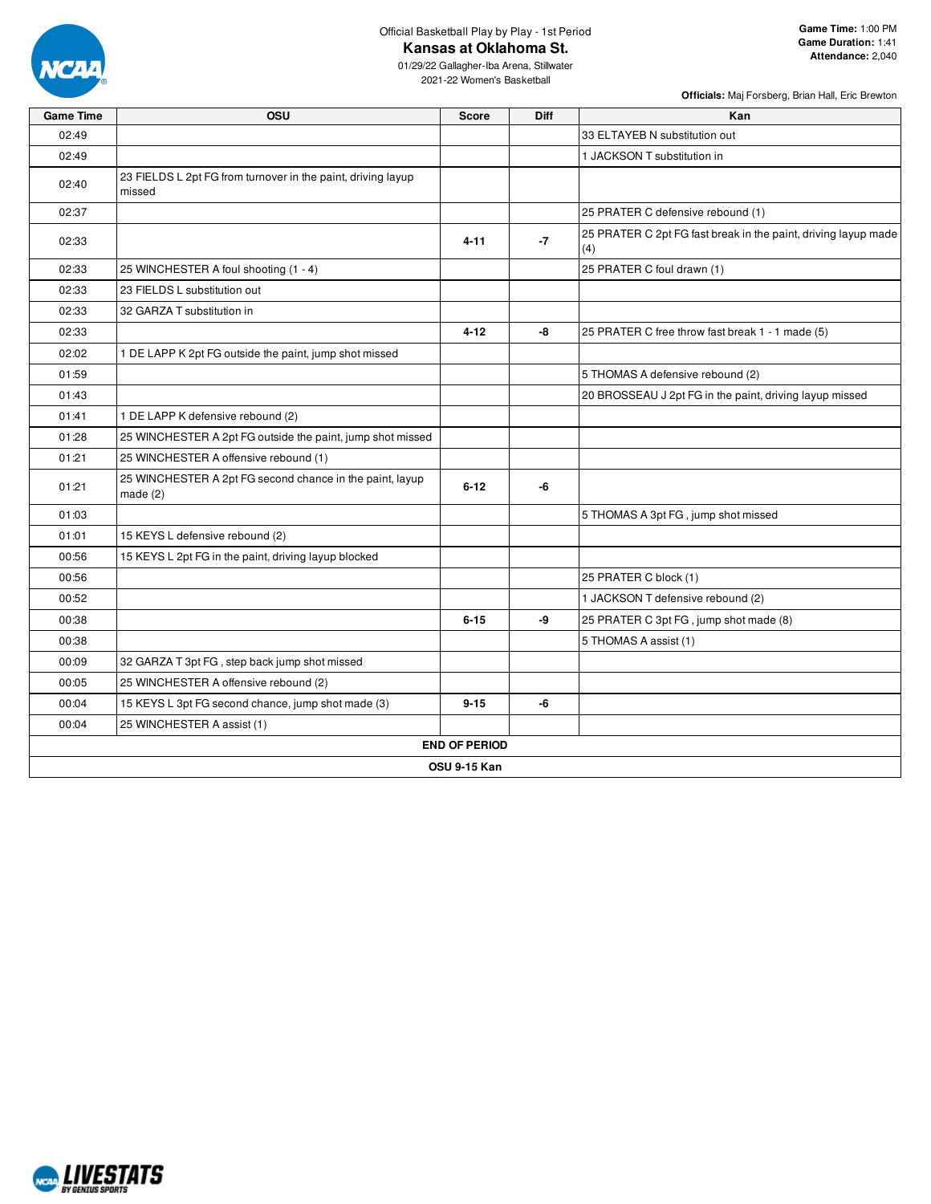

Official Basketball Play by Play - 1st Period

**Kansas at Oklahoma St.**

01/29/22 Gallagher-Iba Arena, Stillwater 2021-22 Women's Basketball

| <b>Game Time</b> | OSU                                                                    | Score                | Diff | Kan                                                                   |
|------------------|------------------------------------------------------------------------|----------------------|------|-----------------------------------------------------------------------|
| 02:49            |                                                                        |                      |      | 33 ELTAYEB N substitution out                                         |
| 02:49            |                                                                        |                      |      | 1 JACKSON T substitution in                                           |
| 02:40            | 23 FIELDS L 2pt FG from turnover in the paint, driving layup<br>missed |                      |      |                                                                       |
| 02:37            |                                                                        |                      |      | 25 PRATER C defensive rebound (1)                                     |
| 02:33            |                                                                        | $4 - 11$             | $-7$ | 25 PRATER C 2pt FG fast break in the paint, driving layup made<br>(4) |
| 02:33            | 25 WINCHESTER A foul shooting (1 - 4)                                  |                      |      | 25 PRATER C foul drawn (1)                                            |
| 02:33            | 23 FIELDS L substitution out                                           |                      |      |                                                                       |
| 02:33            | 32 GARZA T substitution in                                             |                      |      |                                                                       |
| 02:33            |                                                                        | $4 - 12$             | -8   | 25 PRATER C free throw fast break 1 - 1 made (5)                      |
| 02:02            | 1 DE LAPP K 2pt FG outside the paint, jump shot missed                 |                      |      |                                                                       |
| 01:59            |                                                                        |                      |      | 5 THOMAS A defensive rebound (2)                                      |
| 01:43            |                                                                        |                      |      | 20 BROSSEAU J 2pt FG in the paint, driving layup missed               |
| 01:41            | 1 DE LAPP K defensive rebound (2)                                      |                      |      |                                                                       |
| 01:28            | 25 WINCHESTER A 2pt FG outside the paint, jump shot missed             |                      |      |                                                                       |
| 01:21            | 25 WINCHESTER A offensive rebound (1)                                  |                      |      |                                                                       |
| 01:21            | 25 WINCHESTER A 2pt FG second chance in the paint, layup<br>made $(2)$ | $6 - 12$             | -6   |                                                                       |
| 01:03            |                                                                        |                      |      | 5 THOMAS A 3pt FG, jump shot missed                                   |
| 01:01            | 15 KEYS L defensive rebound (2)                                        |                      |      |                                                                       |
| 00:56            | 15 KEYS L 2pt FG in the paint, driving layup blocked                   |                      |      |                                                                       |
| 00:56            |                                                                        |                      |      | 25 PRATER C block (1)                                                 |
| 00:52            |                                                                        |                      |      | 1 JACKSON T defensive rebound (2)                                     |
| 00:38            |                                                                        | $6 - 15$             | -9   | 25 PRATER C 3pt FG, jump shot made (8)                                |
| 00:38            |                                                                        |                      |      | 5 THOMAS A assist (1)                                                 |
| 00:09            | 32 GARZA T 3pt FG, step back jump shot missed                          |                      |      |                                                                       |
| 00:05            | 25 WINCHESTER A offensive rebound (2)                                  |                      |      |                                                                       |
| 00:04            | 15 KEYS L 3pt FG second chance, jump shot made (3)                     | $9 - 15$             | -6   |                                                                       |
| 00:04            | 25 WINCHESTER A assist (1)                                             |                      |      |                                                                       |
|                  |                                                                        | <b>END OF PERIOD</b> |      |                                                                       |
|                  |                                                                        | <b>OSU 9-15 Kan</b>  |      |                                                                       |

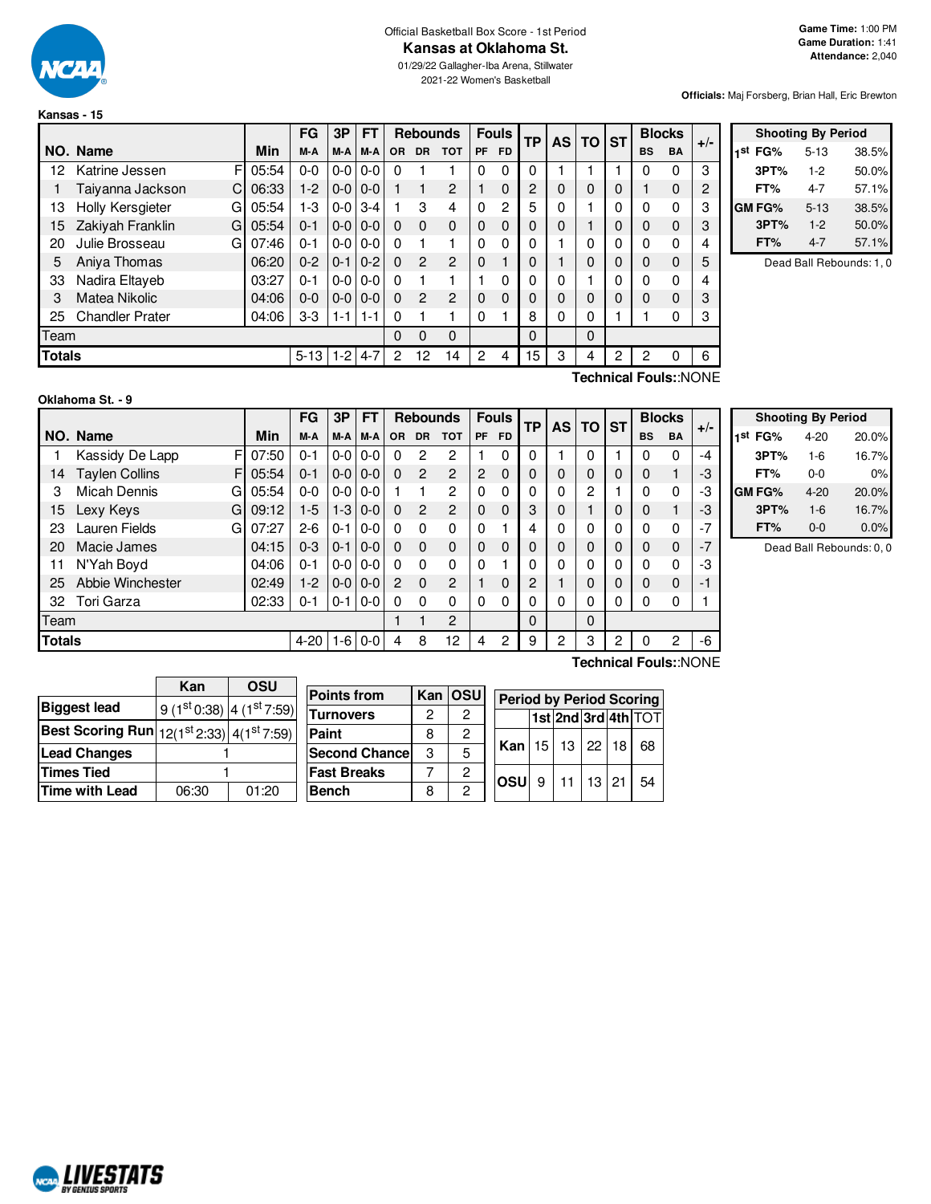

# Official Basketball Box Score - 1st Period

01/29/22 Gallagher-Iba Arena, Stillwater 2021-22 Women's Basketball

**Officials:** Maj Forsberg, Brian Hall, Eric Brewton

|               |                        |       | FG           | 3P      | <b>FT</b>     |              | <b>Rebounds</b> |                |                | <b>Fouls</b> | <b>TP</b> | <b>AS</b> | $TO$ ST  |   |           | <b>Blocks</b> | $+/-$  |
|---------------|------------------------|-------|--------------|---------|---------------|--------------|-----------------|----------------|----------------|--------------|-----------|-----------|----------|---|-----------|---------------|--------|
|               | NO. Name               | Min   | M-A          | M-A     | M-A           | <b>OR</b>    | <b>DR</b>       | <b>TOT</b>     | <b>PF</b>      | <b>FD</b>    |           |           |          |   | <b>BS</b> | <b>BA</b>     |        |
| 12            | Katrine Jessen<br>FI   | 05:54 | $0 - 0$      |         | $0 - 0 0 - 0$ | O            |                 |                | 0              | 0            | 0         |           |          |   |           | 0             | 3      |
|               | Taivanna Jackson<br>C  | 06:33 | $1-2$        |         | $0 - 0 0 - 0$ |              |                 | $\overline{2}$ |                | $\Omega$     | 2         | 0         | $\Omega$ | 0 |           | $\mathbf{0}$  | 2      |
| 13            | Holly Kersgieter<br>G  | 05:54 | 1-3          | $0-0$   | $3 - 4$       |              | 3               | 4              | 0              | 2            | 5         | 0         |          | 0 | $\Omega$  | 0             | 3      |
| 15            | Zakiyah Franklin<br>G  | 05:54 | $0 - 1$      |         | $0 - 0 0 - 0$ | $\Omega$     | $\Omega$        | $\Omega$       | $\mathbf{0}$   | $\Omega$     | 0         | 0         |          |   | $\Omega$  | 0             | 3      |
| 20            | Julie Brosseau<br>G    | 07:46 | $0 - 1$      |         | $0 - 0 0 - 0$ | 0            |                 |                | 0              | 0            | 0         |           | 0        | 0 |           | 0             | 4      |
| 5             | Aniya Thomas           | 06:20 | $0 - 2$      | $0 - 1$ | $0 - 2$       | $\Omega$     | $\overline{2}$  | $\overline{2}$ | $\Omega$       |              | 0         |           | $\Omega$ | 0 | $\Omega$  | 0             | 5      |
| 33            | Nadira Eltayeb         | 03:27 | $0 - 1$      |         | $0 - 0 0 - 0$ | <sup>0</sup> |                 |                |                | 0            | 0         | 0         |          | 0 | $\Omega$  | 0             | 4      |
| 3             | Matea Nikolic          | 04:06 | $0 - 0$      | $0 - 0$ | $0 - 0$       | $\Omega$     | $\mathbf{P}$    | $\mathcal{P}$  | $\Omega$       | $\Omega$     | 0         | 0         | $\Omega$ | 0 | $\Omega$  | 0             | 3      |
| 25            | <b>Chandler Prater</b> | 04:06 | $3-3$        | $1 - 1$ | $1 - 1$       | 0            |                 |                | 0              |              | 8         | 0         | 0        |   |           | 0             | 3      |
| Team          |                        |       |              |         |               | 0            | 0               | $\Omega$       |                |              | 0         |           | $\Omega$ |   |           |               |        |
| <b>Totals</b> |                        |       | $5-13$   1-2 |         | $4 - 7$       | 2            | 12              | 14             | $\overline{2}$ | 4            | 15        | 3         | 4        | 2 | 2         | 0             | 6      |
|               |                        |       |              |         |               |              |                 |                |                |              |           |           |          |   |           |               | $\sim$ |

|                     | <b>Shooting By Period</b> |       |
|---------------------|---------------------------|-------|
| 1 <sup>st</sup> FG% | $5 - 13$                  | 38.5% |
| 3PT%                | $1-2$                     | 50.0% |
| FT%                 | 4-7                       | 57.1% |
| <b>GM FG%</b>       | $5 - 13$                  | 38.5% |
| 3PT%                | $1 - 2$                   | 50.0% |
| FT%                 | 4-7                       | 57.1% |

Dead Ball Rebounds: 1, 0

| Oklahoma St. - 9 |  |
|------------------|--|
|                  |  |

**Technical Fouls:**:NONE

|               |                            |            | FG       | 3P            | FT    |           | <b>Rebounds</b> |                |                | <b>Fouls</b> | <b>TP</b> |          | AS TO ST |   | <b>Blocks</b> |           |       |
|---------------|----------------------------|------------|----------|---------------|-------|-----------|-----------------|----------------|----------------|--------------|-----------|----------|----------|---|---------------|-----------|-------|
|               | NO. Name                   | <b>Min</b> | M-A      | M-A           | M-A   | <b>OR</b> | <b>DR</b>       | <b>TOT</b>     | PF             | FD.          |           |          |          |   | <b>BS</b>     | <b>BA</b> | $+/-$ |
|               | Kassidy De Lapp<br>FI      | 07:50      | $0 - 1$  | $0 - 0 0 - 0$ |       | 0         | 2               | 2              |                | 0            | 0         |          | 0        |   | ი             | 0         | $-4$  |
| 14            | <b>Taylen Collins</b><br>F | 05:54      | $0 - 1$  | $0 - 0 0 - 0$ |       | $\Omega$  | 2               | $\overline{2}$ | $\overline{2}$ | 0            | 0         | 0        | 0        | 0 | 0             |           | -3    |
| 3             | <b>Micah Dennis</b><br>G   | 05:54      | $0 - 0$  | $0 - 0 0 - 0$ |       |           |                 | 2              | $\Omega$       | 0            | 0         | 0        | 2        |   | 0             | 0         | -3    |
| 15            | Lexy Keys<br>G             | 09:12      | $1-5$    | $1 - 310 - 0$ |       | $\Omega$  | $\overline{2}$  | 2              | $\Omega$       | $\Omega$     | 3         | 0        |          | 0 | 0             |           | -3    |
| 23            | Lauren Fields<br>G         | 07:27      | $2 - 6$  | $0 - 110 - 0$ |       | $\Omega$  | $\Omega$        | $\Omega$       | $\Omega$       |              |           | $\Omega$ | 0        |   | 0             | 0         | $-7$  |
| 20            | Macie James                | 04:15      | $0 - 3$  | $0-1$ 0-0     |       | $\Omega$  | $\Omega$        | $\Omega$       | $\Omega$       | 0            | 0         | 0        | 0        | 0 | 0             | 0         | $-7$  |
| 11            | N'Yah Boyd                 | 04:06      | $0 - 1$  | $0 - 0 0 - 0$ |       | 0         | $\Omega$        | $\Omega$       | $\Omega$       |              | 0         | 0        | 0        |   | 0             | 0         | -3    |
| 25            | Abbie Winchester           | 02:49      | $1-2$    | $0 - 0 0 - 0$ |       | 2         | $\Omega$        | 2              |                | $\Omega$     | 2         |          | 0        | 0 | 0             | 0         | -1    |
| 32            | Tori Garza                 | 02:33      | 0-1      | $0 - 1$   0-0 |       | 0         | 0               | 0              | $\Omega$       | 0            | 0         | 0        | 0        | 0 | 0             | 0         |       |
| Team          |                            |            |          |               |       |           |                 | $\overline{2}$ |                |              | 0         |          | 0        |   |               |           |       |
| <b>Totals</b> |                            |            | $4 - 20$ | $1-6$         | $0-0$ | 4         | 8               | 12             | 4              | 2            | 9         | 2        | 3        | 2 | 0             | 2         | -6    |

| <b>Shooting By Period</b> |          |       |  |  |  |  |  |  |  |  |  |  |
|---------------------------|----------|-------|--|--|--|--|--|--|--|--|--|--|
| 1 <sup>st</sup> FG%       | $4 - 20$ | 20.0% |  |  |  |  |  |  |  |  |  |  |
| 3PT%                      | $1 - 6$  | 16.7% |  |  |  |  |  |  |  |  |  |  |
| FT%                       | 0-0      | 0%    |  |  |  |  |  |  |  |  |  |  |
| GM FG%                    | $4 - 20$ | 20.0% |  |  |  |  |  |  |  |  |  |  |
| 3PT%                      | $1 - 6$  | 16.7% |  |  |  |  |  |  |  |  |  |  |
| FT%                       | $0 - 0$  | 0.0%  |  |  |  |  |  |  |  |  |  |  |

Dead Ball Rebounds: 0, 0

|                                                                  | Kan                       | OSU   |  |  |  |  |
|------------------------------------------------------------------|---------------------------|-------|--|--|--|--|
| <b>Biggest lead</b>                                              | 9 (1st 0:38) 4 (1st 7:59) |       |  |  |  |  |
| <b>Best Scoring Run</b> $12(1^{st}2:33)$ 4(1 <sup>st</sup> 7:59) |                           |       |  |  |  |  |
| <b>Lead Changes</b>                                              |                           |       |  |  |  |  |
| <b>Times Tied</b>                                                |                           |       |  |  |  |  |
| Time with Lead                                                   | 06:30                     | 01:20 |  |  |  |  |

| <b>Points from</b>   |   | Kan   OSU | <b>Period by Period Scoring</b> |              |  |              |  |     |                     |  |  |  |  |
|----------------------|---|-----------|---------------------------------|--------------|--|--------------|--|-----|---------------------|--|--|--|--|
| <b>Turnovers</b>     | 2 | 2         |                                 |              |  |              |  |     | 1st 2nd 3rd 4th TOT |  |  |  |  |
| Paint                | 8 | 2         |                                 |              |  |              |  |     |                     |  |  |  |  |
| <b>Second Chance</b> | 3 | 5         | Kan   15   13   22   18         |              |  |              |  | -68 |                     |  |  |  |  |
| <b>Fast Breaks</b>   |   | 2         |                                 | <b>losul</b> |  |              |  |     |                     |  |  |  |  |
| <b>Bench</b>         | 8 | 2         |                                 |              |  | $9$ 11 13 21 |  |     | 54                  |  |  |  |  |

**Technical Fouls:**:NONE

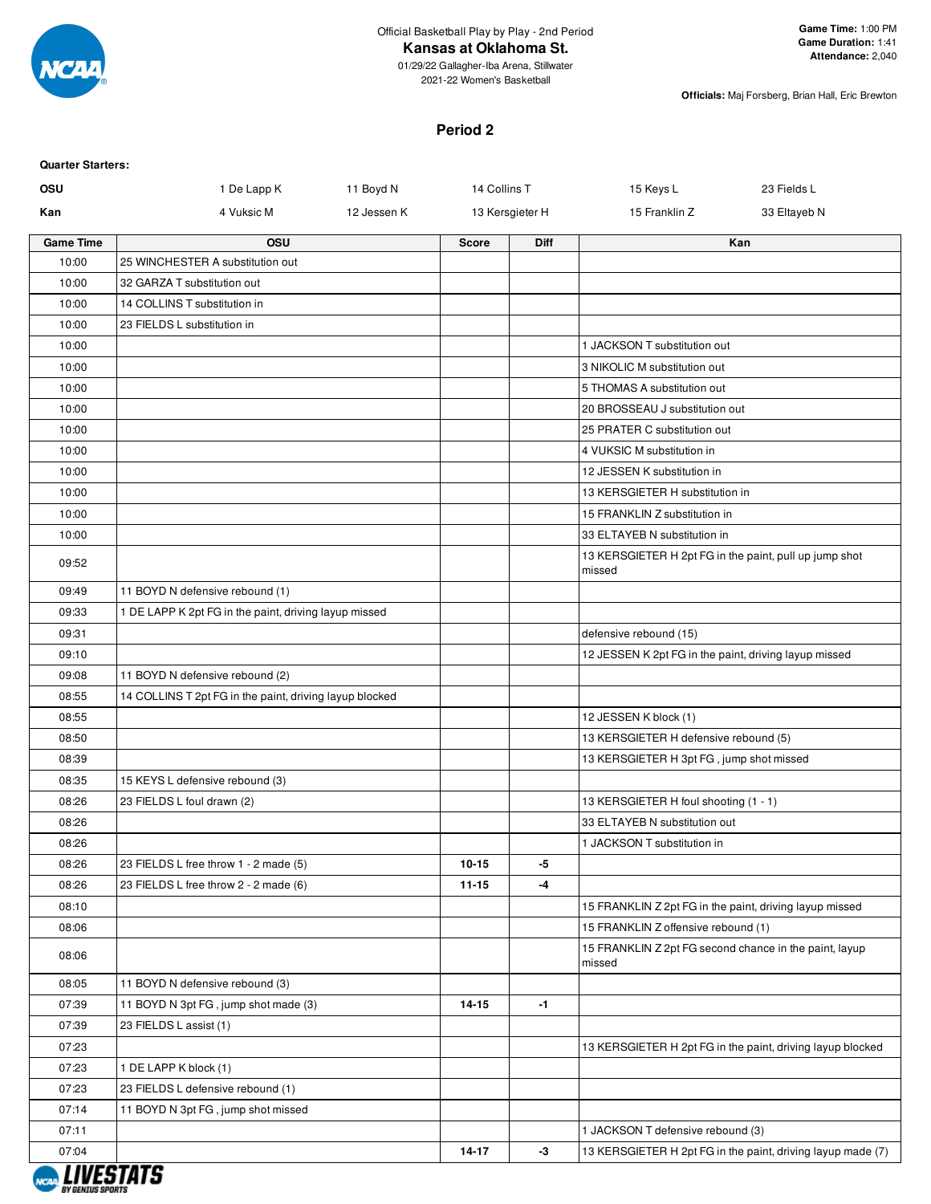

## **Kansas at Oklahoma St.**

01/29/22 Gallagher-Iba Arena, Stillwater 2021-22 Women's Basketball

**Officials:** Maj Forsberg, Brian Hall, Eric Brewton

## **Period 2**

| <b>Quarter Starters:</b> |                                                         |             |              |                 |                                                                  |                                                             |
|--------------------------|---------------------------------------------------------|-------------|--------------|-----------------|------------------------------------------------------------------|-------------------------------------------------------------|
| OSU                      | 1 De Lapp K                                             | 11 Boyd N   | 14 Collins T |                 | 15 Keys L                                                        | 23 Fields L                                                 |
| Kan                      | 4 Vuksic M                                              | 12 Jessen K |              | 13 Kersgieter H | 15 Franklin Z                                                    | 33 Eltayeb N                                                |
| <b>Game Time</b>         | OSU                                                     |             | <b>Score</b> | <b>Diff</b>     |                                                                  | Kan                                                         |
| 10:00                    | 25 WINCHESTER A substitution out                        |             |              |                 |                                                                  |                                                             |
| 10:00                    | 32 GARZA T substitution out                             |             |              |                 |                                                                  |                                                             |
| 10:00                    | 14 COLLINS T substitution in                            |             |              |                 |                                                                  |                                                             |
| 10:00                    | 23 FIELDS L substitution in                             |             |              |                 |                                                                  |                                                             |
| 10:00                    |                                                         |             |              |                 | 1 JACKSON T substitution out                                     |                                                             |
| 10:00                    |                                                         |             |              |                 | 3 NIKOLIC M substitution out                                     |                                                             |
| 10:00                    |                                                         |             |              |                 | 5 THOMAS A substitution out                                      |                                                             |
| 10:00                    |                                                         |             |              |                 | 20 BROSSEAU J substitution out                                   |                                                             |
| 10:00                    |                                                         |             |              |                 | 25 PRATER C substitution out                                     |                                                             |
| 10:00                    |                                                         |             |              |                 | 4 VUKSIC M substitution in                                       |                                                             |
| 10:00                    |                                                         |             |              |                 | 12 JESSEN K substitution in                                      |                                                             |
| 10:00                    |                                                         |             |              |                 | 13 KERSGIETER H substitution in                                  |                                                             |
| 10:00                    |                                                         |             |              |                 | 15 FRANKLIN Z substitution in                                    |                                                             |
| 10:00                    |                                                         |             |              |                 | 33 ELTAYEB N substitution in                                     |                                                             |
| 09:52                    |                                                         |             |              |                 | 13 KERSGIETER H 2pt FG in the paint, pull up jump shot<br>missed |                                                             |
| 09:49                    | 11 BOYD N defensive rebound (1)                         |             |              |                 |                                                                  |                                                             |
| 09:33                    | 1 DE LAPP K 2pt FG in the paint, driving layup missed   |             |              |                 |                                                                  |                                                             |
| 09:31                    |                                                         |             |              |                 | defensive rebound (15)                                           |                                                             |
| 09:10                    |                                                         |             |              |                 | 12 JESSEN K 2pt FG in the paint, driving layup missed            |                                                             |
| 09:08                    | 11 BOYD N defensive rebound (2)                         |             |              |                 |                                                                  |                                                             |
| 08:55                    | 14 COLLINS T 2pt FG in the paint, driving layup blocked |             |              |                 |                                                                  |                                                             |
| 08:55                    |                                                         |             |              |                 | 12 JESSEN K block (1)                                            |                                                             |
| 08:50                    |                                                         |             |              |                 | 13 KERSGIETER H defensive rebound (5)                            |                                                             |
| 08:39                    |                                                         |             |              |                 | 13 KERSGIETER H 3pt FG, jump shot missed                         |                                                             |
| 08:35                    | 15 KEYS L defensive rebound (3)                         |             |              |                 |                                                                  |                                                             |
| 08:26                    | 23 FIELDS L foul drawn (2)                              |             |              |                 | 13 KERSGIETER H foul shooting (1 - 1)                            |                                                             |
| 08:26                    |                                                         |             |              |                 | 33 ELTAYEB N substitution out                                    |                                                             |
| 08:26                    |                                                         |             |              |                 | 1 JACKSON T substitution in                                      |                                                             |
| 08:26                    | 23 FIELDS L free throw 1 - 2 made (5)                   |             | $10 - 15$    | -5              |                                                                  |                                                             |
| 08:26                    | 23 FIELDS L free throw 2 - 2 made (6)                   |             | $11 - 15$    | -4              |                                                                  |                                                             |
| 08:10                    |                                                         |             |              |                 | 15 FRANKLIN Z 2pt FG in the paint, driving layup missed          |                                                             |
| 08:06                    |                                                         |             |              |                 | 15 FRANKLIN Z offensive rebound (1)                              |                                                             |
| 08:06                    |                                                         |             |              |                 | 15 FRANKLIN Z 2pt FG second chance in the paint, layup<br>missed |                                                             |
| 08:05                    | 11 BOYD N defensive rebound (3)                         |             |              |                 |                                                                  |                                                             |
| 07:39                    | 11 BOYD N 3pt FG, jump shot made (3)                    |             | 14-15        | -1              |                                                                  |                                                             |
| 07:39                    | 23 FIELDS L assist (1)                                  |             |              |                 |                                                                  |                                                             |
| 07:23                    |                                                         |             |              |                 |                                                                  | 13 KERSGIETER H 2pt FG in the paint, driving layup blocked  |
| 07:23                    | 1 DE LAPP K block (1)                                   |             |              |                 |                                                                  |                                                             |
| 07:23                    | 23 FIELDS L defensive rebound (1)                       |             |              |                 |                                                                  |                                                             |
| 07:14                    | 11 BOYD N 3pt FG, jump shot missed                      |             |              |                 |                                                                  |                                                             |
| 07:11                    |                                                         |             |              |                 | 1 JACKSON T defensive rebound (3)                                |                                                             |
| 07:04                    | I UIFATATA                                              |             | 14-17        | -3              |                                                                  | 13 KERSGIETER H 2pt FG in the paint, driving layup made (7) |

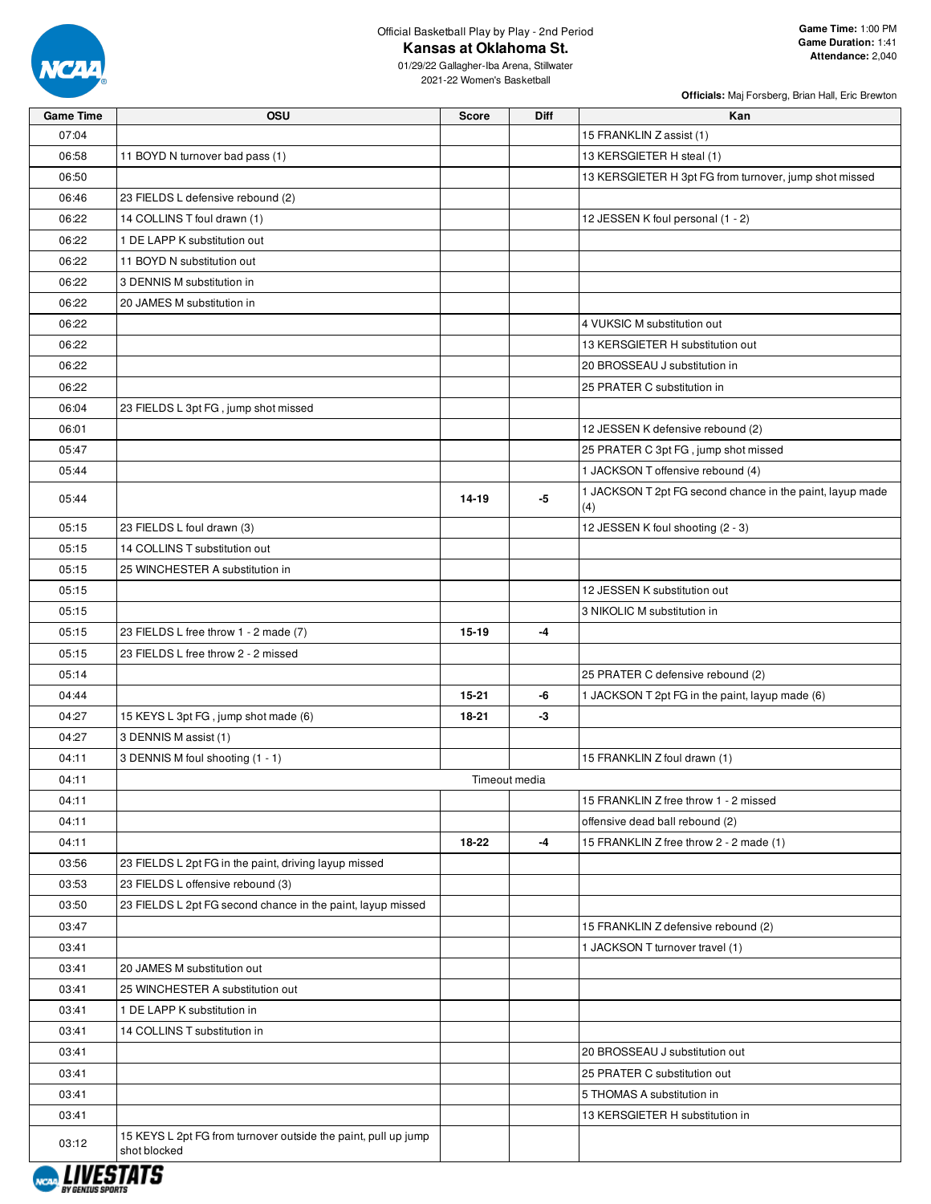

## Official Basketball Play by Play - 2nd Period **Kansas at Oklahoma St.**

**Officials:** Maj Forsberg, Brian Hall, Eric Brewton

01/29/22 Gallagher-Iba Arena, Stillwater 2021-22 Women's Basketball

| <b>Game Time</b> | <b>OSU</b>                                                     | <b>Score</b>  | <b>Diff</b> | Kan                                                       |
|------------------|----------------------------------------------------------------|---------------|-------------|-----------------------------------------------------------|
| 07:04            |                                                                |               |             | 15 FRANKLIN Z assist (1)                                  |
| 06:58            | 11 BOYD N turnover bad pass (1)                                |               |             | 13 KERSGIETER H steal (1)                                 |
| 06:50            |                                                                |               |             | 13 KERSGIETER H 3pt FG from turnover, jump shot missed    |
| 06:46            | 23 FIELDS L defensive rebound (2)                              |               |             |                                                           |
| 06:22            | 14 COLLINS T foul drawn (1)                                    |               |             | 12 JESSEN K foul personal (1 - 2)                         |
| 06:22            | 1 DE LAPP K substitution out                                   |               |             |                                                           |
| 06:22            | 11 BOYD N substitution out                                     |               |             |                                                           |
| 06:22            | 3 DENNIS M substitution in                                     |               |             |                                                           |
| 06:22            | 20 JAMES M substitution in                                     |               |             |                                                           |
| 06:22            |                                                                |               |             | 4 VUKSIC M substitution out                               |
| 06:22            |                                                                |               |             | 13 KERSGIETER H substitution out                          |
| 06:22            |                                                                |               |             | 20 BROSSEAU J substitution in                             |
| 06:22            |                                                                |               |             | 25 PRATER C substitution in                               |
| 06:04            | 23 FIELDS L 3pt FG, jump shot missed                           |               |             |                                                           |
| 06:01            |                                                                |               |             | 12 JESSEN K defensive rebound (2)                         |
| 05:47            |                                                                |               |             | 25 PRATER C 3pt FG, jump shot missed                      |
| 05:44            |                                                                |               |             | 1 JACKSON T offensive rebound (4)                         |
| 05:44            |                                                                | 14-19         | $-5$        | 1 JACKSON T 2pt FG second chance in the paint, layup made |
|                  |                                                                |               |             | (4)                                                       |
| 05:15            | 23 FIELDS L foul drawn (3)                                     |               |             | 12 JESSEN K foul shooting (2 - 3)                         |
| 05:15            | 14 COLLINS T substitution out                                  |               |             |                                                           |
| 05:15            | 25 WINCHESTER A substitution in                                |               |             |                                                           |
| 05:15            |                                                                |               |             | 12 JESSEN K substitution out                              |
| 05:15            |                                                                |               |             | 3 NIKOLIC M substitution in                               |
| 05:15            | 23 FIELDS L free throw 1 - 2 made (7)                          | 15-19         | $-4$        |                                                           |
| 05:15            | 23 FIELDS L free throw 2 - 2 missed                            |               |             |                                                           |
| 05:14            |                                                                |               |             | 25 PRATER C defensive rebound (2)                         |
| 04:44            |                                                                | $15 - 21$     | -6          | 1 JACKSON T 2pt FG in the paint, layup made (6)           |
| 04:27            | 15 KEYS L 3pt FG, jump shot made (6)                           | 18-21         | -3          |                                                           |
| 04:27            | 3 DENNIS M assist (1)                                          |               |             |                                                           |
| 04:11            | 3 DENNIS M foul shooting (1 - 1)                               |               |             | 15 FRANKLIN Z foul drawn (1)                              |
| 04:11            |                                                                | Timeout media |             |                                                           |
| 04:11            |                                                                |               |             | 15 FRANKLIN Z free throw 1 - 2 missed                     |
| 04:11            |                                                                |               |             | offensive dead ball rebound (2)                           |
| 04:11            |                                                                | 18-22         | $-4$        | 15 FRANKLIN Z free throw 2 - 2 made (1)                   |
| 03:56            | 23 FIELDS L 2pt FG in the paint, driving layup missed          |               |             |                                                           |
| 03:53            | 23 FIELDS L offensive rebound (3)                              |               |             |                                                           |
| 03:50            | 23 FIELDS L 2pt FG second chance in the paint, layup missed    |               |             |                                                           |
| 03:47            |                                                                |               |             | 15 FRANKLIN Z defensive rebound (2)                       |
| 03:41            |                                                                |               |             | 1 JACKSON T turnover travel (1)                           |
| 03:41            | 20 JAMES M substitution out                                    |               |             |                                                           |
| 03:41            | 25 WINCHESTER A substitution out                               |               |             |                                                           |
| 03:41            | 1 DE LAPP K substitution in                                    |               |             |                                                           |
| 03:41            | 14 COLLINS T substitution in                                   |               |             |                                                           |
| 03:41            |                                                                |               |             | 20 BROSSEAU J substitution out                            |
| 03:41            |                                                                |               |             | 25 PRATER C substitution out                              |
| 03:41            |                                                                |               |             | 5 THOMAS A substitution in                                |
| 03:41            |                                                                |               |             | 13 KERSGIETER H substitution in                           |
| 03:12            | 15 KEYS L 2pt FG from turnover outside the paint, pull up jump |               |             |                                                           |
| 1117777777       | shot blocked                                                   |               |             |                                                           |

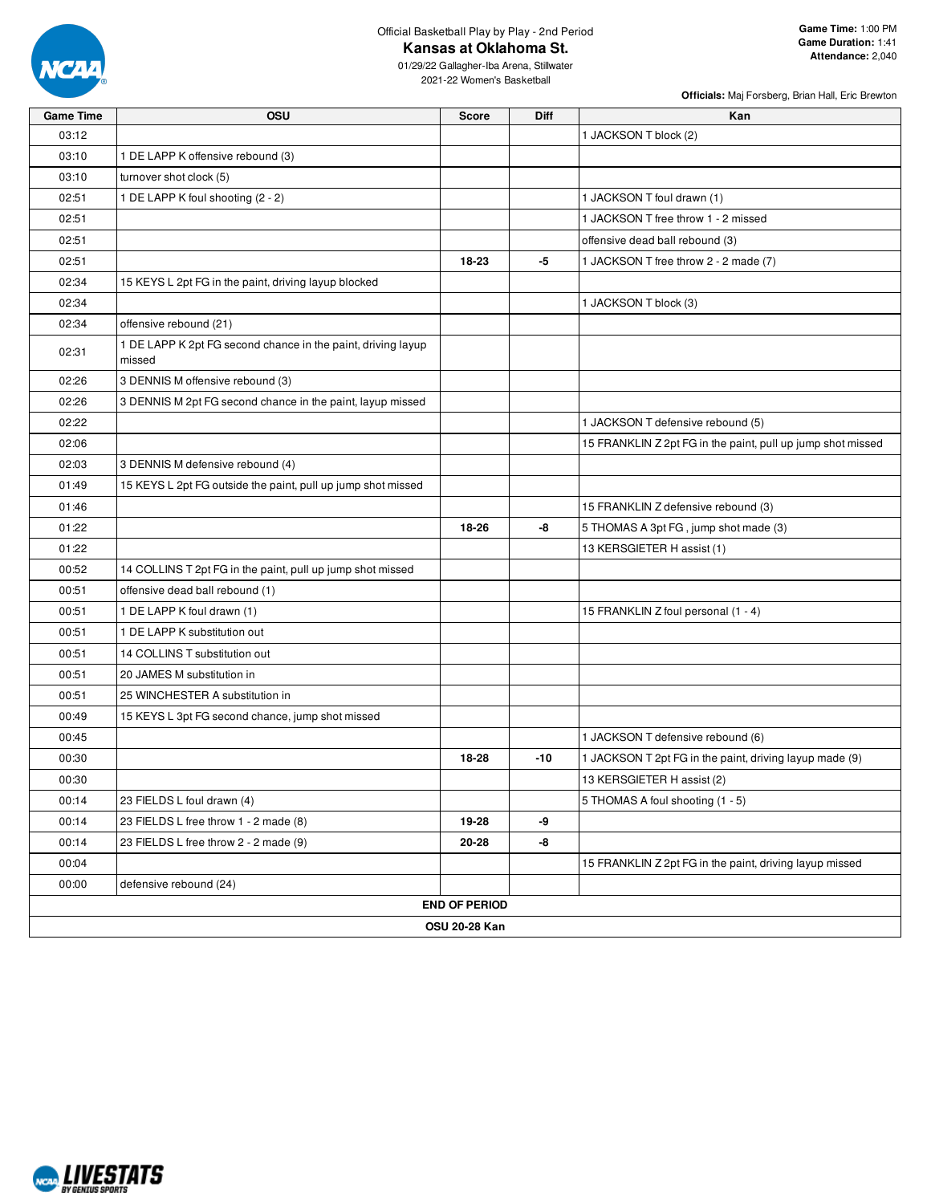

## Official Basketball Play by Play - 2nd Period **Kansas at Oklahoma St.**

01/29/22 Gallagher-Iba Arena, Stillwater 2021-22 Women's Basketball

| <b>Game Time</b> | <b>OSU</b>                                                             | <b>Score</b>         | <b>Diff</b> | Kan                                                         |
|------------------|------------------------------------------------------------------------|----------------------|-------------|-------------------------------------------------------------|
| 03:12            |                                                                        |                      |             | 1 JACKSON T block (2)                                       |
| 03:10            | 1 DE LAPP K offensive rebound (3)                                      |                      |             |                                                             |
| 03:10            | turnover shot clock (5)                                                |                      |             |                                                             |
| 02:51            | 1 DE LAPP K foul shooting (2 - 2)                                      |                      |             | 1 JACKSON T foul drawn (1)                                  |
| 02:51            |                                                                        |                      |             | 1 JACKSON T free throw 1 - 2 missed                         |
| 02:51            |                                                                        |                      |             | offensive dead ball rebound (3)                             |
| 02:51            |                                                                        | 18-23                | -5          | 1 JACKSON T free throw 2 - 2 made (7)                       |
| 02:34            | 15 KEYS L 2pt FG in the paint, driving layup blocked                   |                      |             |                                                             |
| 02:34            |                                                                        |                      |             | 1 JACKSON T block (3)                                       |
| 02:34            | offensive rebound (21)                                                 |                      |             |                                                             |
| 02:31            | 1 DE LAPP K 2pt FG second chance in the paint, driving layup<br>missed |                      |             |                                                             |
| 02:26            | 3 DENNIS M offensive rebound (3)                                       |                      |             |                                                             |
| 02:26            | 3 DENNIS M 2pt FG second chance in the paint, layup missed             |                      |             |                                                             |
| 02:22            |                                                                        |                      |             | 1 JACKSON T defensive rebound (5)                           |
| 02:06            |                                                                        |                      |             | 15 FRANKLIN Z 2pt FG in the paint, pull up jump shot missed |
| 02:03            | 3 DENNIS M defensive rebound (4)                                       |                      |             |                                                             |
| 01:49            | 15 KEYS L 2pt FG outside the paint, pull up jump shot missed           |                      |             |                                                             |
| 01:46            |                                                                        |                      |             | 15 FRANKLIN Z defensive rebound (3)                         |
| 01:22            |                                                                        | 18-26                | -8          | 5 THOMAS A 3pt FG, jump shot made (3)                       |
| 01:22            |                                                                        |                      |             | 13 KERSGIETER H assist (1)                                  |
| 00:52            | 14 COLLINS T 2pt FG in the paint, pull up jump shot missed             |                      |             |                                                             |
| 00:51            | offensive dead ball rebound (1)                                        |                      |             |                                                             |
| 00:51            | 1 DE LAPP K foul drawn (1)                                             |                      |             | 15 FRANKLIN Z foul personal (1 - 4)                         |
| 00:51            | 1 DE LAPP K substitution out                                           |                      |             |                                                             |
| 00:51            | 14 COLLINS T substitution out                                          |                      |             |                                                             |
| 00:51            | 20 JAMES M substitution in                                             |                      |             |                                                             |
| 00:51            | 25 WINCHESTER A substitution in                                        |                      |             |                                                             |
| 00:49            | 15 KEYS L 3pt FG second chance, jump shot missed                       |                      |             |                                                             |
| 00:45            |                                                                        |                      |             | 1 JACKSON T defensive rebound (6)                           |
| 00:30            |                                                                        | 18-28                | -10         | 1 JACKSON T 2pt FG in the paint, driving layup made (9)     |
| 00:30            |                                                                        |                      |             | 13 KERSGIETER H assist (2)                                  |
| 00:14            | 23 FIELDS L foul drawn (4)                                             |                      |             | 5 THOMAS A foul shooting (1 - 5)                            |
| 00:14            | 23 FIELDS L free throw 1 - 2 made (8)                                  | 19-28                | -9          |                                                             |
| 00:14            | 23 FIELDS L free throw 2 - 2 made (9)                                  | 20-28                | -8          |                                                             |
| 00:04            |                                                                        |                      |             | 15 FRANKLIN Z 2pt FG in the paint, driving layup missed     |
| 00:00            | defensive rebound (24)                                                 |                      |             |                                                             |
|                  |                                                                        | <b>END OF PERIOD</b> |             |                                                             |
|                  |                                                                        | <b>OSU 20-28 Kan</b> |             |                                                             |

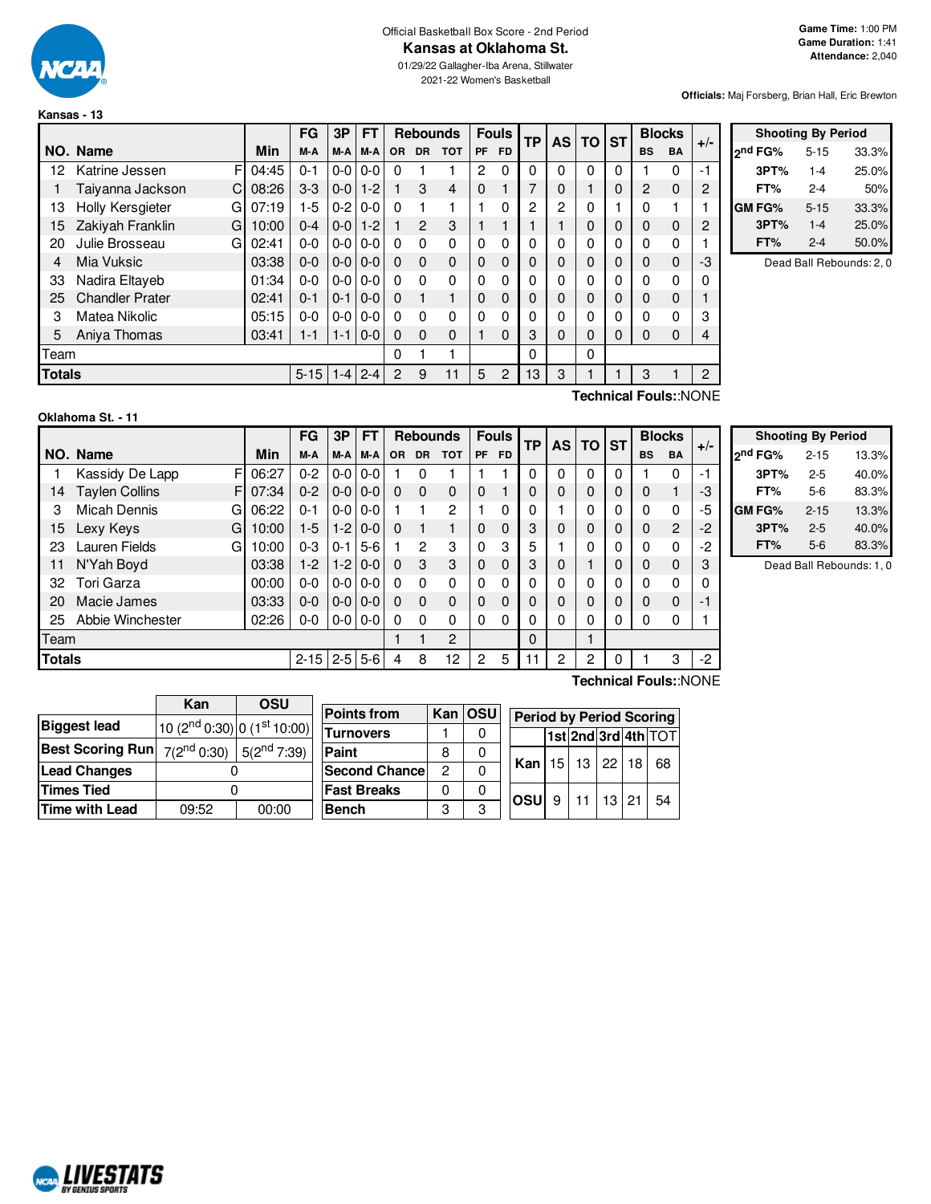

#### Official Basketball Box Score - 2nd Period **Kansas at Oklahoma St.**

01/29/22 Gallagher-Iba Arena, Stillwater 2021-22 Women's Basketball

**Officials:** Maj Forsberg, Brian Hall, Eric Brewton

|               |                        |       | FG       | 3P      | <b>FT</b>     |           |           | <b>Rebounds</b> |                | <b>Fouls</b> | <b>TP</b> |          | AS       | <b>TO</b> | <b>ST</b> | <b>Blocks</b> |    | $+/-$ |
|---------------|------------------------|-------|----------|---------|---------------|-----------|-----------|-----------------|----------------|--------------|-----------|----------|----------|-----------|-----------|---------------|----|-------|
|               | NO. Name               | Min   | M-A      | M-A     | M-A           | <b>OR</b> | <b>DR</b> | <b>TOT</b>      | PF             | <b>FD</b>    |           |          |          |           | <b>BS</b> | <b>BA</b>     |    |       |
| 12            | F<br>Katrine Jessen    | 04:45 | $0 - 1$  | $0-0$   | $0-0$         | $\Omega$  |           |                 | $\overline{2}$ | 0            | 0         | 0        | 0        | 0         |           | 0             | -1 |       |
|               | Taiyanna Jackson<br>C  | 08:26 | $3-3$    | $0-0$   | $1 - 2$       | 1         | 3         | 4               | $\Omega$       |              | 7         | $\Omega$ |          | 0         | 2         | 0             | 2  |       |
| 13            | Holly Kersgieter<br>G  | 07:19 | 1-5      | $0-2$   | $0-0$         | $\Omega$  |           |                 |                | 0            | 2         | 2        | 0        |           | 0         |               |    |       |
| 15            | Zakiyah Franklin<br>G  | 10:00 | $0 - 4$  | $0-0$   | $1 - 2$       |           | 2         | 3               |                |              |           | 1        | $\Omega$ | 0         | $\Omega$  | 0             | 2  |       |
| 20            | Julie Brosseau<br>G    | 02:41 | $0 - 0$  |         | $0 - 0 0 - 0$ | $\Omega$  | $\Omega$  | $\Omega$        | $\Omega$       | $\Omega$     | 0         | 0        | $\Omega$ | 0         | 0         | 0             |    |       |
| 4             | Mia Vuksic             | 03:38 | $0 - 0$  |         | $0 - 0 0 - 0$ | $\Omega$  | $\Omega$  | $\Omega$        | $\Omega$       | $\Omega$     | 0         | $\Omega$ | $\Omega$ | 0         | $\Omega$  | 0             | -3 |       |
| 33            | Nadira Eltayeb         | 01:34 | $0 - 0$  | $0-0$   | $0-0$         | $\Omega$  | $\Omega$  | $\Omega$        | 0              | 0            | 0         | 0        | 0        | 0         | 0         | 0             | 0  |       |
| 25            | <b>Chandler Prater</b> | 02:41 | $0 - 1$  | $0 - 1$ | $0-0$         | $\Omega$  | 1         |                 | 0              | $\Omega$     | 0         | $\Omega$ | $\Omega$ | 0         | $\Omega$  | $\Omega$      | 1  |       |
| 3             | Matea Nikolic          | 05:15 | $0 - 0$  | $0-0$   | $0-0$         | $\Omega$  | 0         | $\mathbf{0}$    | 0              | 0            | 0         | 0        | 0        | 0         | 0         | 0             | 3  |       |
| 5             | Aniya Thomas           | 03:41 | $1 - 1$  | $1 - 1$ | $0-0$         | $\Omega$  | $\Omega$  | $\Omega$        |                | $\Omega$     | 3         | 0        | $\Omega$ | 0         | $\Omega$  | $\Omega$      | 4  |       |
| Team          |                        |       |          |         |               | 0         |           |                 |                |              | 0         |          | $\Omega$ |           |           |               |    |       |
| <b>Totals</b> |                        |       | $5 - 15$ | $1 - 4$ | $2 - 4$       | 2         | 9         | 11              | 5              | 2            | 13        | 3        |          |           | 3         |               | 2  |       |

|               | <b>Shooting By Period</b> |       |
|---------------|---------------------------|-------|
| ond FG%       | $5 - 15$                  | 33.3% |
| 3PT%          | $1 - 4$                   | 25.0% |
| FT%           | 2-4                       | 50%   |
| <b>GM FG%</b> | $5 - 15$                  | 33.3% |
| 3PT%          | $1 - 4$                   | 25.0% |
| FT%           | $2 - 4$                   | 50.0% |

Dead Ball Rebounds: 2, 0

| Oklahoma St. - 11 |  |
|-------------------|--|
|-------------------|--|

**NCAL LIVESTATS** 

**Technical Fouls:**:NONE

|               |                            |       | FG       | 3P      | <b>FT</b> |          | <b>Rebounds</b> |            |             | <b>Fouls</b> | <b>TP</b><br><b>AS</b> |   |   |   | ΤO           | <b>ST</b>      |      | <b>Blocks</b> | $+/-$ |
|---------------|----------------------------|-------|----------|---------|-----------|----------|-----------------|------------|-------------|--------------|------------------------|---|---|---|--------------|----------------|------|---------------|-------|
|               | NO. Name                   | Min   | M-A      | M-A     | M-A       | OR.      | <b>DR</b>       | <b>TOT</b> | <b>PF</b>   | <b>FD</b>    |                        |   |   |   | <b>BS</b>    | <b>BA</b>      |      |               |       |
|               | Kassidy De Lapp<br>F       | 06:27 | $0 - 2$  | $0-0$   | $0 - 0$   |          | 0               |            |             |              |                        | 0 | 0 | 0 |              | 0              | $-1$ |               |       |
| 14            | <b>Taylen Collins</b><br>F | 07:34 | $0 - 2$  | $0 - 0$ | $0 - 0$   | $\Omega$ | $\Omega$        | 0          | $\Omega$    |              |                        | 0 | 0 | 0 | 0            |                | -3   |               |       |
| 3             | <b>Micah Dennis</b><br>GI  | 06:22 | $0 - 1$  | $0 - 0$ | $0 - 0$   |          |                 | 2          |             | 0            |                        |   | 0 | 0 | 0            | 0              | -5   |               |       |
| 15            | Lexy Keys<br>GI            | 10:00 | $1-5$    | $1-2$   | $0 - 0$   | 0        |                 |            | 0           | $\Omega$     | 3                      | 0 | 0 | 0 | $\mathbf{0}$ | $\overline{2}$ | $-2$ |               |       |
| 23            | Lauren Fields<br>GI        | 10:00 | $0 - 3$  | $0 - 1$ | $5-6$     |          | $\overline{2}$  | 3          | $\Omega$    | 3            | 5                      |   | 0 | 0 | 0            | 0              | -2   |               |       |
| 11            | N'Yah Boyd                 | 03:38 | $1-2$    | $1-2$   | $0 - 0$   | 0        | 3               | 3          | $\mathbf 0$ | $\Omega$     | 3                      | 0 |   | 0 | 0            | $\Omega$       | 3    |               |       |
| 32            | Tori Garza                 | 00:00 | $0 - 0$  | $0 - 0$ | $0 - 0$   | 0        | $\Omega$        | 0          | $\Omega$    | $\Omega$     |                        | 0 | 0 | 0 | $\Omega$     | 0              | 0    |               |       |
| 20            | Macie James                | 03:33 | $0 - 0$  | $0 - 0$ | $0 - 0$   | 0        | $\Omega$        | 0          | $\mathbf 0$ | $\Omega$     |                        | 0 | 0 | 0 | $\mathbf{0}$ | $\Omega$       | -1   |               |       |
| 25            | Abbie Winchester           | 02:26 | $0 - 0$  | $0-0$   | $0 - 0$   | 0        | $\Omega$        | 0          | $\Omega$    | 0            |                        | 0 | 0 | 0 | 0            | 0              |      |               |       |
| Team          |                            |       |          |         |           |          |                 | 2          |             |              | 0                      |   |   |   |              |                |      |               |       |
| <b>Totals</b> |                            |       | $2 - 15$ | $2 - 5$ | $5-6$     | 4        | 8               | 12         | 2           | 5            | 1                      | 2 | 2 | 0 |              | 3              | $-2$ |               |       |

|                     | <b>Shooting By Period</b> |       |  |  |  |  |  |  |  |  |  |  |
|---------------------|---------------------------|-------|--|--|--|--|--|--|--|--|--|--|
| 2 <sup>nd</sup> FG% | $2 - 15$                  | 13.3% |  |  |  |  |  |  |  |  |  |  |
| 3PT%                | $2 - 5$                   | 40.0% |  |  |  |  |  |  |  |  |  |  |
| FT%                 | $5-6$                     | 83.3% |  |  |  |  |  |  |  |  |  |  |
| GM FG%              | $2 - 15$                  | 13.3% |  |  |  |  |  |  |  |  |  |  |
| 3PT%                | $2 - 5$                   | 40.0% |  |  |  |  |  |  |  |  |  |  |
| FT%                 | $5-6$                     | 83.3% |  |  |  |  |  |  |  |  |  |  |

Dead Ball Rebounds: 1, 0

|                                                           | Kan                                     | OSU   | Þ |  |  |  |  |
|-----------------------------------------------------------|-----------------------------------------|-------|---|--|--|--|--|
| <b>Biggest lead</b>                                       | 10 (2 <sup>nd</sup> 0:30) 0 (1st 10:00) |       |   |  |  |  |  |
| <b>Best Scoring Run</b> $7(2^{nd} 0:30)$ $5(2^{nd} 7:39)$ |                                         |       | P |  |  |  |  |
| <b>Lead Changes</b>                                       |                                         |       |   |  |  |  |  |
| <b>Times Tied</b>                                         |                                         |       |   |  |  |  |  |
| Time with Lead                                            | 09:52                                   | 00:00 | в |  |  |  |  |

| <b>Points from</b>    |          | Kan OSU | <b>Period by Period Scoring</b> |                                  |  |  |            |    |                     |  |  |  |  |
|-----------------------|----------|---------|---------------------------------|----------------------------------|--|--|------------|----|---------------------|--|--|--|--|
| <b>Turnovers</b>      |          |         |                                 |                                  |  |  |            |    | 1st 2nd 3rd 4th TOT |  |  |  |  |
| Paint                 | 8        | 0       |                                 | <b>Kan   15   13   22   18  </b> |  |  |            |    | 68                  |  |  |  |  |
| <b>Second Chancel</b> | 2        | 0       |                                 |                                  |  |  |            |    |                     |  |  |  |  |
| <b>Fast Breaks</b>    | $\Omega$ |         |                                 |                                  |  |  | $11$ 13 21 |    |                     |  |  |  |  |
| <b>Bench</b>          | 3        | З       | <b>OSU</b>                      | 9                                |  |  |            | 54 |                     |  |  |  |  |

**Technical Fouls:**:NONE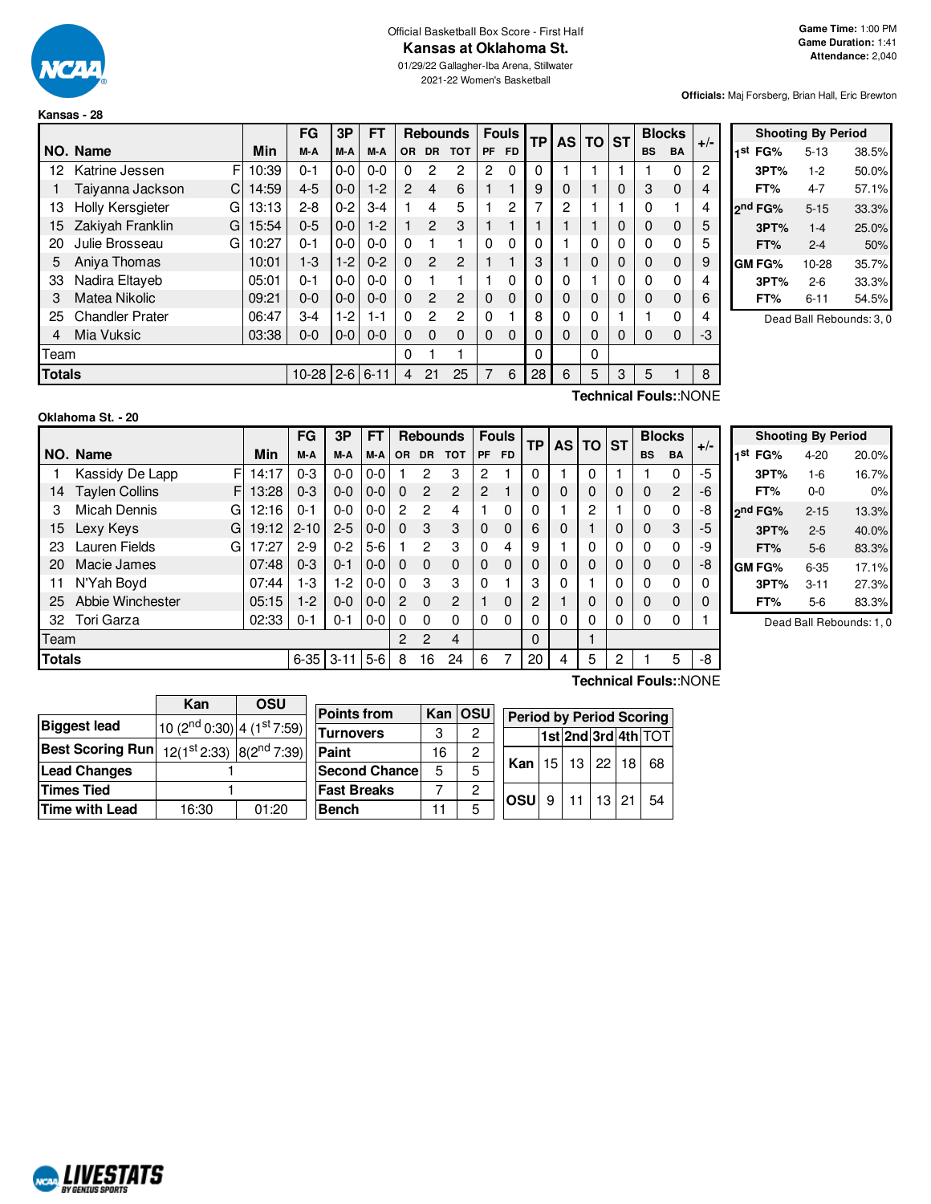

**Kansas - 28**

#### Official Basketball Box Score - First Half **Kansas at Oklahoma St.**

01/29/22 Gallagher-Iba Arena, Stillwater 2021-22 Women's Basketball

**Officials:** Maj Forsberg, Brian Hall, Eric Brewton

|                |                        |            | FG        | 3Р      | <b>FT</b> |          |                | <b>Rebounds</b> |              | <b>Fouls</b> | TP | <b>AS</b> | <b>TO</b> | <b>ST</b> |           | <b>Blocks</b>    | $+/-$ |
|----------------|------------------------|------------|-----------|---------|-----------|----------|----------------|-----------------|--------------|--------------|----|-----------|-----------|-----------|-----------|------------------|-------|
|                | NO. Name               | Min        | M-A       | M-A     | M-A       | OR.      | <b>DR</b>      | <b>TOT</b>      | PF           | <b>FD</b>    |    |           |           |           | <b>BS</b> | <b>BA</b>        |       |
| 12             | Katrine Jessen         | F<br>10:39 | $0 - 1$   | $0-0$   | $0 - 0$   | $\Omega$ | 2              | 2               | 2            | $\Omega$     | 0  |           |           |           |           | 0                | 2     |
|                | Taiyanna Jackson<br>С  | 14:59      | $4 - 5$   | $0 - 0$ | $1-2$     | 2        | 4              | 6               |              | 1            | 9  | 0         |           | 0         | 3         | 0                | 4     |
| 13             | Holly Kersgieter<br>G  | 13:13      | $2 - 8$   | $0 - 2$ | $3 - 4$   |          | 4              | 5               |              | 2            | 7  | 2         |           | ٠         | 0         | 1                | 4     |
| 15             | Zakiyah Franklin<br>G  | 15:54      | $0 - 5$   | $0 - 0$ | $1-2$     |          | $\mathfrak{p}$ | 3               |              | 1            |    |           |           | 0         | 0         | 0                | 5     |
| 20             | Julie Brosseau<br>G    | 10:27      | $0 - 1$   | $0-0$   | $0 - 0$   | $\Omega$ |                |                 | 0            | 0            |    |           | 0         | 0         | 0         | 0                | 5     |
| 5              | Aniva Thomas           | 10:01      | $1-3$     | $1-2$   | $0 - 2$   | $\Omega$ | $\mathfrak{p}$ | $\mathcal{P}$   |              | 1            | 3  |           | 0         | 0         | 0         | 0                | 9     |
| 33             | Nadira Eltaveb         | 05:01      | $0 - 1$   | $0-0$   | $0 - 0$   | $\Omega$ |                |                 |              | 0            |    | 0         |           | 0         | 0         | 0                | 4     |
| 3              | Matea Nikolic          | 09:21      | $0 - 0$   | $0 - 0$ | $0 - 0$   | $\Omega$ | $\mathfrak{p}$ | $\overline{c}$  | $\Omega$     | 0            | 0  | 0         | 0         | 0         | 0         | 0                | 6     |
| 25             | <b>Chandler Prater</b> | 06:47      | $3-4$     | $1-2$   | $1 - 1$   | $\Omega$ | 2              | $\overline{2}$  | $\mathbf{0}$ | 1            | 8  | 0         | 0         |           |           | 0                | 4     |
| $\overline{4}$ | Mia Vuksic             | 03:38      | 0-0       | $0-0$   | $0 - 0$   | $\Omega$ | $\Omega$       | $\Omega$        | 0            | 0            | 0  | 0         | 0         | 0         | 0         | 0                | -3    |
| Team           |                        |            |           |         |           | $\Omega$ |                |                 |              |              | 0  |           | 0         |           |           |                  |       |
| <b>Totals</b>  |                        |            | $10 - 28$ | $2 - 6$ | $6 - 11$  | 4        | 21             | 25              | 7            | 6            | 28 | 6         | 5         | 3         | 5         |                  | 8     |
|                |                        |            |           |         |           |          |                |                 |              |              |    |           |           |           |           | $T_{\text{sub}}$ |       |

|                     | <b>Shooting By Period</b> |       |
|---------------------|---------------------------|-------|
| 1 <sup>st</sup> FG% | $5-13$                    | 38.5% |
| 3PT%                | $1-2$                     | 50.0% |
| FT%                 | $4 - 7$                   | 57.1% |
| 2 <sup>nd</sup> FG% | $5 - 15$                  | 33.3% |
| 3PT%                | $1 - 4$                   | 25.0% |
| FT%                 | $2 - 4$                   | 50%   |
| GM FG%              | 10-28                     | 35.7% |
| 3PT%                | $2 - 6$                   | 33.3% |
| FT%                 | 6-11                      | 54.5% |
|                     |                           |       |

Dead Ball Rebounds: 3, 0

**Shooting By Period 1 st FG%** 4-20 20.0% **3PT%** 1-6 16.7% **FT%** 0-0 0% **2 nd FG%** 2-15 13.3% **3PT%** 2-5 40.0% **FT%** 5-6 83.3% **GM FG%** 6-35 17.1% **3PT%** 3-11 27.3% **FT%** 5-6 83.3% Dead Ball Rebounds: 1, 0

| Oklahoma St. - 20 |  |
|-------------------|--|
|-------------------|--|

**Technical Fouls:**:NONE

|               |                            | FG<br>3P<br>FT<br><b>Rebounds</b> |          |          | <b>Fouls</b> |              | <b>TP</b>      | <b>AS TO</b>   |                | <b>ST</b> | <b>Blocks</b> |   | $+/-$    |   |           |                |    |
|---------------|----------------------------|-----------------------------------|----------|----------|--------------|--------------|----------------|----------------|----------------|-----------|---------------|---|----------|---|-----------|----------------|----|
|               | NO. Name                   | Min                               | M-A      | M-A      | M-A          | <b>OR</b>    | <b>DR</b>      | <b>TOT</b>     | <b>PF</b>      | FD.       |               |   |          |   | <b>BS</b> | <b>BA</b>      |    |
|               | Kassidy De Lapp<br>F       | 14:17                             | $0 - 3$  | $0 - 0$  | $0-0$        |              | 2              | 3              | 2              |           | $\Omega$      |   | $\Omega$ |   |           | 0              | -5 |
| 14            | <b>Taylen Collins</b><br>F | 13:28                             | $0 - 3$  | $0 - 0$  | $0 - 0$      | $\Omega$     | $\overline{2}$ | $\overline{2}$ | $\overline{2}$ |           | $\Omega$      |   | 0        | 0 | 0         | $\overline{2}$ | -6 |
| 3             | <b>Micah Dennis</b><br>G   | 12:16                             | $0 - 1$  | $0 - 0$  | $0 - 0$      | 2            | $\mathcal{P}$  | 4              |                | 0         | 0             |   | 2        |   | U         | 0              | -8 |
| 15            | Lexy Keys<br>G             | 19:12                             | $2 - 10$ | $2 - 5$  | $0-0$        | 0            | 3              | 3              | $\Omega$       | $\Omega$  | 6             | 0 |          | 0 | 0         | 3              | -5 |
| 23            | Lauren Fields<br>G         | 17:27                             | $2-9$    | $0 - 2$  | $5-6$        |              | 2              | 3              | $\Omega$       | 4         | 9             |   | U        | 0 | U         | 0              | -9 |
| 20            | Macie James                | 07:48                             | $0 - 3$  | $0 - 1$  | $0 - 0$      | $\Omega$     | $\Omega$       | $\Omega$       | $\Omega$       | $\Omega$  | 0             |   |          | 0 | 0         | 0              | -8 |
| 11            | N'Yah Boyd                 | 07:44                             | 1-3      | $1-2$    | $0-0$        | 0            | 3              | 3              | $\Omega$       |           | 3             | 0 |          | 0 | O         | 0              | 0  |
| 25            | Abbie Winchester           | 05:15                             | $1-2$    | $0 - 0$  | $0-0$        | 2            | $\Omega$       | 2              |                | $\Omega$  | 2             |   | 0        | 0 | 0         | 0              | 0  |
| 32            | Tori Garza                 | 02:33                             | 0-1      | $0 - 1$  | $0-0$        | $\Omega$     | $\Omega$       | 0              | $\Omega$       | 0         | 0             |   | 0        | 0 | 0         | 0              |    |
| Team          |                            |                                   |          |          |              | $\mathbf{P}$ | $\mathcal{P}$  | $\overline{4}$ |                |           | $\Omega$      |   |          |   |           |                |    |
| <b>Totals</b> |                            |                                   | $6 - 35$ | $3 - 11$ | $5-6$        | 8            | 16             | 24             | 6              |           | 20            | 4 | 5        | 2 |           | 5              | -8 |

|--|--|--|--|--|--|

|                         | Kan                                                | <b>OSU</b> |                      |    |         |                                 |                 |                     |                    |                   |
|-------------------------|----------------------------------------------------|------------|----------------------|----|---------|---------------------------------|-----------------|---------------------|--------------------|-------------------|
|                         |                                                    |            | <b>Points from</b>   |    | Kan OSU | <b>Period by Period Scoring</b> |                 |                     |                    |                   |
| <b>Biggest lead</b>     | 10 (2 <sup>nd</sup> 0:30) 4 (1 <sup>st</sup> 7:59) |            | <b>Turnovers</b>     | 3  | 2       |                                 |                 | 1st 2nd 3rd 4th TOT |                    |                   |
| <b>Best Scoring Run</b> | $12(1^{st}2:33)$ 8(2 <sup>nd</sup> 7:39)           |            | Paint                | 16 | 2       |                                 |                 |                     |                    |                   |
| <b>Lead Changes</b>     |                                                    |            | <b>Second Chance</b> | 5  | 5       | Kan I                           | 15 <sub>1</sub> |                     |                    | 13   22   18   68 |
| <b>Times Tied</b>       |                                                    |            | <b>Fast Breaks</b>   |    | 2       |                                 |                 |                     | $11$   $13$   $21$ |                   |
| Time with Lead          | 16:30                                              | 01:20      | <b>Bench</b>         |    | 5       | <b>OSU</b>                      | 9               |                     |                    | 54                |

**Technical Fouls:**:NONE

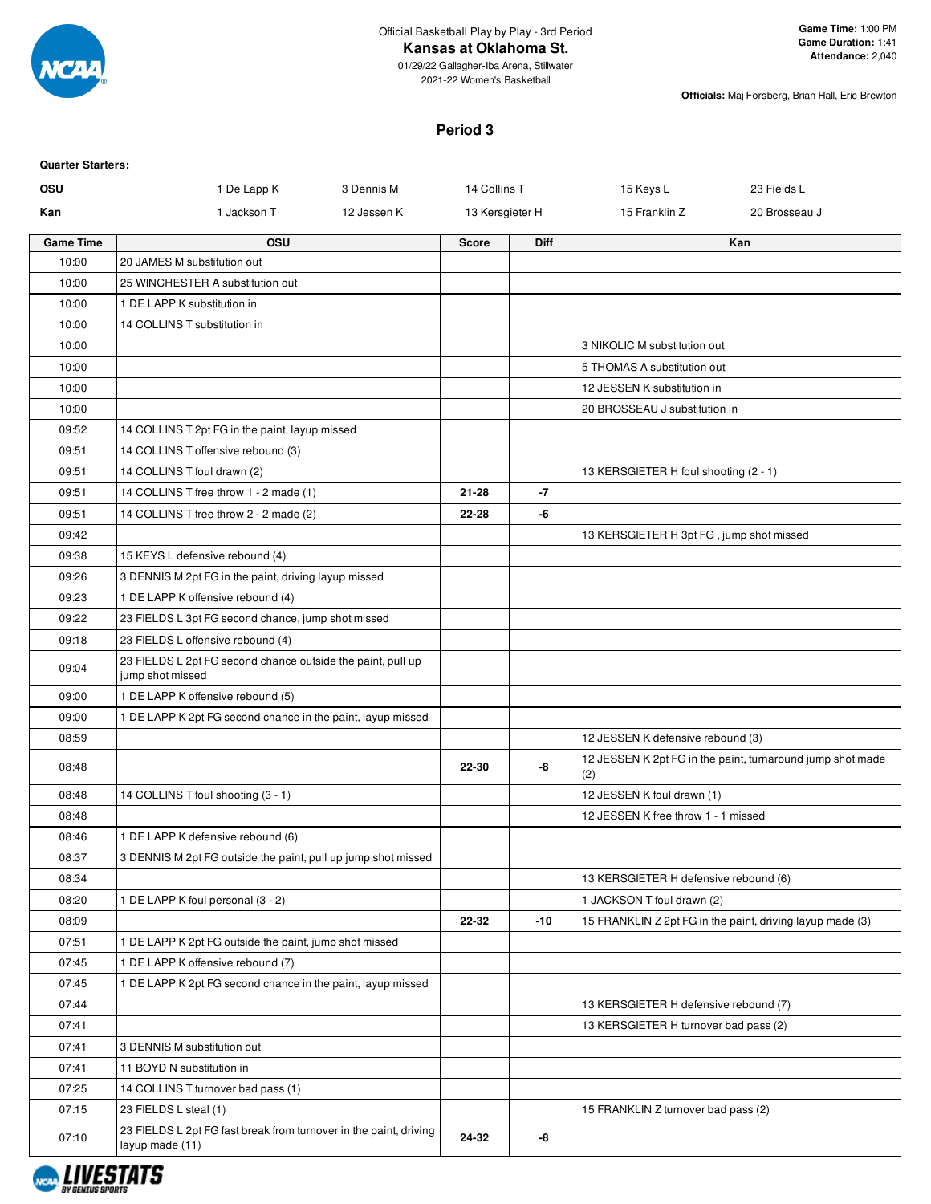

#### **Kansas at Oklahoma St.**

01/29/22 Gallagher-Iba Arena, Stillwater 2021-22 Women's Basketball

**Officials:** Maj Forsberg, Brian Hall, Eric Brewton

#### **Period 3**

| <b>Quarter Starters:</b> |                                                                                      |             |                 |             |                                          |                                                            |
|--------------------------|--------------------------------------------------------------------------------------|-------------|-----------------|-------------|------------------------------------------|------------------------------------------------------------|
| <b>OSU</b>               | 1 De Lapp K                                                                          | 3 Dennis M  | 14 Collins T    |             | 15 Keys L                                | 23 Fields L                                                |
| Kan                      | 1 Jackson T                                                                          | 12 Jessen K | 13 Kersgieter H |             | 15 Franklin Z                            | 20 Brosseau J                                              |
| <b>Game Time</b>         | <b>OSU</b>                                                                           |             | <b>Score</b>    | <b>Diff</b> |                                          | Kan                                                        |
| 10:00                    | 20 JAMES M substitution out                                                          |             |                 |             |                                          |                                                            |
| 10:00                    | 25 WINCHESTER A substitution out                                                     |             |                 |             |                                          |                                                            |
| 10:00                    | 1 DE LAPP K substitution in                                                          |             |                 |             |                                          |                                                            |
| 10:00                    | 14 COLLINS T substitution in                                                         |             |                 |             |                                          |                                                            |
| 10:00                    |                                                                                      |             |                 |             | 3 NIKOLIC M substitution out             |                                                            |
| 10:00                    |                                                                                      |             |                 |             | 5 THOMAS A substitution out              |                                                            |
| 10:00                    |                                                                                      |             |                 |             | 12 JESSEN K substitution in              |                                                            |
| 10:00                    |                                                                                      |             |                 |             | 20 BROSSEAU J substitution in            |                                                            |
| 09:52                    | 14 COLLINS T 2pt FG in the paint, layup missed                                       |             |                 |             |                                          |                                                            |
| 09:51                    | 14 COLLINS T offensive rebound (3)                                                   |             |                 |             |                                          |                                                            |
| 09:51                    | 14 COLLINS T foul drawn (2)                                                          |             |                 |             | 13 KERSGIETER H foul shooting (2 - 1)    |                                                            |
| 09:51                    | 14 COLLINS T free throw 1 - 2 made (1)                                               |             | $21 - 28$       | -7          |                                          |                                                            |
| 09:51                    | 14 COLLINS T free throw 2 - 2 made (2)                                               |             | 22-28           | -6          |                                          |                                                            |
| 09:42                    |                                                                                      |             |                 |             | 13 KERSGIETER H 3pt FG, jump shot missed |                                                            |
| 09:38                    | 15 KEYS L defensive rebound (4)                                                      |             |                 |             |                                          |                                                            |
| 09:26                    | 3 DENNIS M 2pt FG in the paint, driving layup missed                                 |             |                 |             |                                          |                                                            |
| 09:23                    | 1 DE LAPP K offensive rebound (4)                                                    |             |                 |             |                                          |                                                            |
| 09:22                    | 23 FIELDS L 3pt FG second chance, jump shot missed                                   |             |                 |             |                                          |                                                            |
| 09:18                    | 23 FIELDS L offensive rebound (4)                                                    |             |                 |             |                                          |                                                            |
| 09:04                    | 23 FIELDS L 2pt FG second chance outside the paint, pull up<br>jump shot missed      |             |                 |             |                                          |                                                            |
| 09:00                    | 1 DE LAPP K offensive rebound (5)                                                    |             |                 |             |                                          |                                                            |
| 09:00                    | 1 DE LAPP K 2pt FG second chance in the paint, layup missed                          |             |                 |             |                                          |                                                            |
| 08:59                    |                                                                                      |             |                 |             | 12 JESSEN K defensive rebound (3)        |                                                            |
| 08:48                    |                                                                                      |             | 22-30           | -8          | (2)                                      | 12 JESSEN K 2pt FG in the paint, turnaround jump shot made |
| 08:48                    | 14 COLLINS T foul shooting (3 - 1)                                                   |             |                 |             | 12 JESSEN K foul drawn (1)               |                                                            |
| 08:48                    |                                                                                      |             |                 |             | 12 JESSEN K free throw 1 - 1 missed      |                                                            |
| 08:46                    | 1 DE LAPP K defensive rebound (6)                                                    |             |                 |             |                                          |                                                            |
| 08:37                    | 3 DENNIS M 2pt FG outside the paint, pull up jump shot missed                        |             |                 |             |                                          |                                                            |
| 08:34                    |                                                                                      |             |                 |             | 13 KERSGIETER H defensive rebound (6)    |                                                            |
| 08:20                    | 1 DE LAPP K foul personal (3 - 2)                                                    |             |                 |             | 1 JACKSON T foul drawn (2)               |                                                            |
| 08:09                    |                                                                                      |             | 22-32           | $-10$       |                                          | 15 FRANKLIN Z 2pt FG in the paint, driving layup made (3)  |
| 07:51                    | 1 DE LAPP K 2pt FG outside the paint, jump shot missed                               |             |                 |             |                                          |                                                            |
| 07:45                    | 1 DE LAPP K offensive rebound (7)                                                    |             |                 |             |                                          |                                                            |
| 07:45                    | 1 DE LAPP K 2pt FG second chance in the paint, layup missed                          |             |                 |             |                                          |                                                            |
| 07:44                    |                                                                                      |             |                 |             | 13 KERSGIETER H defensive rebound (7)    |                                                            |
| 07:41                    |                                                                                      |             |                 |             | 13 KERSGIETER H turnover bad pass (2)    |                                                            |
| 07:41                    | 3 DENNIS M substitution out                                                          |             |                 |             |                                          |                                                            |
| 07:41                    | 11 BOYD N substitution in                                                            |             |                 |             |                                          |                                                            |
| 07:25                    | 14 COLLINS T turnover bad pass (1)                                                   |             |                 |             |                                          |                                                            |
| 07:15                    | 23 FIELDS L steal (1)                                                                |             |                 |             | 15 FRANKLIN Z turnover bad pass (2)      |                                                            |
| 07:10                    | 23 FIELDS L 2pt FG fast break from turnover in the paint, driving<br>layup made (11) |             | 24-32           | -8          |                                          |                                                            |

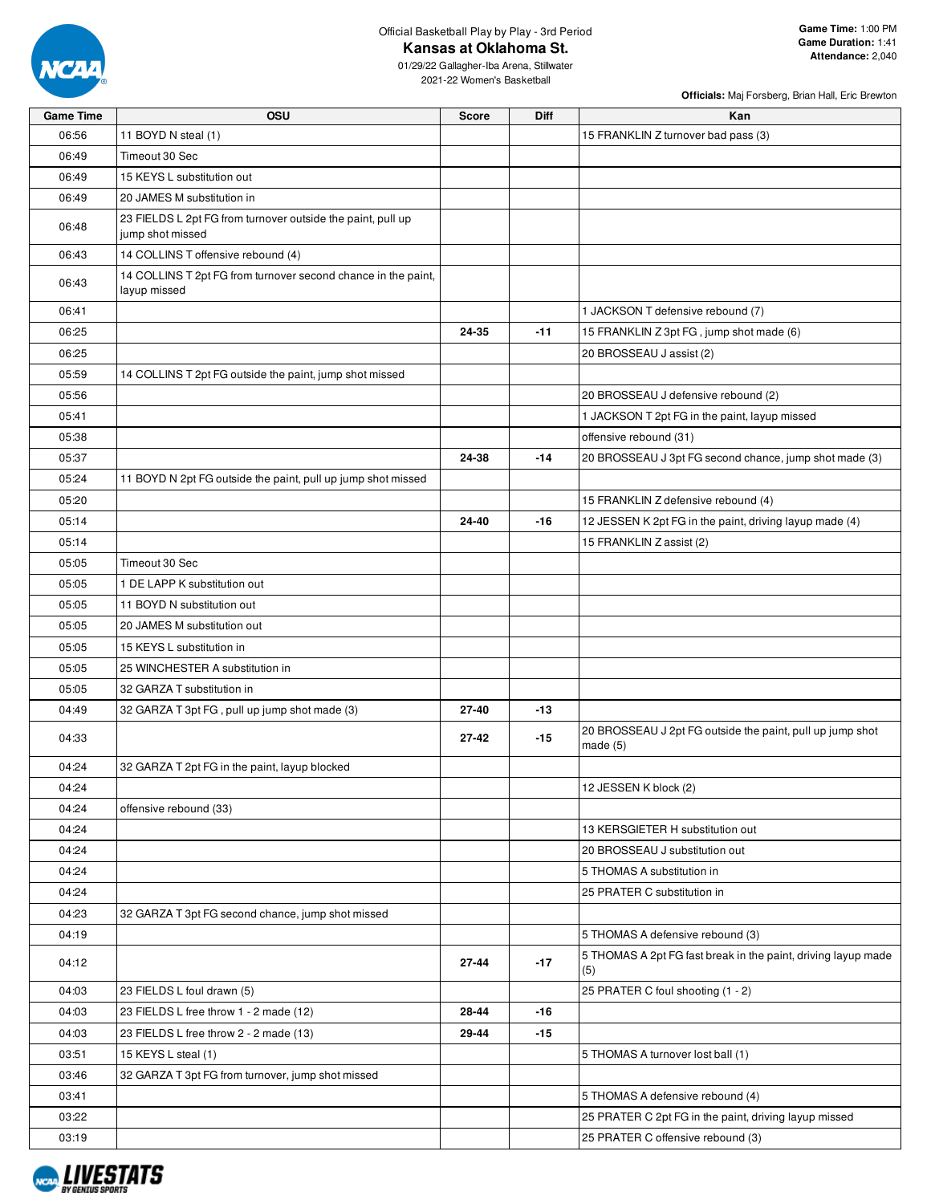

Official Basketball Play by Play - 3rd Period **Kansas at Oklahoma St.**

01/29/22 Gallagher-Iba Arena, Stillwater 2021-22 Women's Basketball

| <b>Game Time</b> | OSU                                                                             | <b>Score</b> | Diff  | Kan                                                                     |
|------------------|---------------------------------------------------------------------------------|--------------|-------|-------------------------------------------------------------------------|
| 06:56            | 11 BOYD N steal (1)                                                             |              |       | 15 FRANKLIN Z turnover bad pass (3)                                     |
| 06:49            | Timeout 30 Sec                                                                  |              |       |                                                                         |
| 06:49            | 15 KEYS L substitution out                                                      |              |       |                                                                         |
| 06:49            | 20 JAMES M substitution in                                                      |              |       |                                                                         |
| 06:48            | 23 FIELDS L 2pt FG from turnover outside the paint, pull up<br>jump shot missed |              |       |                                                                         |
| 06:43            | 14 COLLINS T offensive rebound (4)                                              |              |       |                                                                         |
| 06:43            | 14 COLLINS T 2pt FG from turnover second chance in the paint,<br>layup missed   |              |       |                                                                         |
| 06:41            |                                                                                 |              |       | 1 JACKSON T defensive rebound (7)                                       |
| 06:25            |                                                                                 | 24-35        | $-11$ | 15 FRANKLIN Z 3pt FG, jump shot made (6)                                |
| 06:25            |                                                                                 |              |       | 20 BROSSEAU J assist (2)                                                |
| 05:59            | 14 COLLINS T 2pt FG outside the paint, jump shot missed                         |              |       |                                                                         |
| 05:56            |                                                                                 |              |       | 20 BROSSEAU J defensive rebound (2)                                     |
| 05:41            |                                                                                 |              |       | 1 JACKSON T 2pt FG in the paint, layup missed                           |
| 05:38            |                                                                                 |              |       | offensive rebound (31)                                                  |
| 05:37            |                                                                                 | 24-38        | $-14$ | 20 BROSSEAU J 3pt FG second chance, jump shot made (3)                  |
| 05:24            | 11 BOYD N 2pt FG outside the paint, pull up jump shot missed                    |              |       |                                                                         |
| 05:20            |                                                                                 |              |       | 15 FRANKLIN Z defensive rebound (4)                                     |
| 05:14            |                                                                                 | 24-40        | -16   | 12 JESSEN K 2pt FG in the paint, driving layup made (4)                 |
| 05:14            |                                                                                 |              |       | 15 FRANKLIN Z assist (2)                                                |
| 05:05            | Timeout 30 Sec                                                                  |              |       |                                                                         |
| 05:05            | 1 DE LAPP K substitution out                                                    |              |       |                                                                         |
| 05:05            | 11 BOYD N substitution out                                                      |              |       |                                                                         |
| 05:05            | 20 JAMES M substitution out                                                     |              |       |                                                                         |
| 05:05            | 15 KEYS L substitution in                                                       |              |       |                                                                         |
|                  |                                                                                 |              |       |                                                                         |
| 05:05            | 25 WINCHESTER A substitution in                                                 |              |       |                                                                         |
| 05:05            | 32 GARZA T substitution in                                                      |              |       |                                                                         |
| 04:49            | 32 GARZA T 3pt FG, pull up jump shot made (3)                                   | 27-40        | $-13$ |                                                                         |
| 04:33            |                                                                                 | $27 - 42$    | $-15$ | 20 BROSSEAU J 2pt FG outside the paint, pull up jump shot<br>made $(5)$ |
| 04:24            | 32 GARZA T 2pt FG in the paint, layup blocked                                   |              |       |                                                                         |
| 04:24            |                                                                                 |              |       | 12 JESSEN K block (2)                                                   |
| 04:24            | offensive rebound (33)                                                          |              |       |                                                                         |
| 04:24            |                                                                                 |              |       | 13 KERSGIETER H substitution out                                        |
| 04:24            |                                                                                 |              |       | 20 BROSSEAU J substitution out                                          |
| 04:24            |                                                                                 |              |       | 5 THOMAS A substitution in                                              |
| 04:24            |                                                                                 |              |       | 25 PRATER C substitution in                                             |
| 04:23            | 32 GARZA T 3pt FG second chance, jump shot missed                               |              |       |                                                                         |
| 04:19            |                                                                                 |              |       | 5 THOMAS A defensive rebound (3)                                        |
| 04:12            |                                                                                 | 27-44        | $-17$ | 5 THOMAS A 2pt FG fast break in the paint, driving layup made<br>(5)    |
| 04:03            | 23 FIELDS L foul drawn (5)                                                      |              |       | 25 PRATER C foul shooting (1 - 2)                                       |
| 04:03            | 23 FIELDS L free throw 1 - 2 made (12)                                          | 28-44        | -16   |                                                                         |
| 04:03            | 23 FIELDS L free throw 2 - 2 made (13)                                          | 29-44        | $-15$ |                                                                         |
| 03:51            | 15 KEYS L steal (1)                                                             |              |       | 5 THOMAS A turnover lost ball (1)                                       |
| 03:46            | 32 GARZA T 3pt FG from turnover, jump shot missed                               |              |       |                                                                         |
| 03:41            |                                                                                 |              |       | 5 THOMAS A defensive rebound (4)                                        |
| 03:22            |                                                                                 |              |       | 25 PRATER C 2pt FG in the paint, driving layup missed                   |
| 03:19            |                                                                                 |              |       | 25 PRATER C offensive rebound (3)                                       |

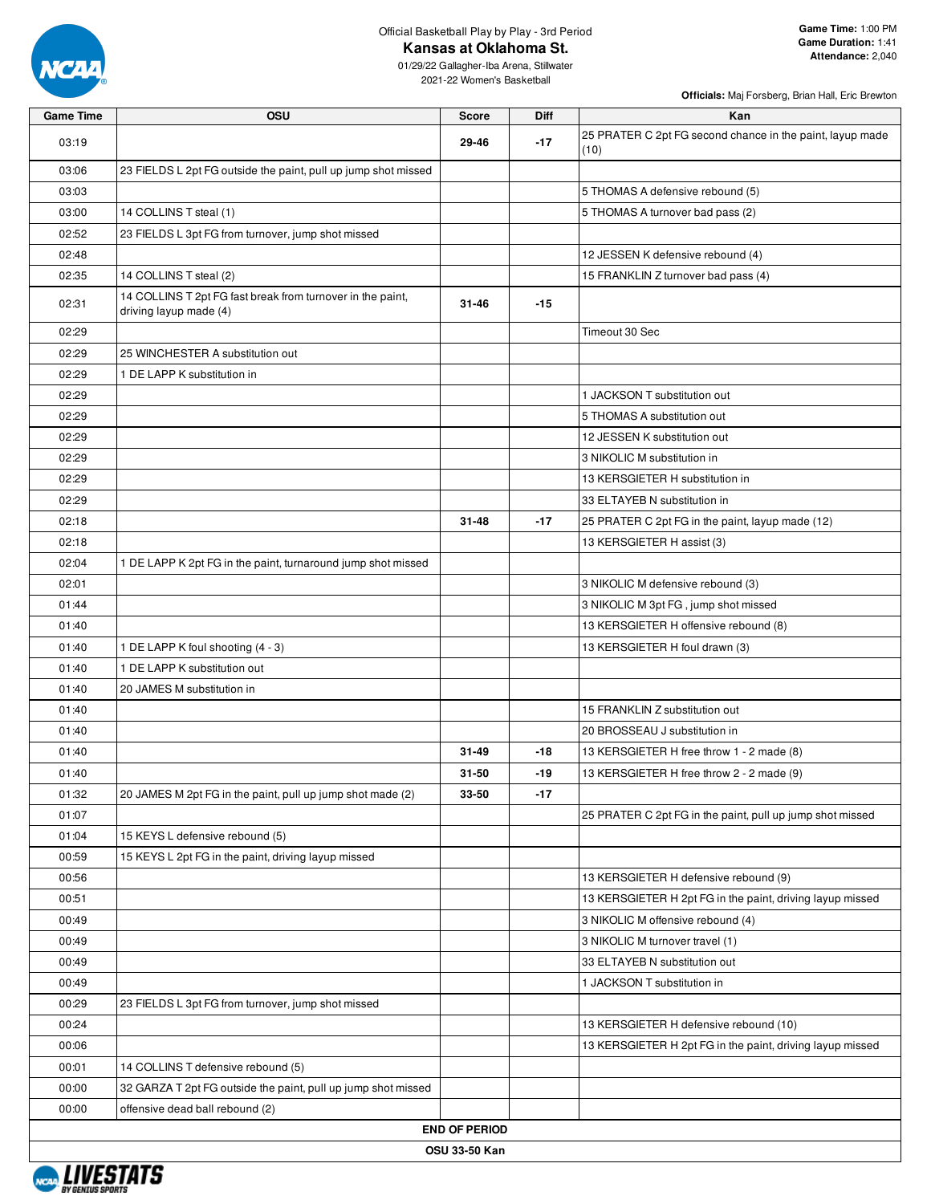

Official Basketball Play by Play - 3rd Period

**Kansas at Oklahoma St.**

| <b>Game Time</b> | OSU                                                                                  | <b>Score</b>         | Diff  | Kan                                                               |
|------------------|--------------------------------------------------------------------------------------|----------------------|-------|-------------------------------------------------------------------|
| 03:19            |                                                                                      | 29-46                | $-17$ | 25 PRATER C 2pt FG second chance in the paint, layup made<br>(10) |
| 03:06            | 23 FIELDS L 2pt FG outside the paint, pull up jump shot missed                       |                      |       |                                                                   |
| 03:03            |                                                                                      |                      |       | 5 THOMAS A defensive rebound (5)                                  |
| 03:00            | 14 COLLINS T steal (1)                                                               |                      |       | 5 THOMAS A turnover bad pass (2)                                  |
| 02:52            | 23 FIELDS L 3pt FG from turnover, jump shot missed                                   |                      |       |                                                                   |
| 02:48            |                                                                                      |                      |       | 12 JESSEN K defensive rebound (4)                                 |
| 02:35            | 14 COLLINS T steal (2)                                                               |                      |       | 15 FRANKLIN Z turnover bad pass (4)                               |
| 02:31            | 14 COLLINS T 2pt FG fast break from turnover in the paint,<br>driving layup made (4) | $31 - 46$            | $-15$ |                                                                   |
| 02:29            |                                                                                      |                      |       | Timeout 30 Sec                                                    |
| 02:29            | 25 WINCHESTER A substitution out                                                     |                      |       |                                                                   |
| 02:29            | 1 DE LAPP K substitution in                                                          |                      |       |                                                                   |
| 02:29            |                                                                                      |                      |       | 1 JACKSON T substitution out                                      |
| 02:29            |                                                                                      |                      |       | 5 THOMAS A substitution out                                       |
| 02:29            |                                                                                      |                      |       | 12 JESSEN K substitution out                                      |
| 02:29            |                                                                                      |                      |       | 3 NIKOLIC M substitution in                                       |
| 02:29            |                                                                                      |                      |       | 13 KERSGIETER H substitution in                                   |
| 02:29            |                                                                                      |                      |       | 33 ELTAYEB N substitution in                                      |
|                  |                                                                                      |                      |       |                                                                   |
| 02:18            |                                                                                      | $31 - 48$            | $-17$ | 25 PRATER C 2pt FG in the paint, layup made (12)                  |
| 02:18            |                                                                                      |                      |       | 13 KERSGIETER H assist (3)                                        |
| 02:04            | 1 DE LAPP K 2pt FG in the paint, turnaround jump shot missed                         |                      |       |                                                                   |
| 02:01            |                                                                                      |                      |       | 3 NIKOLIC M defensive rebound (3)                                 |
| 01:44            |                                                                                      |                      |       | 3 NIKOLIC M 3pt FG, jump shot missed                              |
| 01:40            |                                                                                      |                      |       | 13 KERSGIETER H offensive rebound (8)                             |
| 01:40            | 1 DE LAPP K foul shooting (4 - 3)                                                    |                      |       | 13 KERSGIETER H foul drawn (3)                                    |
| 01:40            | 1 DE LAPP K substitution out                                                         |                      |       |                                                                   |
| 01:40            | 20 JAMES M substitution in                                                           |                      |       |                                                                   |
| 01:40            |                                                                                      |                      |       | 15 FRANKLIN Z substitution out                                    |
| 01:40            |                                                                                      |                      |       | 20 BROSSEAU J substitution in                                     |
| 01:40            |                                                                                      | $31 - 49$            | $-18$ | 13 KERSGIETER H free throw 1 - 2 made (8)                         |
| 01:40            |                                                                                      | $31 - 50$            | $-19$ | 13 KERSGIETER H free throw 2 - 2 made (9)                         |
| 01:32            | 20 JAMES M 2pt FG in the paint, pull up jump shot made (2)                           | 33-50                | $-17$ |                                                                   |
| 01:07            |                                                                                      |                      |       | 25 PRATER C 2pt FG in the paint, pull up jump shot missed         |
| 01:04            | 15 KEYS L defensive rebound (5)                                                      |                      |       |                                                                   |
| 00:59            | 15 KEYS L 2pt FG in the paint, driving layup missed                                  |                      |       |                                                                   |
| 00:56            |                                                                                      |                      |       | 13 KERSGIETER H defensive rebound (9)                             |
| 00:51            |                                                                                      |                      |       | 13 KERSGIETER H 2pt FG in the paint, driving layup missed         |
| 00:49            |                                                                                      |                      |       | 3 NIKOLIC M offensive rebound (4)                                 |
| 00:49            |                                                                                      |                      |       | 3 NIKOLIC M turnover travel (1)                                   |
| 00:49            |                                                                                      |                      |       | 33 ELTAYEB N substitution out                                     |
| 00:49            |                                                                                      |                      |       | 1 JACKSON T substitution in                                       |
| 00:29            | 23 FIELDS L 3pt FG from turnover, jump shot missed                                   |                      |       |                                                                   |
| 00:24            |                                                                                      |                      |       | 13 KERSGIETER H defensive rebound (10)                            |
| 00:06            |                                                                                      |                      |       | 13 KERSGIETER H 2pt FG in the paint, driving layup missed         |
| 00:01            | 14 COLLINS T defensive rebound (5)                                                   |                      |       |                                                                   |
| 00:00            | 32 GARZA T 2pt FG outside the paint, pull up jump shot missed                        |                      |       |                                                                   |
|                  |                                                                                      |                      |       |                                                                   |
| 00:00            | offensive dead ball rebound (2)                                                      | <b>END OF PERIOD</b> |       |                                                                   |
|                  |                                                                                      |                      |       |                                                                   |
|                  |                                                                                      | <b>OSU 33-50 Kan</b> |       |                                                                   |

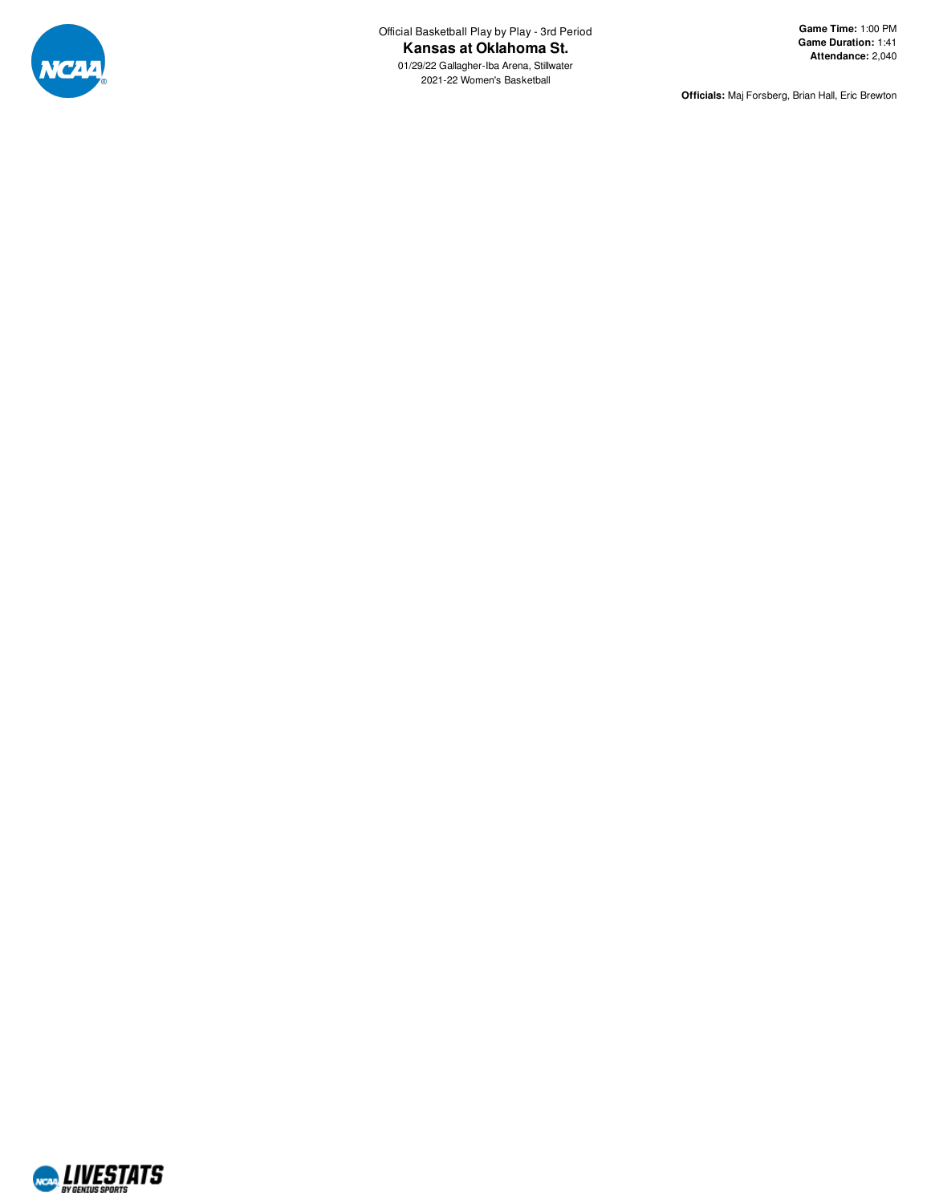

01/29/22 Gallagher-Iba Arena, Stillwate r 2021-22 Women's Basketba

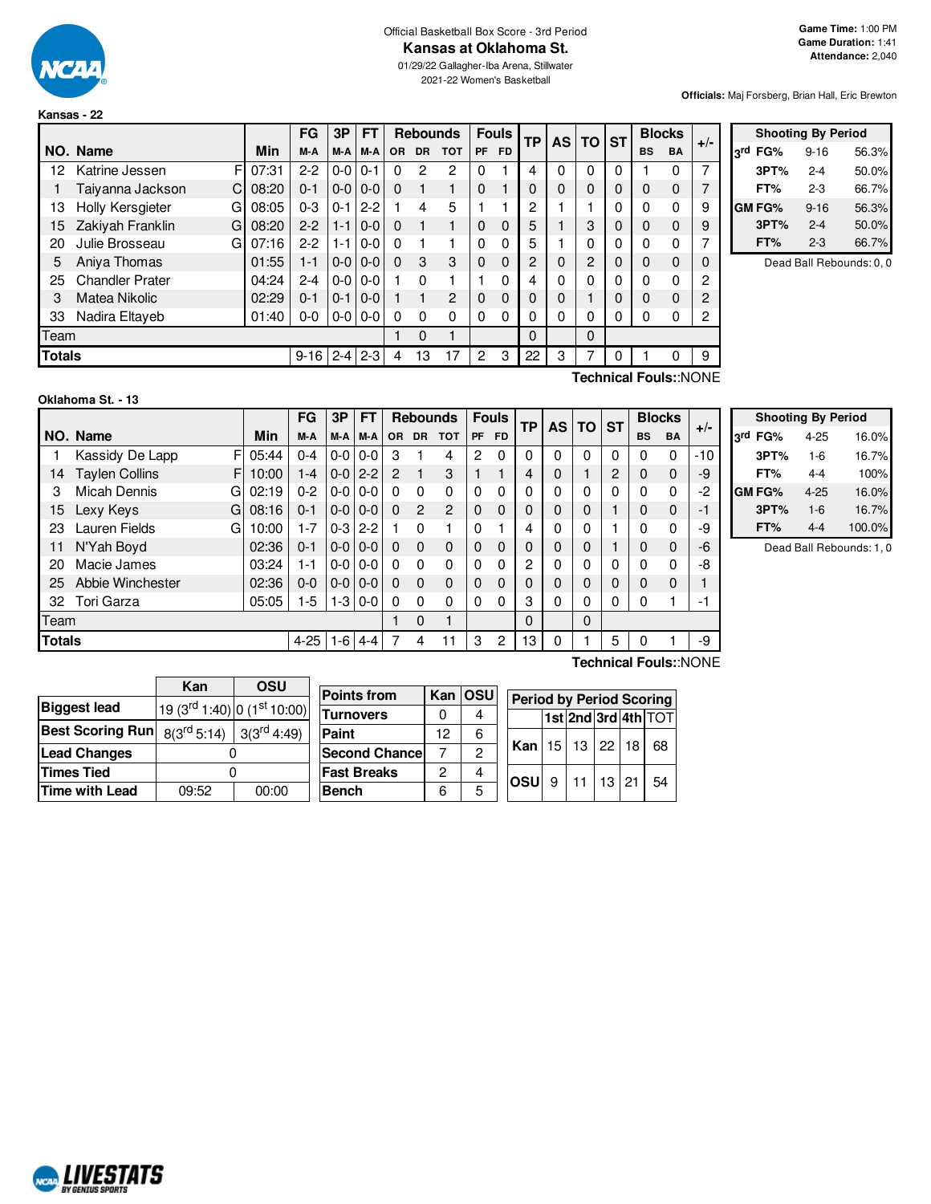

**Kansas - 22**

#### Official Basketball Box Score - 3rd Period **Kansas at Oklahoma St.**

01/29/22 Gallagher-Iba Arena, Stillwater 2021-22 Women's Basketball

**Officials:** Maj Forsberg, Brian Hall, Eric Brewton

|        |                              |       | FG           | 3P            | <b>FT</b>     |           |              | <b>Rebounds</b> |                | <b>Fouls</b> | ТP             | <b>AS</b>    | <b>TO ST</b> |   |           | <b>Blocks</b> |       |
|--------|------------------------------|-------|--------------|---------------|---------------|-----------|--------------|-----------------|----------------|--------------|----------------|--------------|--------------|---|-----------|---------------|-------|
|        | NO. Name                     | Min   | M-A          | M-A           | M-A           | <b>OR</b> | <b>DR</b>    | TOT             | <b>PF</b>      | <b>FD</b>    |                |              |              |   | <b>BS</b> | <b>BA</b>     | $+/-$ |
| 12     | F<br>Katrine Jessen          | 07:31 | $2-2$        | $0-0$         | $0 - 1$       | 0         | 2            | $\mathcal{P}$   | 0              |              | 4              | $\Omega$     | 0            | 0 |           | 0             | 7     |
|        | Taiyanna Jackson<br>C        | 08:20 | $0 - 1$      | $0 - 0 0 - 0$ |               | $\Omega$  |              |                 | $\Omega$       |              | $\Omega$       | $\mathbf{0}$ | 0            | 0 | $\Omega$  | 0             | 7     |
| 13     | <b>Holly Kersgieter</b><br>G | 08:05 | $0 - 3$      | $0 - 1$       | $2 - 2$       |           | 4            | 5               |                |              | 2              |              |              |   | $\Omega$  | 0             | 9     |
| 15     | Zakiyah Franklin<br>G        | 08:20 | $2 - 2$      | $1 - 1$       | $0 - 0$       | $\Omega$  | 1            |                 | $\Omega$       | 0            | 5              |              | 3            | 0 | 0         | 0             | 9     |
| 20     | Julie Brosseau<br>G          | 07:16 | $2-2$        | $1 - 1$       | $0 - 0$       | 0         |              |                 | 0              | 0            | 5              |              | 0            | 0 | $\Omega$  | 0             |       |
| 5      | Aniva Thomas                 | 01:55 | $1 - 1$      |               | $0 - 0 0 - 0$ | $\Omega$  | 3            | 3               | $\Omega$       | $\Omega$     | $\overline{2}$ | $\Omega$     | 2            | 0 | 0         | 0             | 0     |
| 25     | <b>Chandler Prater</b>       | 04:24 | $2 - 4$      | $0-0$         | $0 - 0$       |           | <sup>0</sup> |                 |                | 0            | 4              | 0            | 0            | O | $\Omega$  | 0             | 2     |
| 3      | Matea Nikolic                | 02:29 | $0 - 1$      | $0 - 1$       | $0 - 0$       |           |              | $\overline{2}$  | $\Omega$       | $\mathbf 0$  | $\Omega$       | 0            |              | 0 | $\Omega$  | 0             | 2     |
| 33     | Nadira Eltaveb               | 01:40 | $0 - 0$      |               | $0 - 0 0 - 0$ | $\Omega$  | $\Omega$     | $\Omega$        | $\Omega$       | 0            | 0              | 0            | 0            | 0 | 0         | 0             | 2     |
| Team   |                              |       |              |               |               |           | $\Omega$     |                 |                |              | $\Omega$       |              | $\Omega$     |   |           |               |       |
| Totals |                              |       | $9-16$   2-4 |               | $2 - 3$       | 4         | 13           | 17              | $\overline{2}$ | 3            | 22             | 3            | 7            | 0 |           | 0             | 9     |
|        | $\sim$                       |       |              |               |               |           |              |                 |                |              |                |              |              |   |           |               |       |

|               | <b>Shooting By Period</b> |       |
|---------------|---------------------------|-------|
| لrd<br>FG%    | 9-16                      | 56.3% |
| 3PT%          | $2 - 4$                   | 50.0% |
| FT%           | $2 - 3$                   | 66.7% |
| <b>GM FG%</b> | $9 - 16$                  | 56.3% |
| 3PT%          | $2 - 4$                   | 50.0% |
| FT%           | $2 - 3$                   | 66.7% |

Dead Ball Rebounds: 0, 0

| Oklahoma St. - 13 |  |  |  |  |  |
|-------------------|--|--|--|--|--|
|-------------------|--|--|--|--|--|

F 05:44 F G 02:19 G 08:16 G 10:00 **NO.** Name Min **FG 3P FT Rebounds Fouls TP AS TO ST**  $\begin{bmatrix} \mathsf{FG} & \mathsf{3P} \\ \mathsf{M-A} & \mathsf{M-A} \end{bmatrix}$  or driven total  $\begin{bmatrix} \mathsf{Fouls} \\ \mathsf{PF} & \mathsf{FD} \end{bmatrix}$  TP  $\begin{bmatrix} \mathsf{AS} & \mathsf{TS} \\ \mathsf{BS} & \mathsf{BS} \end{bmatrix}$   $\begin{bmatrix} \mathsf{BlockS} \\ \mathsf{BS} & \mathsf{BA} \end{bmatrix}$  +/-1 Kassidy De Lapp F 05:44 0-4 0-0 0-0 3 1 4 2 0 0 0 0 0 0 0 0 0 -10 14 Taylen Collins F | 10:00 | 1-4 | 0-0 | 2-2 | 2 | 1 | 3 | 1 | 1 | 4 | 0 | 1 | 2 | 0 0 | 0 | -9 3 Micah Dennis 02:19 0-2 0-0 0-0 0 0 0 0 0 0 0 0 0 0 0 -2 15 Lexy Keys 08:16 0-1 0-0 0-0 0 2 2 0 0 0 0 0 1 0 0 -1 23 Lauren Fields G | 10:00 | 1-7 | 0-3 | 2-2 | 1 | 0 | 1 | 0 1 | 4 | 0 | 0 | 1 | 0 0 | 0 | -9 11 N'Yah Boyd  $\begin{bmatrix} 02:36 & 0 & 1 & 0 & 0 & 0 & 0 & 0 & 0 & 0 & 0 & 0 & 1 & 0 & 0 & 1 & 0 & 0 & 6 \end{bmatrix}$ 20 Macie James 03:24 1-1 0-0 0-0 0 0 0 0 0 2 0 0 0 0 0 -8 25 Abbie Winchester 02:36 0-0 0-0 0-0 0 0 0 0 0 0 0 0 0 0 0 1 32 Tori Garza | 05:05 | 1-5 |1-3 | 0-0 | 0  $\,$  0  $\,$  | 0  $\,$  0  $\,$  | 0  $\,$  | 0  $\,$  | 0  $\,$  | 0  $\,$  | 0  $\,$  | 0  $\,$  | 0  $\,$  | 0  $\,$  | 0  $\,$  | 0  $\,$  | 0  $\,$  | 0  $\,$  | 0  $\,$  | 0  $\,$  | 0  $\,$  | 0  $\,$ Team 1 0 1 0 0 **Totals** 4-25 1-6 4-4 7 4 11 3 2 13 0 1 5 0 1 -9

**Technical Fouls:**:NONE

|             |        | <b>Shooting By Period</b> |        |
|-------------|--------|---------------------------|--------|
| <b>o</b> rd | FG%    | $4 - 25$                  | 16.0%  |
|             | 3PT%   | $1 - 6$                   | 16.7%  |
|             | FT%    | 4-4                       | 100%   |
|             | GM FG% | $4 - 25$                  | 16.0%  |
|             | 3PT%   | $1 - 6$                   | 16.7%  |
|             | FT%    | 4-4                       | 100.0% |

Dead Ball Rebounds: 1, 0

|                                          | Kan                                | OSU                    |                       |    |           |            |    |           |    |                                 |
|------------------------------------------|------------------------------------|------------------------|-----------------------|----|-----------|------------|----|-----------|----|---------------------------------|
|                                          |                                    |                        | <b>Points from</b>    |    | Kan   OSU |            |    |           |    | <b>Period by Period Scoring</b> |
| <b>Biggest lead</b>                      | $(19 (3rd 1:40)   0 (1st 10:00)  $ |                        |                       |    |           |            |    |           |    |                                 |
|                                          |                                    |                        | <b>Turnovers</b>      |    | 4         |            |    |           |    | 1st 2nd 3rd 4th TOT             |
| Best Scoring Run $8(3^{\text{rd}} 5:14)$ |                                    | $3(3^{\text{rd}}4:49)$ | Paint                 | 12 | 6         |            |    |           |    |                                 |
| <b>Lead Changes</b>                      |                                    |                        | <b>Second Chancel</b> |    |           | Kan        | 15 | $13$   22 | 18 | 68                              |
| <b>Times Tied</b>                        |                                    |                        | <b>Fast Breaks</b>    | റ  |           | <b>OSU</b> | 9  | 13 21     |    | 54                              |
| <b>Time with Lead</b>                    | 09:52                              | 00:00                  | Bench                 | 6  | 5         |            |    |           |    |                                 |

**Technical Fouls:**:NONE

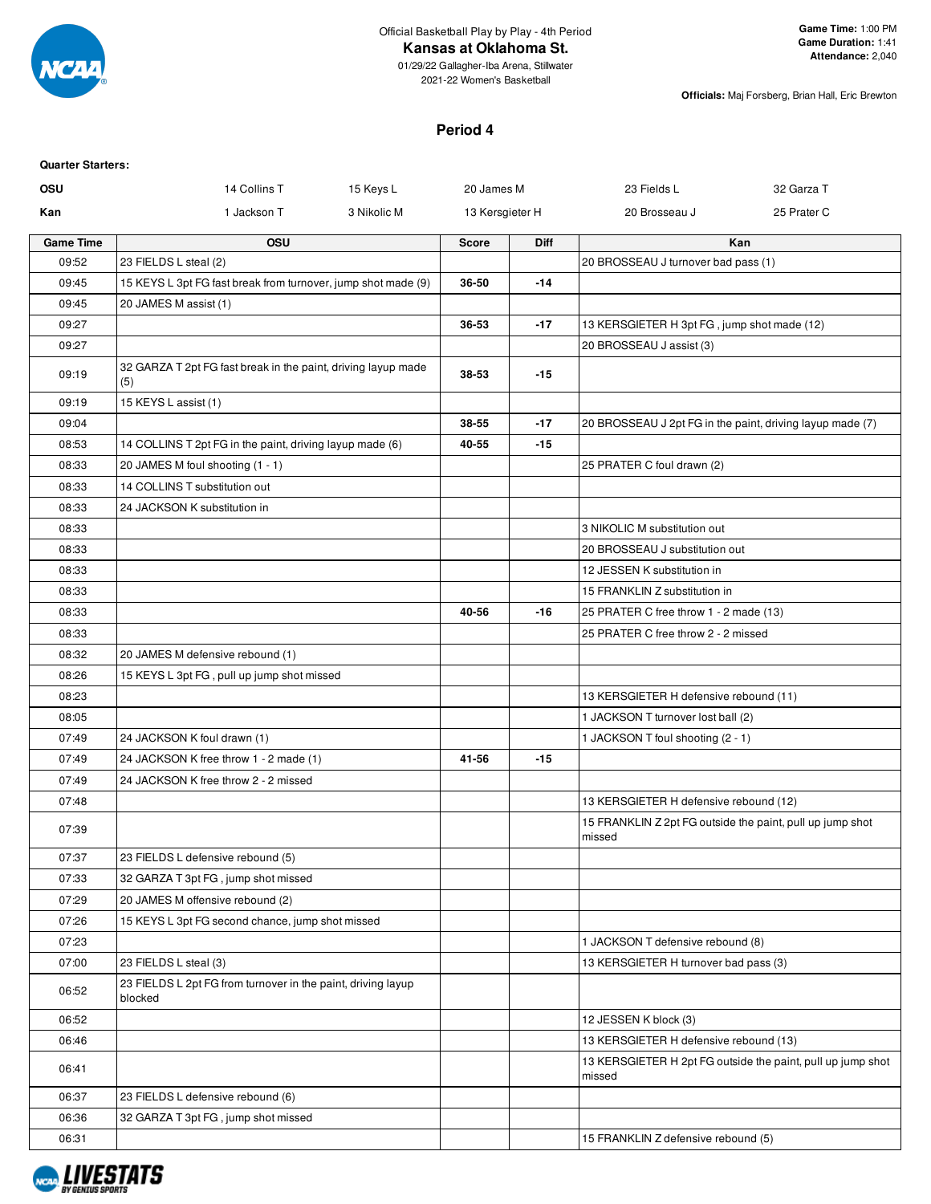

## **Kansas at Oklahoma St.**

**Officials:** Maj Forsberg, Brian Hall, Eric Brewton

## **Period 4**

| <b>Quarter Starters:</b> |                                                                         |             |                 |       |                                                                     |                                                             |
|--------------------------|-------------------------------------------------------------------------|-------------|-----------------|-------|---------------------------------------------------------------------|-------------------------------------------------------------|
| OSU                      | 14 Collins T                                                            | 15 Keys L   | 20 James M      |       | 23 Fields L                                                         | 32 Garza T                                                  |
| Kan                      | 1 Jackson T                                                             | 3 Nikolic M | 13 Kersgieter H |       | 20 Brosseau J                                                       | 25 Prater C                                                 |
| <b>Game Time</b>         | <b>OSU</b>                                                              |             | <b>Score</b>    | Diff  |                                                                     | Kan                                                         |
| 09:52                    | 23 FIELDS L steal (2)                                                   |             |                 |       | 20 BROSSEAU J turnover bad pass (1)                                 |                                                             |
| 09:45                    | 15 KEYS L 3pt FG fast break from turnover, jump shot made (9)           |             | 36-50           | $-14$ |                                                                     |                                                             |
| 09:45                    | 20 JAMES M assist (1)                                                   |             |                 |       |                                                                     |                                                             |
| 09:27                    |                                                                         |             | 36-53           | $-17$ | 13 KERSGIETER H 3pt FG, jump shot made (12)                         |                                                             |
| 09:27                    |                                                                         |             |                 |       | 20 BROSSEAU J assist (3)                                            |                                                             |
| 09:19                    | 32 GARZA T 2pt FG fast break in the paint, driving layup made<br>(5)    |             | 38-53           | $-15$ |                                                                     |                                                             |
| 09:19                    | 15 KEYS L assist (1)                                                    |             |                 |       |                                                                     |                                                             |
| 09:04                    |                                                                         |             | 38-55           | $-17$ | 20 BROSSEAU J 2pt FG in the paint, driving layup made (7)           |                                                             |
| 08:53                    | 14 COLLINS T 2pt FG in the paint, driving layup made (6)                |             | 40-55           | $-15$ |                                                                     |                                                             |
| 08:33                    | 20 JAMES M foul shooting (1 - 1)                                        |             |                 |       | 25 PRATER C foul drawn (2)                                          |                                                             |
| 08:33                    | 14 COLLINS T substitution out                                           |             |                 |       |                                                                     |                                                             |
| 08:33                    | 24 JACKSON K substitution in                                            |             |                 |       |                                                                     |                                                             |
| 08:33                    |                                                                         |             |                 |       | 3 NIKOLIC M substitution out                                        |                                                             |
| 08:33                    |                                                                         |             |                 |       | 20 BROSSEAU J substitution out                                      |                                                             |
| 08:33                    |                                                                         |             |                 |       | 12 JESSEN K substitution in                                         |                                                             |
| 08:33                    |                                                                         |             |                 |       | 15 FRANKLIN Z substitution in                                       |                                                             |
| 08:33                    |                                                                         |             | 40-56           | $-16$ | 25 PRATER C free throw 1 - 2 made (13)                              |                                                             |
| 08:33                    |                                                                         |             |                 |       | 25 PRATER C free throw 2 - 2 missed                                 |                                                             |
| 08:32                    | 20 JAMES M defensive rebound (1)                                        |             |                 |       |                                                                     |                                                             |
| 08:26                    | 15 KEYS L 3pt FG, pull up jump shot missed                              |             |                 |       |                                                                     |                                                             |
| 08:23                    |                                                                         |             |                 |       | 13 KERSGIETER H defensive rebound (11)                              |                                                             |
| 08:05                    |                                                                         |             |                 |       | 1 JACKSON T turnover lost ball (2)                                  |                                                             |
| 07:49                    | 24 JACKSON K foul drawn (1)                                             |             |                 |       | 1 JACKSON T foul shooting (2 - 1)                                   |                                                             |
| 07:49                    | 24 JACKSON K free throw 1 - 2 made (1)                                  |             | 41-56           | $-15$ |                                                                     |                                                             |
| 07:49                    | 24 JACKSON K free throw 2 - 2 missed                                    |             |                 |       |                                                                     |                                                             |
| 07:48                    |                                                                         |             |                 |       | 13 KERSGIETER H defensive rebound (12)                              |                                                             |
| 07:39                    |                                                                         |             |                 |       | 15 FRANKLIN Z 2pt FG outside the paint, pull up jump shot<br>missed |                                                             |
| 07:37                    | 23 FIELDS L defensive rebound (5)                                       |             |                 |       |                                                                     |                                                             |
| 07:33                    | 32 GARZA T 3pt FG, jump shot missed                                     |             |                 |       |                                                                     |                                                             |
| 07:29                    | 20 JAMES M offensive rebound (2)                                        |             |                 |       |                                                                     |                                                             |
| 07:26                    | 15 KEYS L 3pt FG second chance, jump shot missed                        |             |                 |       |                                                                     |                                                             |
| 07:23                    |                                                                         |             |                 |       | 1 JACKSON T defensive rebound (8)                                   |                                                             |
| 07:00                    | 23 FIELDS L steal (3)                                                   |             |                 |       | 13 KERSGIETER H turnover bad pass (3)                               |                                                             |
| 06:52                    | 23 FIELDS L 2pt FG from turnover in the paint, driving layup<br>blocked |             |                 |       |                                                                     |                                                             |
| 06:52                    |                                                                         |             |                 |       | 12 JESSEN K block (3)                                               |                                                             |
| 06:46                    |                                                                         |             |                 |       | 13 KERSGIETER H defensive rebound (13)                              |                                                             |
| 06:41                    |                                                                         |             |                 |       | missed                                                              | 13 KERSGIETER H 2pt FG outside the paint, pull up jump shot |
| 06:37                    | 23 FIELDS L defensive rebound (6)                                       |             |                 |       |                                                                     |                                                             |
| 06:36                    | 32 GARZA T 3pt FG, jump shot missed                                     |             |                 |       |                                                                     |                                                             |
| 06:31                    |                                                                         |             |                 |       | 15 FRANKLIN Z defensive rebound (5)                                 |                                                             |

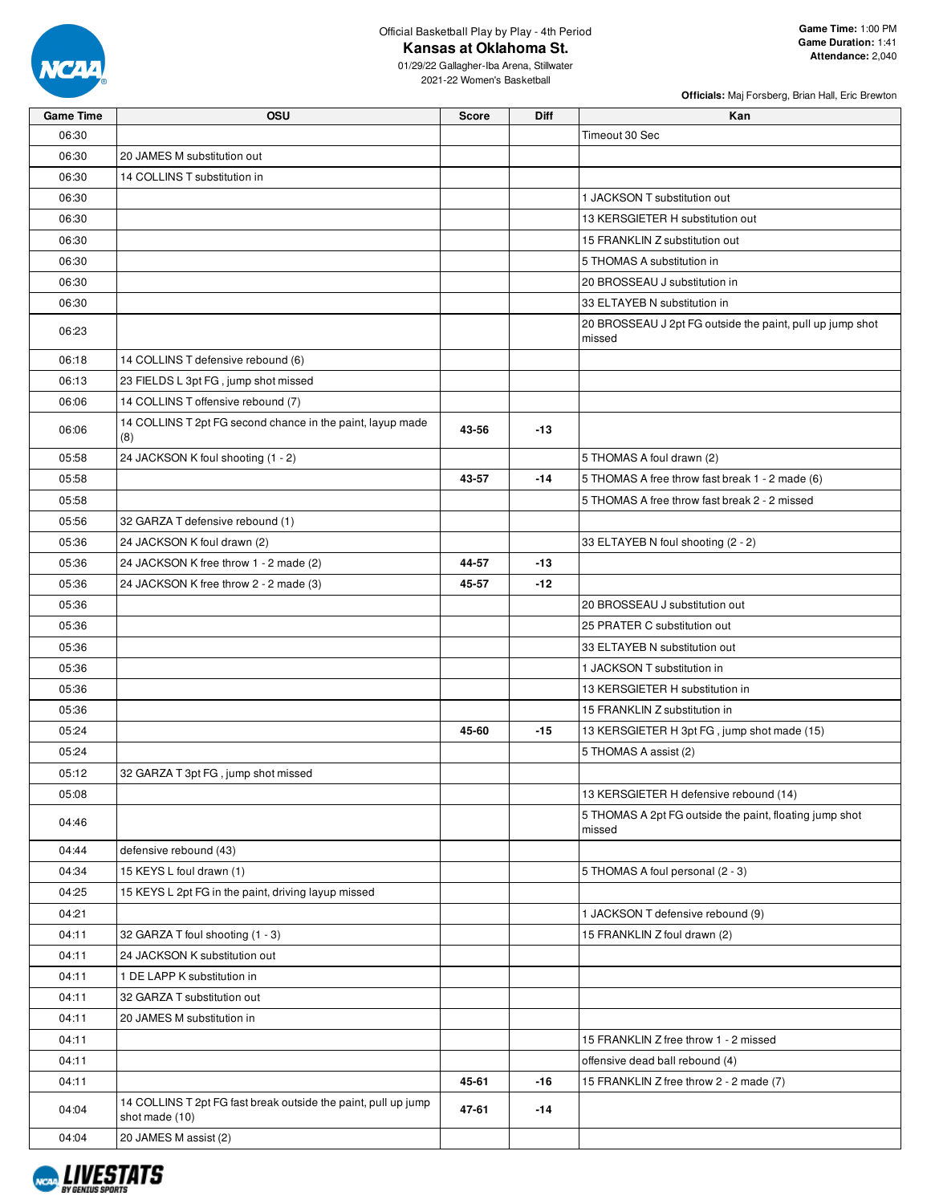

Official Basketball Play by Play - 4th Period

**Kansas at Oklahoma St.**

01/29/22 Gallagher-Iba Arena, Stillwater 2021-22 Women's Basketball

| Officials: Maj Forsberg, Brian Hall, Eric Brewton |  |  |
|---------------------------------------------------|--|--|

| <b>Game Time</b> | OSU                                                                              | <b>Score</b> | Diff  | Kan                                                                 |
|------------------|----------------------------------------------------------------------------------|--------------|-------|---------------------------------------------------------------------|
| 06:30            |                                                                                  |              |       | Timeout 30 Sec                                                      |
| 06:30            | 20 JAMES M substitution out                                                      |              |       |                                                                     |
| 06:30            | 14 COLLINS T substitution in                                                     |              |       |                                                                     |
| 06:30            |                                                                                  |              |       | 1 JACKSON T substitution out                                        |
| 06:30            |                                                                                  |              |       | 13 KERSGIETER H substitution out                                    |
| 06:30            |                                                                                  |              |       | 15 FRANKLIN Z substitution out                                      |
| 06:30            |                                                                                  |              |       | 5 THOMAS A substitution in                                          |
| 06:30            |                                                                                  |              |       | 20 BROSSEAU J substitution in                                       |
| 06:30            |                                                                                  |              |       | 33 ELTAYEB N substitution in                                        |
| 06:23            |                                                                                  |              |       | 20 BROSSEAU J 2pt FG outside the paint, pull up jump shot<br>missed |
| 06:18            | 14 COLLINS T defensive rebound (6)                                               |              |       |                                                                     |
| 06:13            | 23 FIELDS L 3pt FG, jump shot missed                                             |              |       |                                                                     |
| 06:06            | 14 COLLINS T offensive rebound (7)                                               |              |       |                                                                     |
| 06:06            | 14 COLLINS T 2pt FG second chance in the paint, layup made<br>(8)                | 43-56        | $-13$ |                                                                     |
| 05:58            | 24 JACKSON K foul shooting (1 - 2)                                               |              |       | 5 THOMAS A foul drawn (2)                                           |
| 05:58            |                                                                                  | 43-57        | $-14$ | 5 THOMAS A free throw fast break 1 - 2 made (6)                     |
| 05:58            |                                                                                  |              |       | 5 THOMAS A free throw fast break 2 - 2 missed                       |
| 05:56            | 32 GARZA T defensive rebound (1)                                                 |              |       |                                                                     |
| 05:36            | 24 JACKSON K foul drawn (2)                                                      |              |       | 33 ELTAYEB N foul shooting (2 - 2)                                  |
| 05:36            | 24 JACKSON K free throw 1 - 2 made (2)                                           | 44-57        | $-13$ |                                                                     |
| 05:36            | 24 JACKSON K free throw 2 - 2 made (3)                                           | 45-57        | $-12$ |                                                                     |
| 05:36            |                                                                                  |              |       | 20 BROSSEAU J substitution out                                      |
| 05:36            |                                                                                  |              |       | 25 PRATER C substitution out                                        |
| 05:36            |                                                                                  |              |       | 33 ELTAYEB N substitution out                                       |
| 05:36            |                                                                                  |              |       | 1 JACKSON T substitution in                                         |
| 05:36            |                                                                                  |              |       | 13 KERSGIETER H substitution in                                     |
| 05:36            |                                                                                  |              |       | 15 FRANKLIN Z substitution in                                       |
| 05:24            |                                                                                  | 45-60        | $-15$ | 13 KERSGIETER H 3pt FG, jump shot made (15)                         |
| 05:24            |                                                                                  |              |       | 5 THOMAS A assist (2)                                               |
| 05:12            | 32 GARZA T 3pt FG, jump shot missed                                              |              |       |                                                                     |
| 05:08            |                                                                                  |              |       | 13 KERSGIETER H defensive rebound (14)                              |
| 04:46            |                                                                                  |              |       | 5 THOMAS A 2pt FG outside the paint, floating jump shot<br>missed   |
| 04:44            | defensive rebound (43)                                                           |              |       |                                                                     |
| 04:34            | 15 KEYS L foul drawn (1)                                                         |              |       | 5 THOMAS A foul personal (2 - 3)                                    |
| 04:25            | 15 KEYS L 2pt FG in the paint, driving layup missed                              |              |       |                                                                     |
| 04:21            |                                                                                  |              |       | 1 JACKSON T defensive rebound (9)                                   |
| 04:11            | 32 GARZA T foul shooting (1 - 3)                                                 |              |       | 15 FRANKLIN Z foul drawn (2)                                        |
| 04:11            | 24 JACKSON K substitution out                                                    |              |       |                                                                     |
| 04:11            | 1 DE LAPP K substitution in                                                      |              |       |                                                                     |
| 04:11            | 32 GARZA T substitution out                                                      |              |       |                                                                     |
| 04:11            | 20 JAMES M substitution in                                                       |              |       |                                                                     |
| 04:11            |                                                                                  |              |       | 15 FRANKLIN Z free throw 1 - 2 missed                               |
| 04:11            |                                                                                  |              |       | offensive dead ball rebound (4)                                     |
| 04:11            |                                                                                  | 45-61        | -16   | 15 FRANKLIN Z free throw 2 - 2 made (7)                             |
| 04:04            | 14 COLLINS T 2pt FG fast break outside the paint, pull up jump<br>shot made (10) | 47-61        | -14   |                                                                     |
| 04:04            | 20 JAMES M assist (2)                                                            |              |       |                                                                     |

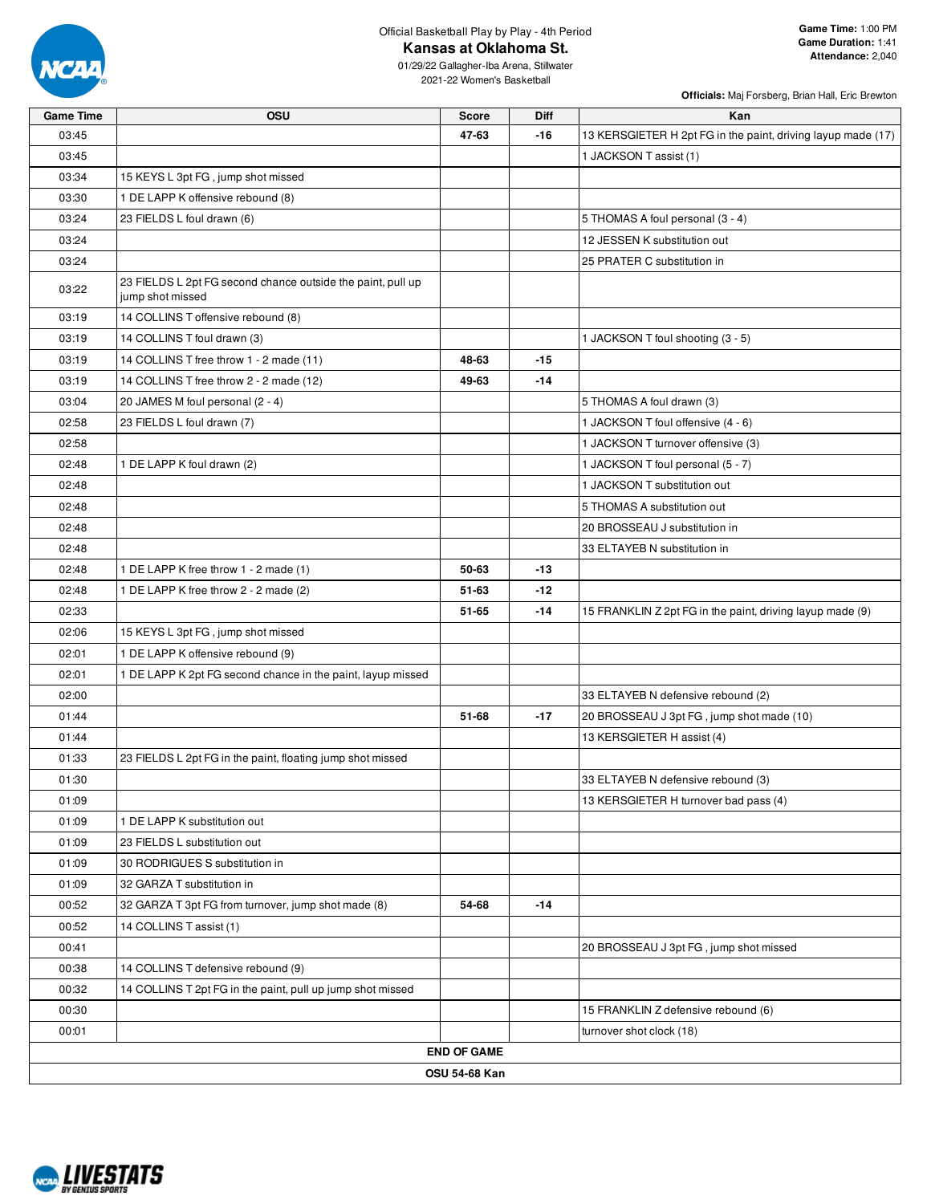

Official Basketball Play by Play - 4th Period

**Kansas at Oklahoma St.**

**Officials:** Maj Forsberg, Brian Hall, Eric Brewton

01/29/22 Gallagher-Iba Arena, Stillwater 2021-22 Women's Basketball

| <b>Game Time</b> | <b>OSU</b>                                                                      | <b>Score</b>       | <b>Diff</b> | Kan                                                          |  |  |  |  |
|------------------|---------------------------------------------------------------------------------|--------------------|-------------|--------------------------------------------------------------|--|--|--|--|
| 03:45            |                                                                                 | 47-63              | $-16$       | 13 KERSGIETER H 2pt FG in the paint, driving layup made (17) |  |  |  |  |
| 03:45            |                                                                                 |                    |             | 1 JACKSON T assist (1)                                       |  |  |  |  |
| 03:34            | 15 KEYS L 3pt FG, jump shot missed                                              |                    |             |                                                              |  |  |  |  |
| 03:30            | 1 DE LAPP K offensive rebound (8)                                               |                    |             |                                                              |  |  |  |  |
| 03:24            | 23 FIELDS L foul drawn (6)                                                      |                    |             | 5 THOMAS A foul personal (3 - 4)                             |  |  |  |  |
| 03:24            |                                                                                 |                    |             | 12 JESSEN K substitution out                                 |  |  |  |  |
| 03:24            |                                                                                 |                    |             | 25 PRATER C substitution in                                  |  |  |  |  |
| 03:22            | 23 FIELDS L 2pt FG second chance outside the paint, pull up<br>jump shot missed |                    |             |                                                              |  |  |  |  |
| 03:19            | 14 COLLINS T offensive rebound (8)                                              |                    |             |                                                              |  |  |  |  |
| 03:19            | 14 COLLINS T foul drawn (3)                                                     |                    |             | 1 JACKSON T foul shooting (3 - 5)                            |  |  |  |  |
| 03:19            | 14 COLLINS T free throw 1 - 2 made (11)                                         | 48-63              | $-15$       |                                                              |  |  |  |  |
| 03:19            | 14 COLLINS T free throw 2 - 2 made (12)                                         | 49-63              | $-14$       |                                                              |  |  |  |  |
| 03:04            | 20 JAMES M foul personal (2 - 4)                                                |                    |             | 5 THOMAS A foul drawn (3)                                    |  |  |  |  |
| 02:58            | 23 FIELDS L foul drawn (7)                                                      |                    |             | 1 JACKSON T foul offensive (4 - 6)                           |  |  |  |  |
| 02:58            |                                                                                 |                    |             | 1 JACKSON T turnover offensive (3)                           |  |  |  |  |
| 02:48            | 1 DE LAPP K foul drawn (2)                                                      |                    |             | 1 JACKSON T foul personal (5 - 7)                            |  |  |  |  |
| 02:48            |                                                                                 |                    |             | 1 JACKSON T substitution out                                 |  |  |  |  |
| 02:48            |                                                                                 |                    |             | 5 THOMAS A substitution out                                  |  |  |  |  |
| 02:48            |                                                                                 |                    |             | 20 BROSSEAU J substitution in                                |  |  |  |  |
| 02:48            |                                                                                 |                    |             | 33 ELTAYEB N substitution in                                 |  |  |  |  |
| 02:48            | 1 DE LAPP K free throw 1 - 2 made (1)                                           | 50-63              | $-13$       |                                                              |  |  |  |  |
| 02:48            | 1 DE LAPP K free throw 2 - 2 made (2)                                           | 51-63              | -12         |                                                              |  |  |  |  |
| 02:33            |                                                                                 | 51-65              | $-14$       | 15 FRANKLIN Z 2pt FG in the paint, driving layup made (9)    |  |  |  |  |
| 02:06            | 15 KEYS L 3pt FG, jump shot missed                                              |                    |             |                                                              |  |  |  |  |
| 02:01            | 1 DE LAPP K offensive rebound (9)                                               |                    |             |                                                              |  |  |  |  |
| 02:01            | 1 DE LAPP K 2pt FG second chance in the paint, layup missed                     |                    |             |                                                              |  |  |  |  |
| 02:00            |                                                                                 |                    |             | 33 ELTAYEB N defensive rebound (2)                           |  |  |  |  |
| 01:44            |                                                                                 | 51-68              | $-17$       | 20 BROSSEAU J 3pt FG, jump shot made (10)                    |  |  |  |  |
| 01:44            |                                                                                 |                    |             | 13 KERSGIETER H assist (4)                                   |  |  |  |  |
| 01:33            | 23 FIELDS L 2pt FG in the paint, floating jump shot missed                      |                    |             |                                                              |  |  |  |  |
| 01:30            |                                                                                 |                    |             | 33 ELTAYEB N defensive rebound (3)                           |  |  |  |  |
| 01:09            |                                                                                 |                    |             | 13 KERSGIETER H turnover bad pass (4)                        |  |  |  |  |
| 01:09            | 1 DE LAPP K substitution out                                                    |                    |             |                                                              |  |  |  |  |
| 01:09            | 23 FIELDS L substitution out                                                    |                    |             |                                                              |  |  |  |  |
| 01:09            | 30 RODRIGUES S substitution in                                                  |                    |             |                                                              |  |  |  |  |
| 01:09            | 32 GARZA T substitution in                                                      |                    |             |                                                              |  |  |  |  |
| 00:52            | 32 GARZA T 3pt FG from turnover, jump shot made (8)                             | 54-68              | $-14$       |                                                              |  |  |  |  |
| 00:52            | 14 COLLINS T assist (1)                                                         |                    |             |                                                              |  |  |  |  |
| 00:41            |                                                                                 |                    |             | 20 BROSSEAU J 3pt FG, jump shot missed                       |  |  |  |  |
| 00:38            | 14 COLLINS T defensive rebound (9)                                              |                    |             |                                                              |  |  |  |  |
| 00:32            | 14 COLLINS T 2pt FG in the paint, pull up jump shot missed                      |                    |             |                                                              |  |  |  |  |
| 00:30            |                                                                                 |                    |             | 15 FRANKLIN Z defensive rebound (6)                          |  |  |  |  |
| 00:01            |                                                                                 |                    |             | turnover shot clock (18)                                     |  |  |  |  |
|                  |                                                                                 | <b>END OF GAME</b> |             |                                                              |  |  |  |  |
| OSU 54-68 Kan    |                                                                                 |                    |             |                                                              |  |  |  |  |

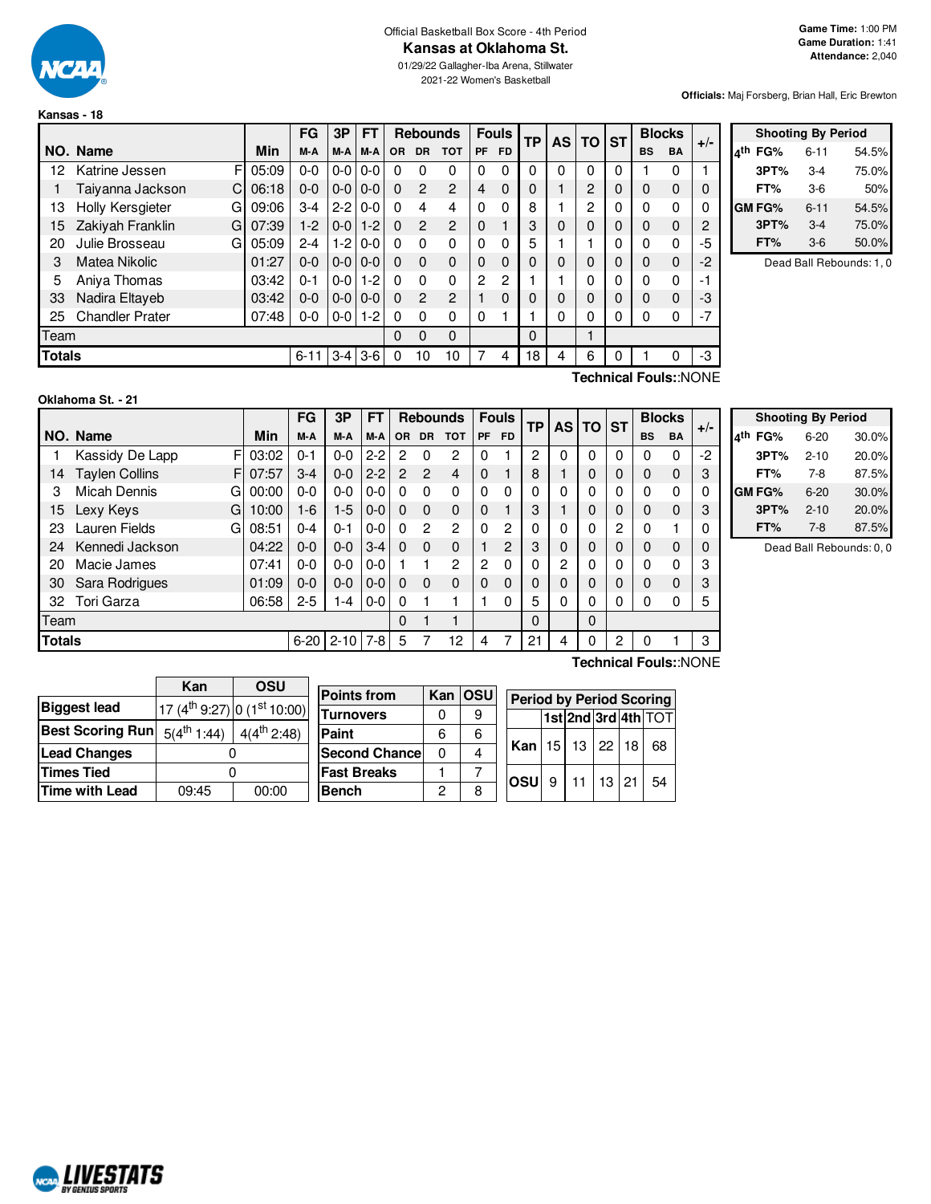

**Kansas - 18**

#### Official Basketball Box Score - 4th Period **Kansas at Oklahoma St.**

01/29/22 Gallagher-Iba Arena, Stillwater 2021-22 Women's Basketball

**Officials:** Maj Forsberg, Brian Hall, Eric Brewton

|               |                        |       | FG       | 3P      | <b>FT</b> |           |              | <b>Rebounds</b> |               | <b>Fouls</b> | ТP | AS       | TO       | <b>ST</b> |              | <b>Blocks</b> | $+/-$ |
|---------------|------------------------|-------|----------|---------|-----------|-----------|--------------|-----------------|---------------|--------------|----|----------|----------|-----------|--------------|---------------|-------|
|               | NO. Name               | Min   | M-A      | M-A     | M-A       | <b>OR</b> | <b>DR</b>    | <b>TOT</b>      | PF            | <b>FD</b>    |    |          |          |           | <b>BS</b>    | BA            |       |
| 12            | F<br>Katrine Jessen    | 05:09 | $0 - 0$  | $0-0$   | $0-0$     | 0         | 0            | $\Omega$        | 0             | 0            | 0  | 0        | 0        | 0         |              | 0             |       |
|               | Taiyanna Jackson<br>C  | 06:18 | $0 - 0$  | $0-0$   | $0 - 0$   | $\Omega$  | $\mathbf{P}$ | $\overline{2}$  | 4             | $\Omega$     | 0  |          | 2        | $\Omega$  | 0            | 0             | 0     |
| 13            | Holly Kersgieter<br>G  | 09:06 | $3-4$    | $2 - 2$ | $0-0$     | $\Omega$  | 4            | 4               | 0             | 0            | 8  |          | 2        | 0         | $\mathbf{0}$ | 0             | 0     |
| 15            | Zakiyah Franklin<br>G  | 07:39 | $1-2$    | $0 - 0$ | $1 - 2$   | $\Omega$  | 2            | $\overline{2}$  | $\Omega$      |              | 3  | $\Omega$ | $\Omega$ | $\Omega$  | 0            | $\Omega$      | 2     |
| 20            | Julie Brosseau<br>G    | 05:09 | $2 - 4$  | $1 - 2$ | $0-0$     | $\Omega$  | $\Omega$     | $\Omega$        | $\Omega$      | 0            | 5  |          |          | 0         | $\Omega$     | O             | -5    |
| 3             | Matea Nikolic          | 01:27 | $0 - 0$  | $0-0$   | $0 - 0$   | $\Omega$  | $\Omega$     | $\Omega$        | $\Omega$      | 0            | 0  | 0        | $\Omega$ | $\Omega$  | 0            | $\Omega$      | $-2$  |
| 5             | Aniya Thomas           | 03:42 | $0 - 1$  | $0-0$   | $1 - 2$   | $\Omega$  | $\Omega$     | $\mathbf{0}$    | $\mathcal{P}$ | 2            |    |          | $\Omega$ | 0         | 0            | 0             | -1    |
| 33            | Nadira Eltayeb         | 03:42 | $0 - 0$  | $0-0$   | $0-0$     | $\Omega$  | $\mathbf{P}$ | $\overline{2}$  |               | 0            | 0  | 0        | $\Omega$ | $\Omega$  | 0            | 0             | -3    |
| 25            | <b>Chandler Prater</b> | 07:48 | 0-0      | $0-0$   | $1-2$     | 0         | $\Omega$     | 0               | 0             |              |    | 0        | 0        | 0         | 0            | 0             | $-7$  |
| Team          |                        |       |          |         |           | 0         | $\Omega$     | $\Omega$        |               |              | 0  |          |          |           |              |               |       |
| <b>Totals</b> |                        |       | $6 - 11$ | $3 - 4$ | $3-6$     | 0         | 10           | 10              | 7             | 4            | 18 | 4        | 6        | 0         |              |               | -3    |

|     | <b>Shooting By Period</b> |          |       |  |  |  |  |  |  |  |
|-----|---------------------------|----------|-------|--|--|--|--|--|--|--|
| ۸th | FG%                       | $6 - 11$ | 54.5% |  |  |  |  |  |  |  |
|     | 3PT%                      | 3-4      | 75.0% |  |  |  |  |  |  |  |
|     | FT%                       | 3-6      | 50%   |  |  |  |  |  |  |  |
|     | <b>GM FG%</b>             | 6-11     | 54.5% |  |  |  |  |  |  |  |
|     | 3PT%                      | $3-4$    | 75.0% |  |  |  |  |  |  |  |
|     | FT%                       | 3-6      | 50.0% |  |  |  |  |  |  |  |

Dead Ball Rebounds: 1, 0

#### **Oklahoma St. - 21**

F 03:02 F 07:57 G 00:00 G 10:00 G 08:51 **NO.** Name Min **FG 3P FT Rebounds Fouls TP AS TO ST**  $\begin{bmatrix} \mathsf{FG} \end{bmatrix}$   $\begin{bmatrix} \mathsf{3P} \end{bmatrix}$   $\begin{bmatrix} \mathsf{FT} \end{bmatrix}$   $\begin{bmatrix} \mathsf{Rebounds} \end{bmatrix}$   $\begin{bmatrix} \mathsf{F} \end{bmatrix}$   $\begin{bmatrix} \mathsf{F} \end{bmatrix}$   $\begin{bmatrix} \mathsf{TP} \end{bmatrix}$   $\begin{bmatrix} \mathsf{AS} \end{bmatrix}$   $\begin{bmatrix} \mathsf{ST} \end{bmatrix}$   $\begin{bmatrix} \mathsf{BlockS} \ \mathsf{BA} \end{bmatrix}$  1 Kassidy De Lapp F 03:02 0-1 0-0 2-2 2 0 2 0 1 2 0 0 0 0 0 0 -2 14 Taylen Collins F | 07:57 | 3-4 | 0-0 | 2-2 | 2 2 4 | 0 1 | 8 | 1 | 0 | 0 | 0 | 0 | 3 3 Micah Dennis 00:00 0-0 0-0 0-0 0 0 0 0 0 0 0 0 0 0 0 0 15 Lexy Keys G | 10:00 | 1-6 | 1-5 | 0-0 | 0 0 0 0 0 1 | 3 | 1 | 0 | 0 | 0 0 | 3 23 Lauren Fields G 08:51 0-4 0-1 0-0 0 2 2 0 2 0 0 0 2 0 1 0 24 Kennedi Jackson 04:22 0-0 0-0 3-4 0 0 0 1 2 3 0 0 0 0 0 0 20 Macie James 07:41 | 0-0 | 0-0 | 0-0 | 1 1 2 | 2 0 | 0 | 2 | 0 | 0 | 0 | 0 | 3 30 Sara Rodrigues 01:09 0-0 0-0 0-0 0 0 0 0 0 0 0 0 0 0 0 3 32 Tori Garza 06:58 2-5 1-4 0-0 0 1 1 1 0 5 0 0 0 0 0 5 Team | 0 1 1 | | 0 | | 0 **Totals** 6-20 2-10 7-8 5 7 12 4 7 21 4 0 2 0 1 3

| Technical Fouls::NONE |  |
|-----------------------|--|
|-----------------------|--|

|     | <b>Shooting By Period</b> |          |       |  |  |  |  |  |  |  |
|-----|---------------------------|----------|-------|--|--|--|--|--|--|--|
| ⊿th | FG%                       | $6 - 20$ | 30.0% |  |  |  |  |  |  |  |
|     | 3PT%                      | $2 - 10$ | 20.0% |  |  |  |  |  |  |  |
|     | FT%                       | 7-8      | 87.5% |  |  |  |  |  |  |  |
|     | GM FG%                    | $6 - 20$ | 30.0% |  |  |  |  |  |  |  |
|     | 3PT%                      | $2 - 10$ | 20.0% |  |  |  |  |  |  |  |
|     | FT%                       | $7 - 8$  | 87.5% |  |  |  |  |  |  |  |

Dead Ball Rebounds: 0, 0

|                                           | Kan   | <b>OSU</b>                                           |                       |   |           |                                 |    |    |       |    |                     |
|-------------------------------------------|-------|------------------------------------------------------|-----------------------|---|-----------|---------------------------------|----|----|-------|----|---------------------|
|                                           |       |                                                      | <b>Points from</b>    |   | Kan   OSU | <b>Period by Period Scoring</b> |    |    |       |    |                     |
| <b>Biggest lead</b>                       |       | $(17 (4^{\text{th}})9.27)$ 0 $(1^{\text{st}})10.00)$ |                       |   |           |                                 |    |    |       |    |                     |
|                                           |       |                                                      | <b>Turnovers</b>      |   | 9         |                                 |    |    |       |    | 1st 2nd 3rd 4th TOT |
| Best Scoring Run $ 5(4^{\text{th}}1.44) $ |       | $4(4^{\text{th}} 2:48)$                              | Paint                 | 6 |           |                                 |    |    |       |    |                     |
| <b>Lead Changes</b>                       |       |                                                      | <b>Second Chancel</b> |   |           | Kan                             | 15 | 13 | 22    | 18 | 68                  |
| Times Tied                                |       |                                                      | <b>Fast Breaks</b>    |   |           | <b>losul</b>                    | 9  |    | 13 21 |    | 54                  |
| Time with Lead                            | 09:45 | 00:00                                                | <b>Bench</b>          | C |           |                                 |    |    |       |    |                     |

**Technical Fouls:**:NONE

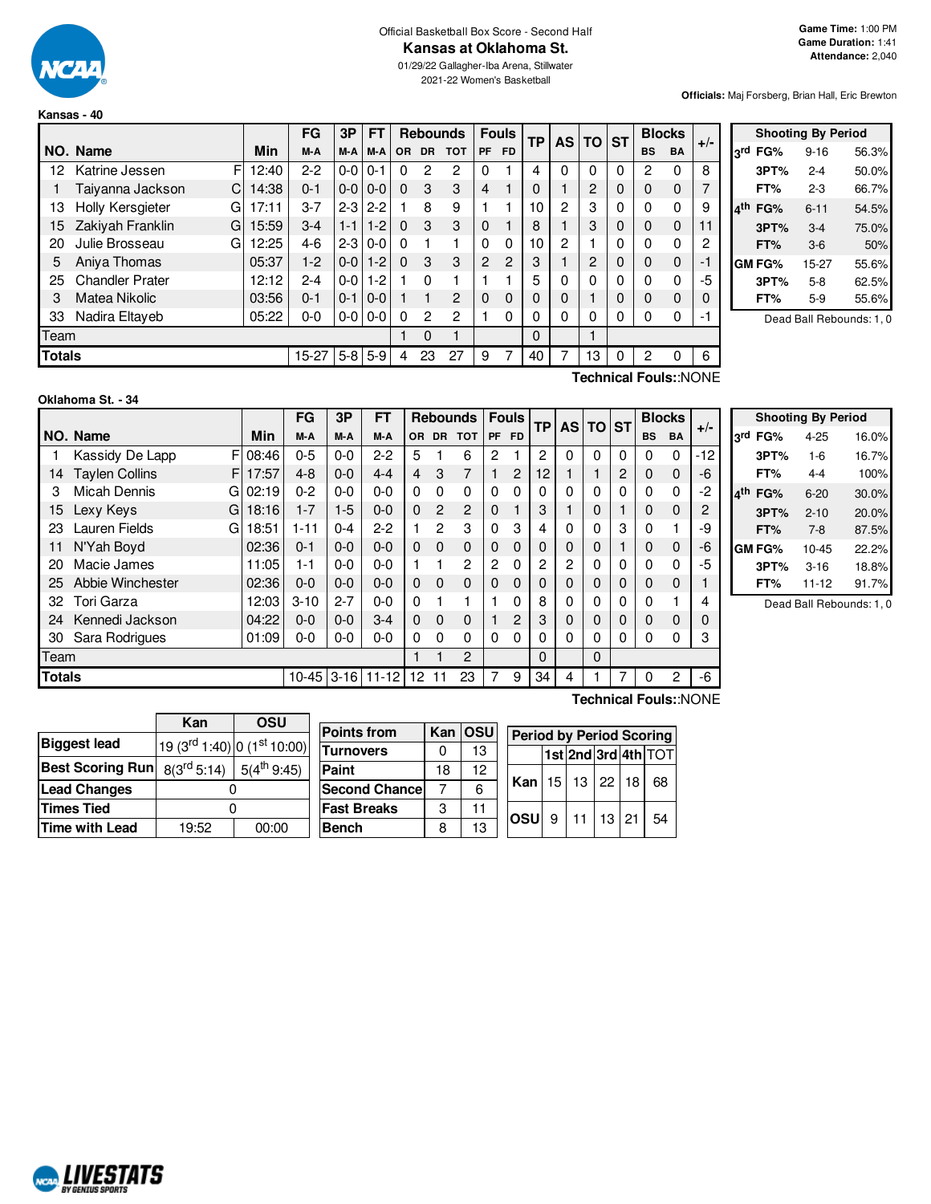

#### Official Basketball Box Score - Second Half **Kansas at Oklahoma St.**

01/29/22 Gallagher-Iba Arena, Stillwater

**Forsberg, Brian Hall, Eric Brewton** 

| Kansas - 40 |  |
|-------------|--|
|             |  |

|        |                        | 2021-22 Women's Basketball<br><b>Officials: Ma</b> |       |           |               |           |          |       |                 |                |              |           |                |                |           |              |               |       |                |
|--------|------------------------|----------------------------------------------------|-------|-----------|---------------|-----------|----------|-------|-----------------|----------------|--------------|-----------|----------------|----------------|-----------|--------------|---------------|-------|----------------|
|        | Kansas - 40            |                                                    |       |           |               |           |          |       |                 |                |              |           |                |                |           |              |               |       |                |
|        |                        |                                                    |       | FG        | 3P            | <b>FT</b> |          |       | <b>Rebounds</b> |                | <b>Fouls</b> | <b>TP</b> |                | AS TO          | <b>ST</b> |              | <b>Blocks</b> | $+/-$ |                |
|        | NO. Name               |                                                    | Min   | M-A       | M-A           | M-A       |          | OR DR | <b>TOT</b>      | PF             | <b>FD</b>    |           |                |                |           | <b>BS</b>    | <b>BA</b>     |       | 3              |
| 12     | Katrine Jessen         | F                                                  | 12:40 | $2 - 2$   | $0-0$         | $0 - 1$   | 0        | 2     | 2               | 0              |              | 4         | $\Omega$       | $\Omega$       | 0         | 2            | 0             | 8     |                |
|        | Taiyanna Jackson       | C.                                                 | 14:38 | $0 - 1$   | $0-0$         | $0 - 0$   | $\Omega$ | 3     | 3               | $\overline{4}$ |              | 0         |                | $\overline{2}$ | $\Omega$  | $\Omega$     | $\mathbf 0$   |       |                |
| 13     | Holly Kersgieter       | G                                                  | 17:11 | $3 - 7$   | $2 - 312 - 2$ |           |          | 8     | 9               |                |              | 10        | $\overline{c}$ | 3              | 0         | $\Omega$     | 0             | 9     | 4 <sup>1</sup> |
| 15     | Zakiyah Franklin       | GI                                                 | 15:59 | $3-4$     | $1 - 1$       | $1 - 2$   | $\Omega$ | 3     | 3               | 0              |              | 8         |                | 3              | 0         | 0            | $\mathbf 0$   | 11    |                |
| 20     | Julie Brosseau         | GI                                                 | 12:25 | $4-6$     | $2 - 3$       | $0-0$     | $\Omega$ |       | 1               | $\Omega$       | $\Omega$     | 10        | $\overline{2}$ |                | 0         | 0            | 0             | 2     |                |
| 5      | Aniya Thomas           |                                                    | 05:37 | $1-2$     | $0-0$         | $1 - 2$   | $\Omega$ | 3     | 3               | $\overline{c}$ | 2            | 3         |                | 2              | 0         | 0            | $\mathbf 0$   | $-1$  | G              |
| 25     | <b>Chandler Prater</b> |                                                    | 12:12 | $2 - 4$   | $0-0$         | $1-2$     |          | 0     | 1               |                |              | 5         | 0              | O              | 0         | 0            | 0             | -5    |                |
| 3      | Matea Nikolic          |                                                    | 03:56 | $0 - 1$   | $0 - 1$       | $0 - 0$   |          |       | $\overline{c}$  | 0              | $\mathbf 0$  | 0         | 0              |                | 0         | $\mathbf{0}$ | $\mathbf 0$   |       |                |
| 33     | Nadira Eltayeb         |                                                    | 05:22 | $0 - 0$   | $0-0$         | $0-0$     | $\Omega$ | 2     | 2               |                | $\Omega$     | 0         | $\Omega$       | 0              | 0         | $\Omega$     | 0             | -1    |                |
| Team   |                        |                                                    |       |           |               |           |          | 0     |                 |                |              | 0         |                |                |           |              |               |       |                |
| Totals |                        |                                                    |       | $15 - 27$ | $5-8$         | l 5-9     | 4        | 23    | 27              | 9              |              | 40        |                | 13             | 0         | 2            | 0             | 6     |                |

|     |        | <b>Shooting By Period</b> |                          |
|-----|--------|---------------------------|--------------------------|
| لrd | FG%    | $9 - 16$                  | 56.3%                    |
|     | 3PT%   | $2 - 4$                   | 50.0%                    |
|     | FT%    | $2-3$                     | 66.7%                    |
|     | FG%    | $6 - 11$                  | 54.5%                    |
|     | 3PT%   | $3-4$                     | 75.0%                    |
|     | FT%    | $3-6$                     | 50%                      |
|     | GM FG% | 15-27                     | 55.6%                    |
|     | 3PT%   | $5-8$                     | 62.5%                    |
|     | FT%    | $5-9$                     | 55.6%                    |
|     |        |                           | Dead Ball Rebounds: 1, 0 |

**Oklahoma St. - 34**

**Technical Fouls:**:NONE

|               |                            |       | FG        | 3P      | <b>FT</b>    |                 | <b>Rebounds</b><br>OR DR TOT |             |           | <b>Fouls</b> | <b>TP</b> |          | <b>AS TO</b> | <b>ST</b> | <b>Blocks</b> |           | $+/-$ |
|---------------|----------------------------|-------|-----------|---------|--------------|-----------------|------------------------------|-------------|-----------|--------------|-----------|----------|--------------|-----------|---------------|-----------|-------|
|               | NO. Name                   | Min   | M-A       | M-A     | M-A          |                 |                              |             | <b>PF</b> | <b>FD</b>    |           |          |              |           | <b>BS</b>     | <b>BA</b> |       |
|               | F<br>Kassidy De Lapp       | 08:46 | $0 - 5$   | $0 - 0$ | $2 - 2$      | 5               |                              | 6           | 2         |              | 2         | 0        | $\Omega$     | 0         | 0             | $\Omega$  | $-12$ |
| 14            | <b>Taylen Collins</b><br>F | 17:57 | $4 - 8$   | $0 - 0$ | $4 - 4$      | 4               | 3                            | 7           |           | 2            | 12        |          |              | 2         | 0             | $\Omega$  | $-6$  |
| 3             | <b>Micah Dennis</b><br>GI  | 02:19 | $0 - 2$   | $0 - 0$ | $0 - 0$      | $\Omega$        | $\Omega$                     | 0           | 0         | 0            | 0         | 0        | 0            | 0         | 0             | $\Omega$  | $-2$  |
| 15            | Lexy Keys<br>G             | 18:16 | $1 - 7$   | $1-5$   | $0 - 0$      | $\Omega$        | $\overline{c}$               | 2           | 0         |              | 3         |          | $\mathbf 0$  |           | 0             | $\Omega$  | 2     |
| 23            | <b>Lauren Fields</b><br>G  | 18:51 | $1 - 11$  | $0 - 4$ | $2 - 2$      |                 | 2                            | 3           | 0         | 3            | 4         | 0        | $\mathbf 0$  | 3         | $\Omega$      |           | -9    |
| 11            | N'Yah Boyd                 | 02:36 | $0 - 1$   | $0 - 0$ | $0 - 0$      | $\Omega$        | $\Omega$                     | 0           | 0         | $\Omega$     | 0         | $\Omega$ | 0            |           | 0             | $\Omega$  | -6    |
| 20            | Macie James                | 11:05 | $1 - 1$   | $0 - 0$ | $0 - 0$      |                 |                              | 2           | 2         | 0            | 2         | 2        | 0            | 0         | $\Omega$      | $\Omega$  | -5    |
| 25            | Abbie Winchester           | 02:36 | $0 - 0$   | $0 - 0$ | $0 - 0$      | $\Omega$        | $\Omega$                     | $\mathbf 0$ | 0         | $\Omega$     | 0         | $\Omega$ | 0            | 0         | 0             | $\Omega$  |       |
| 32            | Tori Garza                 | 12:03 | $3 - 10$  | $2 - 7$ | $0 - 0$      | $\Omega$        |                              |             |           | 0            | 8         | $\Omega$ | 0            | 0         | $\Omega$      |           | 4     |
| 24            | Kennedi Jackson            | 04:22 | $0-0$     | $0 - 0$ | $3 - 4$      | $\Omega$        | $\Omega$                     | 0           |           | 2            | 3         | $\Omega$ | 0            | $\Omega$  | $\Omega$      | $\Omega$  | 0     |
| 30            | Sara Rodrigues             | 01:09 | $0-0$     | $0 - 0$ | $0 - 0$      | $\Omega$        | $\Omega$                     | 0           | 0         | 0            | 0         | 0        | 0            | 0         | 0             | $\Omega$  | 3     |
| Team          |                            |       |           |         |              |                 |                              | 2           |           |              | 0         |          | $\Omega$     |           |               |           |       |
| <b>Totals</b> |                            |       | $10 - 45$ |         | $3-16$ 11-12 | 12 <sup>°</sup> |                              | 23          | 7         | 9            | 34        | 4        |              | 7         | $\Omega$      | 2         | -6    |

|            |        | <b>Shooting By Period</b> |       |
|------------|--------|---------------------------|-------|
| <b>ord</b> | FG%    | 4-25                      | 16.0% |
|            | 3PT%   | $1 - 6$                   | 16.7% |
|            | FT%    | $4-4$                     | 100%  |
|            | FG%    | $6 - 20$                  | 30.0% |
|            | 3PT%   | $2 - 10$                  | 20.0% |
|            | FT%    | $7-8$                     | 87.5% |
|            | GM FG% | $10 - 45$                 | 22.2% |
|            | 3PT%   | $3 - 16$                  | 18.8% |
|            | FT%    | $11 - 12$                 | 91.7% |

Dead Ball Rebounds: 1, 0

|                                                 | Kan                                | OSU             |                      |    |         |                                 |                 |                 |           |    |                         |
|-------------------------------------------------|------------------------------------|-----------------|----------------------|----|---------|---------------------------------|-----------------|-----------------|-----------|----|-------------------------|
|                                                 |                                    |                 | <b>Points from</b>   |    | Kan OSU | <b>Period by Period Scoring</b> |                 |                 |           |    |                         |
| <b>Biggest lead</b>                             | $(19 (3rd 1:40)   0 (1st 10:00)  $ |                 | <b>Turnovers</b>     | 0  | 13      |                                 |                 |                 |           |    | $ 1st 2nd 3rd 4th $ TOT |
| Best Scoring Run $\mid$ 8(3 <sup>rd</sup> 5:14) |                                    | $5(4^{th}9:45)$ | Paint                | 18 | 12      |                                 |                 |                 |           |    |                         |
| <b>Lead Changes</b>                             |                                    |                 | <b>Second Chance</b> |    | 6       | Kan                             | 15 <sub>l</sub> | 13 <sup>1</sup> | 122       | 18 | 68                      |
| Times Tied                                      |                                    |                 | <b>Fast Breaks</b>   | 3  |         |                                 |                 | 11              | $13 \ 21$ |    |                         |
| Time with Lead                                  | 19:52                              | 00:00           | <b>Bench</b>         | 8  | 13      | <b>losul</b>                    | 9               |                 |           |    | 54                      |
|                                                 |                                    |                 |                      |    |         |                                 |                 |                 |           |    |                         |

**Technical Fouls:**:NONE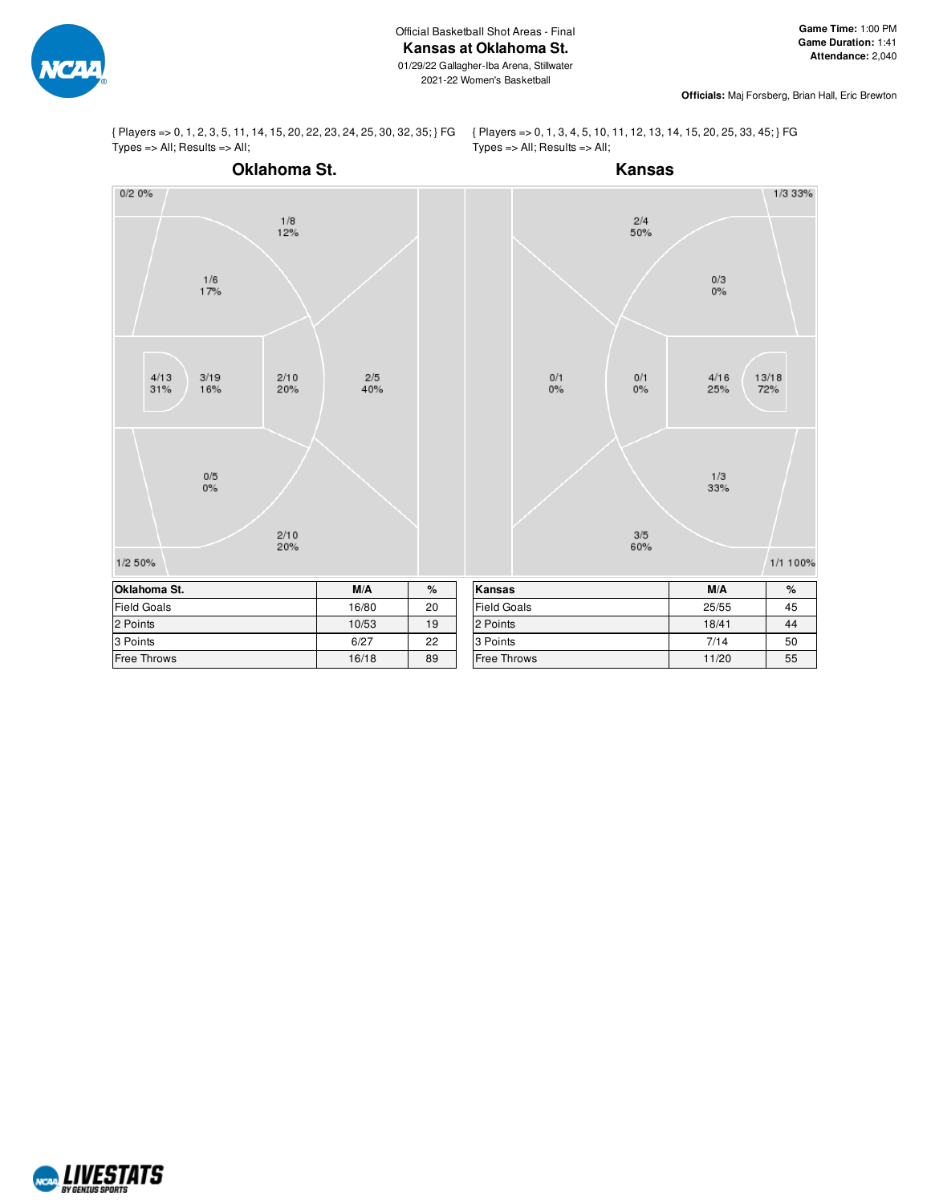

{ Players => 0, 1, 2, 3, 5, 11, 14, 15, 20, 22, 23, 24, 25, 30, 32, 35; } FG Types => All; Results => All;

{ Players => 0, 1, 3, 4, 5, 10, 11, 12, 13, 14, 15, 20, 25, 33, 45; } FG  $Types = > All; Results => All;$ 



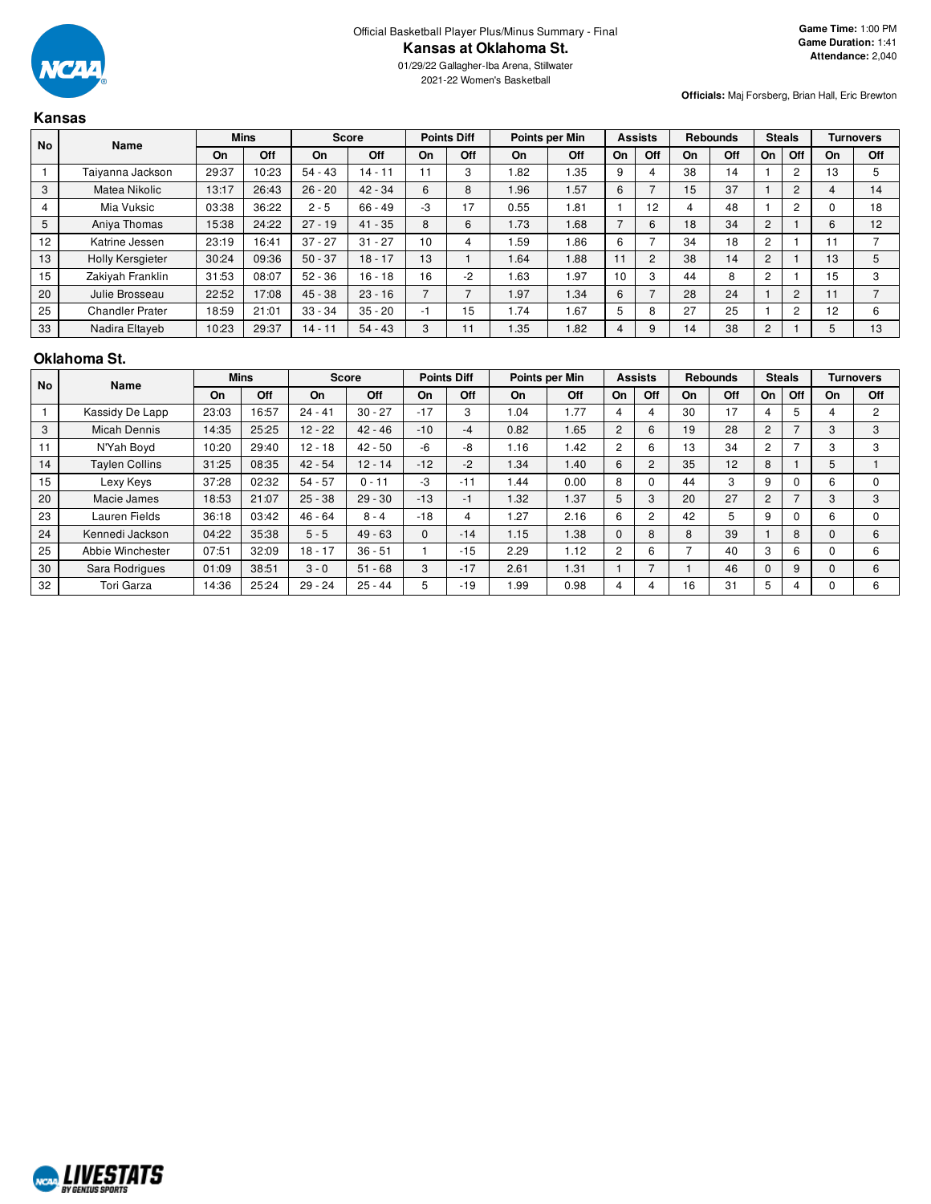

2021-22 Women's Basketball

**Officials:** Maj Forsberg, Brian Hall, Eric Brewton

## **Kansas**

| <b>No</b> | <b>Name</b>            |       | <b>Mins</b> |           | <b>Score</b> |                          | <b>Points Diff</b> |      | Points per Min |    | <b>Assists</b> |    | <b>Rebounds</b> |                | <b>Steals</b>  |    | <b>Turnovers</b> |
|-----------|------------------------|-------|-------------|-----------|--------------|--------------------------|--------------------|------|----------------|----|----------------|----|-----------------|----------------|----------------|----|------------------|
|           |                        | On    | Off         | On        | Off          | On                       | Off                | On   | Off            | On | Off            | On | Off             | On             | Off            | On | Off              |
|           | Taiyanna Jackson       | 29:37 | 10:23       | $54 - 43$ | 14 - 11      | 11                       | 3                  | .82  | 1.35           | 9  |                | 38 | 14              |                | $\overline{2}$ | 13 |                  |
| 3         | Matea Nikolic          | 13:17 | 26:43       | $26 - 20$ | $42 - 34$    | 6                        | 8                  | 1.96 | 1.57           | 6  |                | 15 | 37              |                | $\overline{c}$ |    | 14               |
| 4         | Mia Vuksic             | 03:38 | 36:22       | $2 - 5$   | 66 - 49      | -3                       | 17                 | 0.55 | 1.81           |    | 12             |    | 48              |                | 2              |    | 18               |
| 5         | Aniya Thomas           | 15:38 | 24:22       | $27 - 19$ | $41 - 35$    | 8                        | 6                  | 1.73 | 1.68           |    | 6              | 18 | 34              | $\overline{2}$ |                | 6  | 12               |
| 12        | Katrine Jessen         | 23:19 | 16:41       | $37 - 27$ | $31 - 27$    | 10                       |                    | .59  | 1.86           | 6  |                | 34 | 18              | 2              |                |    |                  |
| 13        | Holly Kersgieter       | 30:24 | 09:36       | $50 - 37$ | $18 - 17$    | 13                       |                    | 1.64 | 1.88           | 11 | 2              | 38 | 14              | $\overline{2}$ |                | 13 |                  |
| 15        | Zakiyah Franklin       | 31:53 | 08:07       | $52 - 36$ | $16 - 18$    | 16                       | -2                 | . 63 | 1.97           | 10 | З              | 44 | 8               | $\overline{2}$ |                | 15 |                  |
| 20        | Julie Brosseau         | 22:52 | 17:08       | $45 - 38$ | $23 - 16$    | $\overline{\phantom{0}}$ |                    | 1.97 | 1.34           | 6  |                | 28 | 24              |                | $\overline{2}$ |    |                  |
| 25        | <b>Chandler Prater</b> | 18:59 | 21:01       | $33 - 34$ | $35 - 20$    | -1                       | 15                 | 1.74 | 1.67           |    | 8              | 27 | 25              |                | $\overline{c}$ | 12 |                  |
| 33        | Nadira Eltayeb         | 10:23 | 29:37       | 14 - 11   | $54 - 43$    | 3                        |                    | .35  | 1.82           | 4  | 9              | 14 | 38              | 2              |                |    | 13               |

#### **Oklahoma St.**

| <b>No</b> | Name                  |       | <b>Mins</b> |           | <b>Score</b> |       | <b>Points Diff</b> |      | Points per Min |                | <b>Assists</b> |    | <b>Rebounds</b> |                | <b>Steals</b> |    | <b>Turnovers</b> |
|-----------|-----------------------|-------|-------------|-----------|--------------|-------|--------------------|------|----------------|----------------|----------------|----|-----------------|----------------|---------------|----|------------------|
|           |                       | On    | Off         | On        | Off          | On    | Off                | On   | Off            | On             | Off            | On | Off             | On             | Off           | On | Off              |
|           | Kassidy De Lapp       | 23:03 | 16:57       | $24 - 41$ | $30 - 27$    | $-17$ | 3                  | .04  | 1.77           |                | 4              | 30 | 17              | 4              | 5             |    | 2                |
| 3         | <b>Micah Dennis</b>   | 14:35 | 25:25       | $12 - 22$ | $42 - 46$    | $-10$ | $-4$               | 0.82 | 1.65           | $\overline{2}$ | 6              | 19 | 28              | $\overline{2}$ |               | 3  | 3                |
| 11        | N'Yah Boyd            | 10:20 | 29:40       | $12 - 18$ | $42 - 50$    | -6    | -8                 | 1.16 | 1.42           | $\overline{2}$ | 6              | 13 | 34              | 2              |               | 3  | 3                |
| 14        | <b>Taylen Collins</b> | 31:25 | 08:35       | $42 - 54$ | $12 - 14$    | $-12$ | $-2$               | 1.34 | 1.40           | 6              | 2              | 35 | 12              | 8              |               | 5  |                  |
| 15        | Lexy Keys             | 37:28 | 02:32       | $54 - 57$ | $0 - 11$     | -3    | $-11$              | .44  | 0.00           | 8              |                | 44 | 3               | 9              |               | 6  | $\Omega$         |
| 20        | Macie James           | 18:53 | 21:07       | $25 - 38$ | $29 - 30$    | $-13$ | $-1$               | 1.32 | 1.37           | 5              | 3              | 20 | 27              | $\overline{2}$ |               | 3  | 3                |
| 23        | Lauren Fields         | 36:18 | 03:42       | $46 - 64$ | $8 - 4$      | $-18$ | 4                  | .27  | 2.16           | 6              | $\overline{2}$ | 42 | 5               | 9              |               | 6  | $\Omega$         |
| 24        | Kennedi Jackson       | 04:22 | 35:38       | $5 - 5$   | $49 - 63$    | 0     | $-14$              | 1.15 | 1.38           |                | 8              | 8  | 39              |                | 8             |    | 6                |
| 25        | Abbie Winchester      | 07:51 | 32:09       | $18 - 17$ | $36 - 51$    |       | $-15$              | 2.29 | 1.12           | $\overline{2}$ | 6              |    | 40              | 3              | 6             |    | 6                |
| 30        | Sara Rodrigues        | 01:09 | 38:51       | $3 - 0$   | $51 - 68$    | 3     | $-17$              | 2.61 | 1.31           |                |                |    | 46              | $\Omega$       | 9             |    | 6                |
| 32        | Tori Garza            | 14:36 | 25:24       | $29 - 24$ | $25 - 44$    | 5     | $-19$              | .99  | 0.98           |                | 4              | 16 | 31              | 5              |               |    | 6                |

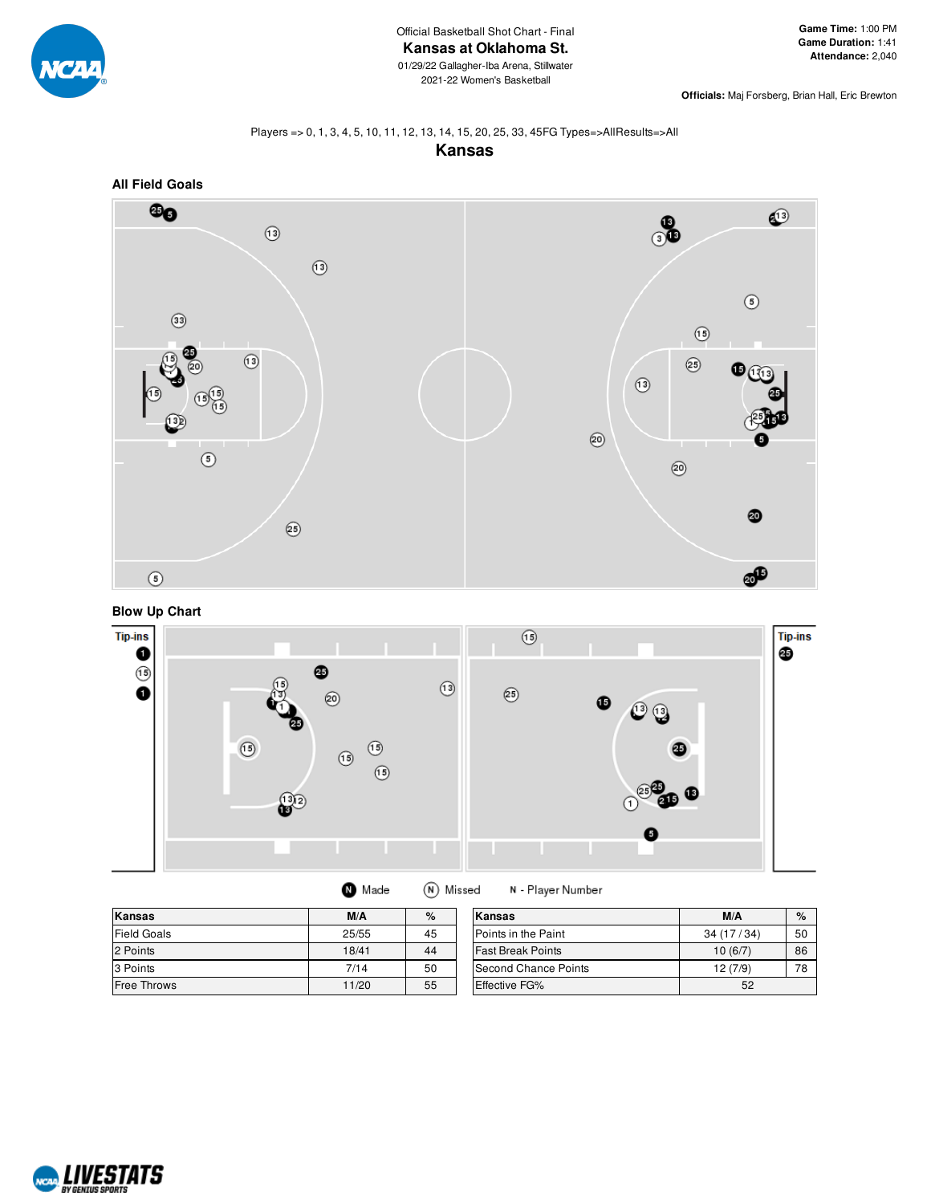

**Officials:** Maj Forsberg, Brian Hall, Eric Brewton

# Players => 0, 1, 3, 4, 5, 10, 11, 12, 13, 14, 15, 20, 25, 33, 45FG Types=>AllResults=>All









| Kansas             | M/A   | $\%$ | Kansas                   | M/A       | %  |
|--------------------|-------|------|--------------------------|-----------|----|
| Field Goals        | 25/55 | 45   | Points in the Paint      | 34(17/34) | 50 |
| 2 Points           | 18/41 | 44   | <b>Fast Break Points</b> | 10(6/7)   | 86 |
| 3 Points           | 7/14  | 50   | Second Chance Points     | 12(7/9)   | 78 |
| <b>Free Throws</b> | 11/20 | 55   | <b>Effective FG%</b>     | 52        |    |

N - Player Number

**O** Made

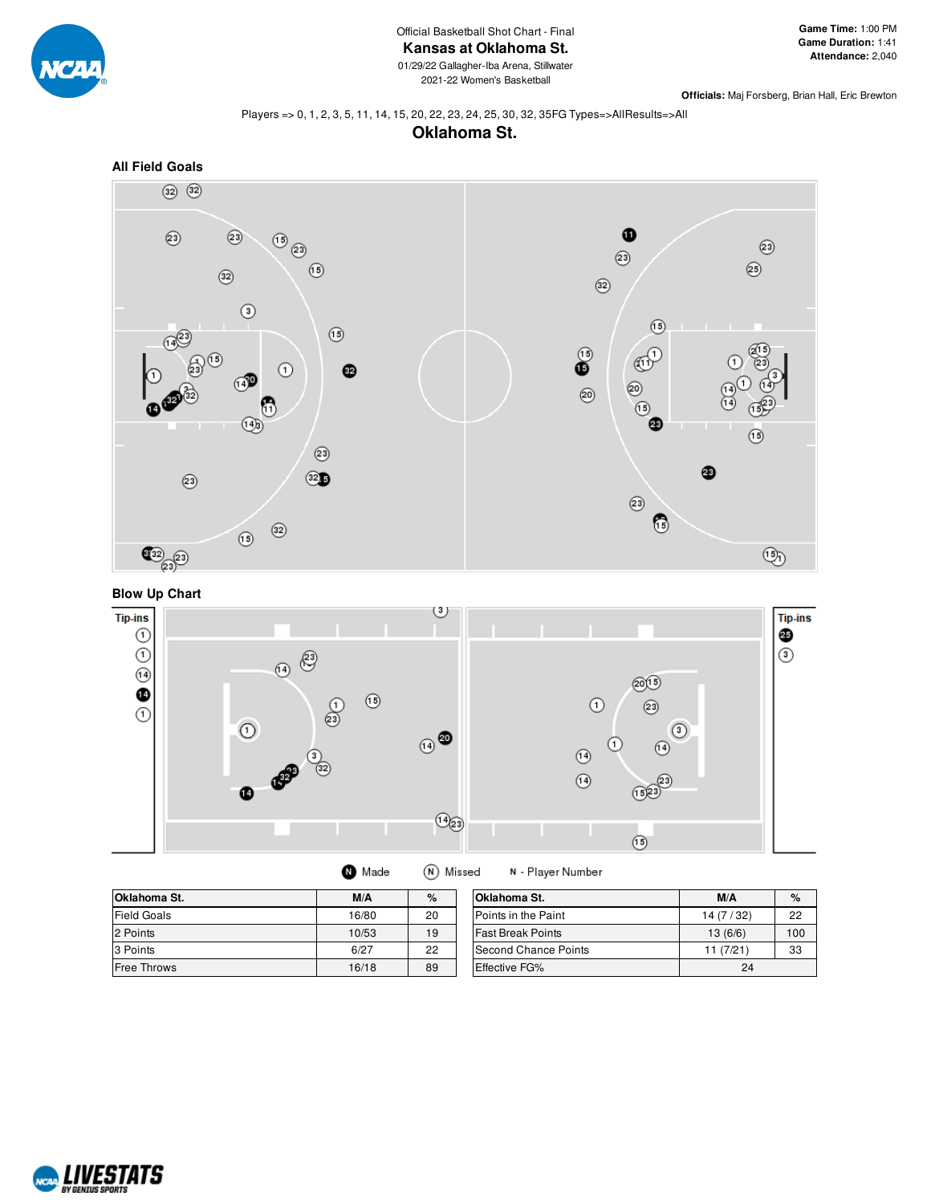

**Officials:** Maj Forsberg, Brian Hall, Eric Brewton

#### Players => 0, 1, 2, 3, 5, 11, 14, 15, 20, 22, 23, 24, 25, 30, 32, 35FG Types=>AllResults=>All









| Made | (N) Missed |
|------|------------|
|------|------------|

N - Player Number

| Oklahoma St.       | M/A   | $\%$ | <b>Oklahoma St.</b>         | M/A       | $\%$ |
|--------------------|-------|------|-----------------------------|-----------|------|
| <b>Field Goals</b> | 16/80 | 20   | Points in the Paint         | 14(7/32)  | 22   |
| 2 Points           | 10/53 | 19   | <b>Fast Break Points</b>    | 13(6/6)   | 100  |
| 3 Points           | 6/27  | 22   | <b>Second Chance Points</b> | 11 (7/21) | 33   |
| <b>Free Throws</b> | 16/18 | 89   | <b>Effective FG%</b>        | 24        |      |

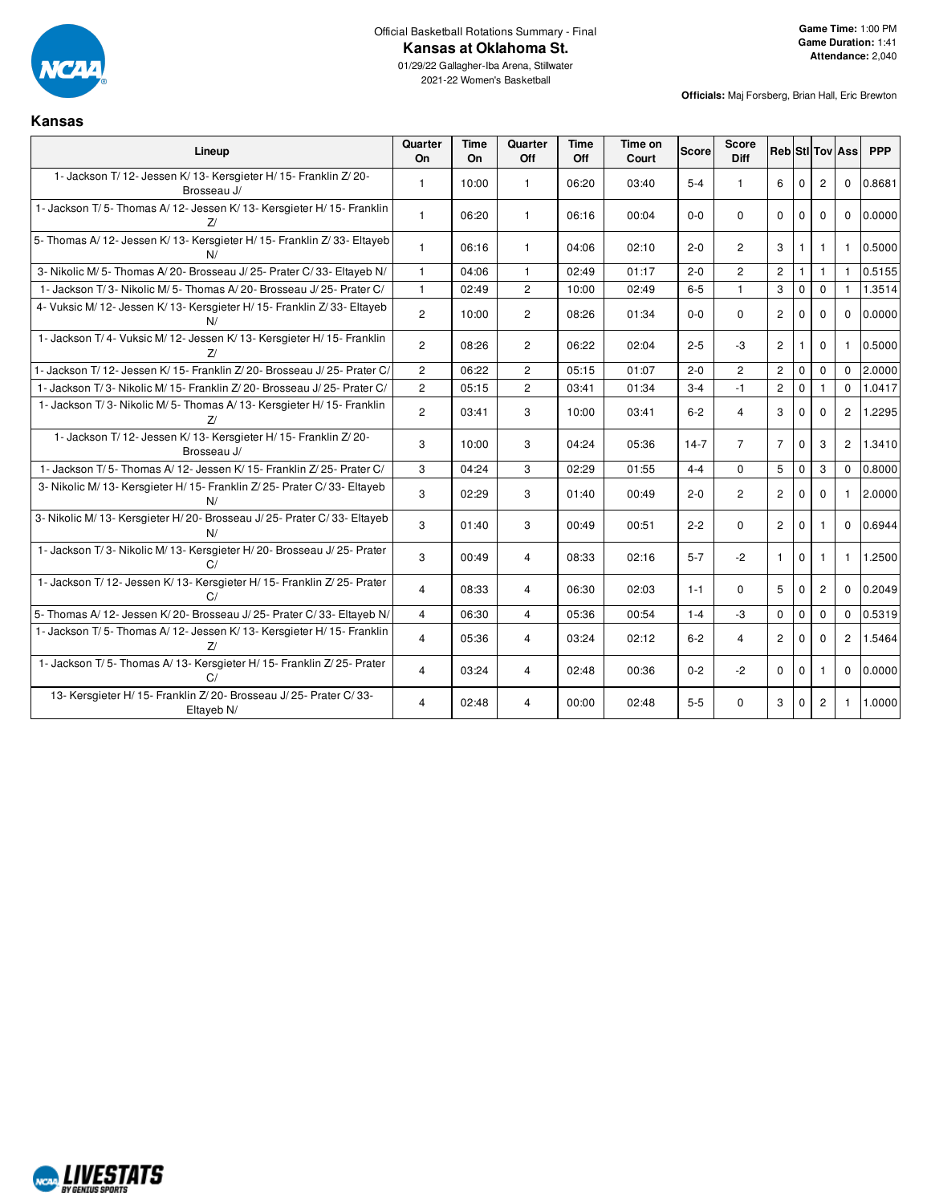

2021-22 Women's Basketball

**Officials:** Maj Forsberg, Brian Hall, Eric Brewton

#### **Kansas**

| Lineup                                                                                       | Quarter<br>On  | <b>Time</b><br><b>On</b> | Quarter<br>Off        | <b>Time</b><br>Off | Time on<br>Court | <b>Score</b> | <b>Score</b><br><b>Diff</b> |                      |              |                | <b>Reb</b> StIITovIAss | <b>PPP</b> |
|----------------------------------------------------------------------------------------------|----------------|--------------------------|-----------------------|--------------------|------------------|--------------|-----------------------------|----------------------|--------------|----------------|------------------------|------------|
| 1- Jackson T/ 12- Jessen K/ 13- Kersgieter H/ 15- Franklin Z/ 20-<br>Brosseau J/             | $\overline{1}$ | 10:00                    | $\mathbf{1}$          | 06:20              | 03:40            | $5-4$        | $\mathbf{1}$                | 6                    | $\Omega$     | $\overline{2}$ | $\mathbf 0$            | 0.8681     |
| 1- Jackson T/5- Thomas A/12- Jessen K/13- Kersgieter H/15- Franklin<br>7/                    | $\mathbf{1}$   | 06:20                    | $\mathbf{1}$          | 06:16              | 00:04            | $0-0$        | $\Omega$                    | $\Omega$             | $\Omega$     | $\Omega$       | $\Omega$               | 0.0000     |
| 5- Thomas A/ 12- Jessen K/ 13- Kersgieter H/ 15- Franklin Z/ 33- Eltayeb<br>N/               | $\overline{1}$ | 06:16                    | $\mathbf{1}$          | 04:06              | 02:10            | $2 - 0$      | $\overline{c}$              | 3                    |              | 1              | 1                      | 0.5000     |
| 3- Nikolic M/5- Thomas A/20- Brosseau J/25- Prater C/33- Eltayeb N/                          | $\mathbf{1}$   | 04:06                    | $\mathbf{1}$          | 02:49              | 01:17            | $2 - 0$      | $\overline{c}$              | $\overline{2}$       | $\mathbf{1}$ | $\mathbf{1}$   | $\mathbf{1}$           | 0.5155     |
| 1- Jackson T/3- Nikolic M/5- Thomas A/20- Brosseau J/25- Prater C/                           | $\mathbf{1}$   | 02:49                    | $\overline{2}$        | 10:00              | 02:49            | $6-5$        | $\mathbf{1}$                | 3                    | $\mathbf 0$  | $\mathbf 0$    | $\mathbf{1}$           | 1.3514     |
| 4- Vuksic M/ 12- Jessen K/ 13- Kersgieter H/ 15- Franklin Z/ 33- Eltayeb<br>N/               | $\overline{c}$ | 10:00                    | $\mathbf{2}^{\prime}$ | 08:26              | 01:34            | $0-0$        | $\mathbf 0$                 | $\mathbf{2}^{\circ}$ | $\mathbf 0$  | $\mathbf 0$    | $\Omega$               | 0.0000     |
| 1- Jackson T/4- Vuksic M/12- Jessen K/13- Kersgieter H/15- Franklin<br>7/                    | $\overline{c}$ | 08:26                    | $\overline{2}$        | 06:22              | 02:04            | $2 - 5$      | -3                          | $\overline{2}$       | 1            | $\mathbf 0$    | 1                      | 0.5000     |
| Jackson T/12- Jessen K/15- Franklin Z/20- Brosseau J/25- Prater C/                           | $\overline{c}$ | 06:22                    | $\overline{2}$        | 05:15              | 01:07            | $2 - 0$      | $\overline{2}$              | $\overline{c}$       | $\mathbf 0$  | $\Omega$       | $\Omega$               | 2.0000     |
| - Jackson T/3- Nikolic M/15- Franklin Z/20- Brosseau J/25- Prater C/                         | $\overline{c}$ | 05:15                    | $\overline{c}$        | 03:41              | 01:34            | $3 - 4$      | $-1$                        | $\overline{c}$       | $\mathbf 0$  | 1              | $\mathbf 0$            | 1.0417     |
| 1- Jackson T/3- Nikolic M/5- Thomas A/13- Kersgieter H/15- Franklin<br>7/                    | $\overline{c}$ | 03:41                    | 3                     | 10:00              | 03:41            | $6 - 2$      | $\overline{4}$              | 3                    | $\mathbf{0}$ | $\Omega$       | $\overline{2}$         | 1.2295     |
| 1- Jackson T/ 12- Jessen K/ 13- Kersgieter H/ 15- Franklin Z/ 20-<br>Brosseau J/             | 3              | 10:00                    | 3                     | 04:24              | 05:36            | $14 - 7$     | $\overline{7}$              | $\overline{7}$       | $\Omega$     | 3              | $\overline{2}$         | 1.3410     |
| 1- Jackson T/5- Thomas A/12- Jessen K/15- Franklin Z/25- Prater C/                           | 3              | 04:24                    | 3                     | 02:29              | 01:55            | $4 - 4$      | $\Omega$                    | 5                    | $\mathbf 0$  | 3              | $\Omega$               | 0.8000     |
| 3- Nikolic M/ 13- Kersgieter H/ 15- Franklin Z/ 25- Prater C/ 33- Eltayeb<br>N/              | 3              | 02:29                    | 3                     | 01:40              | 00:49            | $2 - 0$      | $\overline{2}$              | $\overline{2}$       | $\Omega$     | $\Omega$       | $\mathbf{1}$           | 2.0000     |
| 3- Nikolic M/ 13- Kersgieter H/ 20- Brosseau J/ 25- Prater C/ 33- Eltayeb                    | 3              | 01:40                    | 3                     | 00:49              | 00:51            | $2 - 2$      | $\Omega$                    | $\overline{2}$       | $\mathbf{0}$ | 1              | $\Omega$               | 0.6944     |
| 1- Jackson T/3- Nikolic M/13- Kersgieter H/20- Brosseau J/25- Prater<br>C/                   | 3              | 00:49                    | 4                     | 08:33              | 02:16            | $5 - 7$      | $-2$                        | $\mathbf{1}$         | $\mathbf 0$  | 1              | $\mathbf{1}$           | 1.2500     |
| 1- Jackson T/ 12- Jessen K/ 13- Kersgieter H/ 15- Franklin Z/ 25- Prater<br>C/               | $\overline{4}$ | 08:33                    | 4                     | 06:30              | 02:03            | $1 - 1$      | $\Omega$                    | 5                    | $\mathbf 0$  | $\overline{2}$ | $\Omega$               | 0.2049     |
| 5- Thomas A/ 12- Jessen K/ 20- Brosseau J/ 25- Prater C/ 33- Eltayeb N/                      | $\overline{4}$ | 06:30                    | $\overline{4}$        | 05:36              | 00:54            | $1 - 4$      | -3                          | $\mathbf 0$          | $\Omega$     | $\Omega$       | $\Omega$               | 0.5319     |
| 1- Jackson T/5- Thomas A/12- Jessen K/13- Kersgieter H/15- Franklin<br>7/                    | $\overline{4}$ | 05:36                    | $\overline{4}$        | 03:24              | 02:12            | $6 - 2$      | $\overline{4}$              | $\mathbf{2}$         | $\Omega$     | $\Omega$       | $\overline{2}$         | 1.5464     |
| 1- Jackson T/5- Thomas A/13- Kersgieter H/15- Franklin Z/25- Prater<br>C/                    | $\overline{4}$ | 03:24                    | 4                     | 02:48              | 00:36            | $0 - 2$      | $-2$                        | $\mathbf 0$          | $\mathbf 0$  | 1              | $\mathbf 0$            | 0.0000     |
| 13- Kersgieter H/ 15- Franklin Z/ 20- Brosseau J/ 25- Prater C/ 33-<br>Eltayeb <sub>N/</sub> | 4              | 02:48                    | 4                     | 00:00              | 02:48            | $5-5$        | $\Omega$                    | 3                    | $\mathbf 0$  | 2              | $\mathbf{1}$           | 1.0000     |

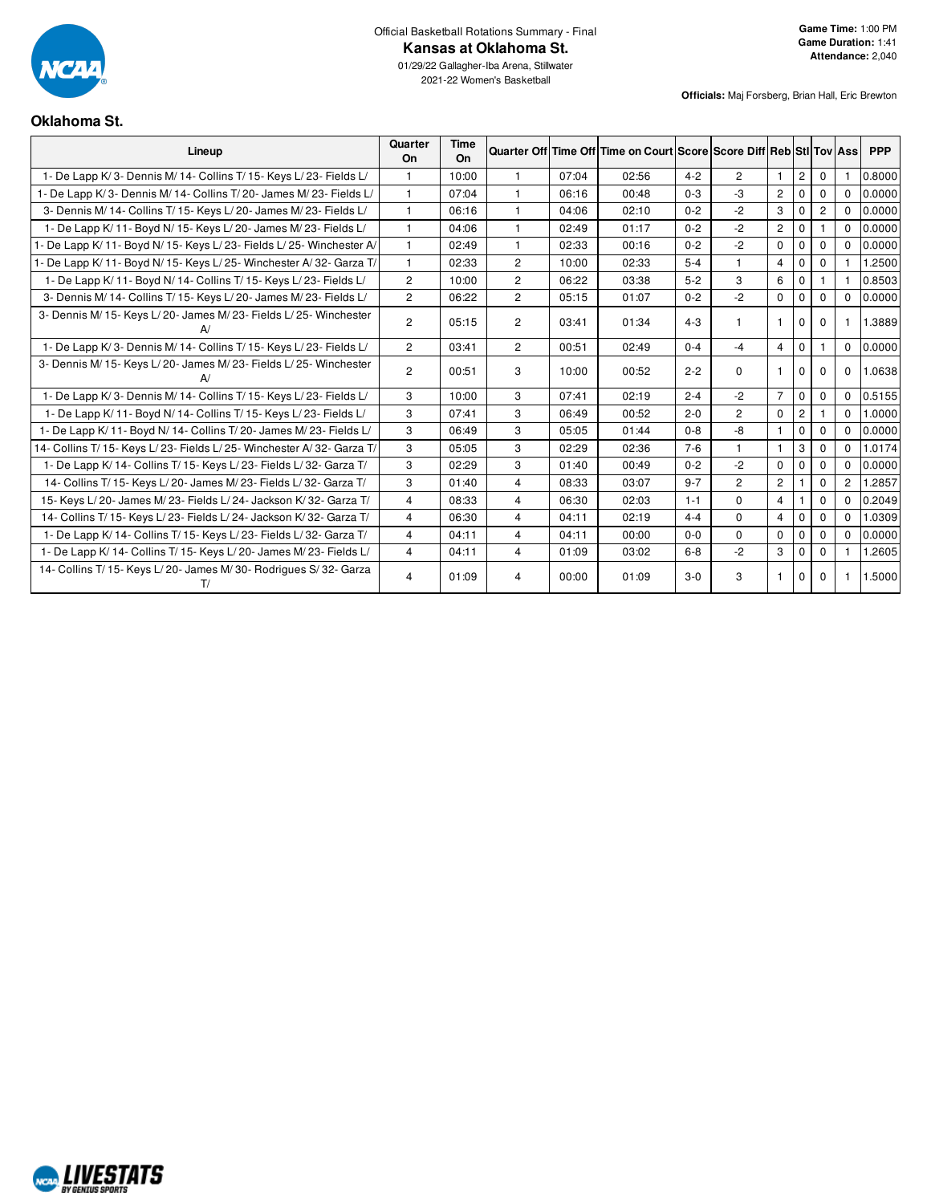

2021-22 Women's Basketball

#### **Officials:** Maj Forsberg, Brian Hall, Eric Brewton

#### **Oklahoma St.**

| Lineup                                                                  | Quarter<br><b>On</b> | Time<br>On |                |       | Quarter Off Time Off Time on Court Score Score Diff Reb Stil Tov Ass |         |                |                |                |             |                | <b>PPP</b> |
|-------------------------------------------------------------------------|----------------------|------------|----------------|-------|----------------------------------------------------------------------|---------|----------------|----------------|----------------|-------------|----------------|------------|
| 1- De Lapp K/3- Dennis M/14- Collins T/15- Keys L/23- Fields L/         | 1                    | 10:00      |                | 07:04 | 02:56                                                                | $4 - 2$ | $\overline{c}$ | $\mathbf{1}$   | $\overline{c}$ | $\Omega$    |                | 0.8000     |
| 1- De Lapp K/3- Dennis M/14- Collins T/20- James M/23- Fields L/        | $\mathbf{1}$         | 07:04      |                | 06:16 | 00:48                                                                | $0 - 3$ | -3             | $\overline{2}$ | $\mathbf 0$    | 0           | $\Omega$       | 0.0000     |
| 3- Dennis M/ 14- Collins T/ 15- Keys L/ 20- James M/ 23- Fields L/      | 1                    | 06:16      |                | 04:06 | 02:10                                                                | $0 - 2$ | $-2$           | 3              | $\Omega$       | 2           | $\Omega$       | 0.0000     |
| 1- De Lapp K/ 11- Boyd N/ 15- Keys L/ 20- James M/ 23- Fields L/        | 1                    | 04:06      |                | 02:49 | 01:17                                                                | $0 - 2$ | $-2$           | $\overline{2}$ | $\Omega$       |             | $\Omega$       | 0.0000     |
| 1- De Lapp K/ 11- Boyd N/ 15- Keys L/ 23- Fields L/ 25- Winchester A/   | 1                    | 02:49      |                | 02:33 | 00:16                                                                | $0 - 2$ | $-2$           | $\mathbf 0$    | $\mathbf 0$    | $\Omega$    | $\Omega$       | 0.0000     |
| 1- De Lapp K/ 11- Boyd N/ 15- Keys L/ 25- Winchester A/ 32- Garza T/    | $\mathbf{1}$         | 02:33      | $\overline{2}$ | 10:00 | 02:33                                                                | $5 - 4$ |                | $\overline{4}$ | $\mathbf 0$    | $\Omega$    |                | 1.2500     |
| 1- De Lapp K/ 11- Boyd N/ 14- Collins T/ 15- Keys L/ 23- Fields L/      | $\overline{2}$       | 10:00      | $\overline{2}$ | 06:22 | 03:38                                                                | $5 - 2$ | 3              | 6              | $\mathbf 0$    |             |                | 0.8503     |
| 3- Dennis M/ 14- Collins T/ 15- Keys L/ 20- James M/ 23- Fields L/      | $\overline{2}$       | 06:22      | $\overline{c}$ | 05:15 | 01:07                                                                | $0 - 2$ | $-2$           | $\mathbf 0$    | $\mathbf 0$    | $\Omega$    | $\Omega$       | 0.0000     |
| 3- Dennis M/ 15- Keys L/ 20- James M/ 23- Fields L/ 25- Winchester      | $\overline{c}$       | 05:15      | $\overline{c}$ | 03:41 | 01:34                                                                | $4 - 3$ |                | -1             | 0              | 0           |                | 1.3889     |
| 1- De Lapp K/3- Dennis M/14- Collins T/15- Keys L/23- Fields L/         | $\overline{2}$       | 03:41      | $\overline{2}$ | 00:51 | 02:49                                                                | $0 - 4$ | $-4$           | $\overline{4}$ | $\mathbf 0$    | 1.          | $\mathbf 0$    | 0.0000     |
| 3- Dennis M/ 15- Keys L/ 20- James M/ 23- Fields L/ 25- Winchester      | $\overline{2}$       | 00:51      | 3              | 10:00 | 00:52                                                                | $2 - 2$ | $\Omega$       | -1             | 0              | $\Omega$    | $\mathbf 0$    | 1.0638     |
| 1- De Lapp K/3- Dennis M/14- Collins T/15- Keys L/23- Fields L/         | 3                    | 10:00      | 3              | 07:41 | 02:19                                                                | $2 - 4$ | $-2$           | $\overline{7}$ | $\mathbf 0$    | $\Omega$    | $\Omega$       | 0.5155     |
| 1- De Lapp K/11- Boyd N/14- Collins T/15- Keys L/23- Fields L/          | 3                    | 07:41      | 3              | 06:49 | 00:52                                                                | $2 - 0$ | $\overline{2}$ | $\mathbf 0$    | $\overline{c}$ |             | $\Omega$       | 1.0000     |
| 1- De Lapp K/ 11- Boyd N/ 14- Collins T/ 20- James M/ 23- Fields L/     | 3                    | 06:49      | 3              | 05:05 | 01:44                                                                | $0 - 8$ | -8             | $\mathbf{1}$   | $\mathbf 0$    | $\Omega$    | $\Omega$       | 0.0000     |
| 14- Collins T/ 15- Keys L/ 23- Fields L/ 25- Winchester A/ 32- Garza T/ | 3                    | 05:05      | 3              | 02:29 | 02:36                                                                | $7 - 6$ |                | $\mathbf{1}$   | 3              | $\Omega$    | $\Omega$       | 1.0174     |
| 1- De Lapp K/ 14- Collins T/ 15- Keys L/ 23- Fields L/ 32- Garza T/     | 3                    | 02:29      | 3              | 01:40 | 00:49                                                                | $0 - 2$ | $-2$           | $\mathbf 0$    | $\mathbf 0$    | $\Omega$    | 0              | 0.0000     |
| 14- Collins T/ 15- Keys L/ 20- James M/ 23- Fields L/ 32- Garza T/      | 3                    | 01:40      | 4              | 08:33 | 03:07                                                                | $9 - 7$ | $\overline{2}$ | $\overline{c}$ |                | $\Omega$    | $\overline{2}$ | 1.2857     |
| 15- Keys L/20- James M/23- Fields L/24- Jackson K/32- Garza T/          | $\overline{4}$       | 08:33      | 4              | 06:30 | 02:03                                                                | $1 - 1$ | $\Omega$       | $\overline{4}$ | $\mathbf{1}$   | $\mathbf 0$ | $\Omega$       | 0.2049     |
| 14- Collins T/ 15- Keys L/ 23- Fields L/ 24- Jackson K/ 32- Garza T/    | $\overline{4}$       | 06:30      | $\overline{4}$ | 04:11 | 02:19                                                                | $4 - 4$ | $\Omega$       | $\overline{4}$ | $\mathbf 0$    | $\Omega$    | $\Omega$       | 1.0309     |
| 1- De Lapp K/ 14- Collins T/ 15- Keys L/ 23- Fields L/ 32- Garza T/     | 4                    | 04:11      | $\overline{4}$ | 04:11 | 00:00                                                                | $0 - 0$ | $\mathbf 0$    | 0              | $\mathbf 0$    | $\Omega$    | $\Omega$       | 0.0000     |
| 1- De Lapp K/ 14- Collins T/ 15- Keys L/ 20- James M/ 23- Fields L/     | $\overline{4}$       | 04:11      | 4              | 01:09 | 03:02                                                                | $6 - 8$ | $-2$           | 3              | $\Omega$       | $\Omega$    |                | 1.2605     |
| 14- Collins T/ 15- Keys L/ 20- James M/ 30- Rodrigues S/ 32- Garza      | 4                    | 01:09      | 4              | 00:00 | 01:09                                                                | $3-0$   | 3              |                | $\Omega$       | 0           |                | 1.5000     |

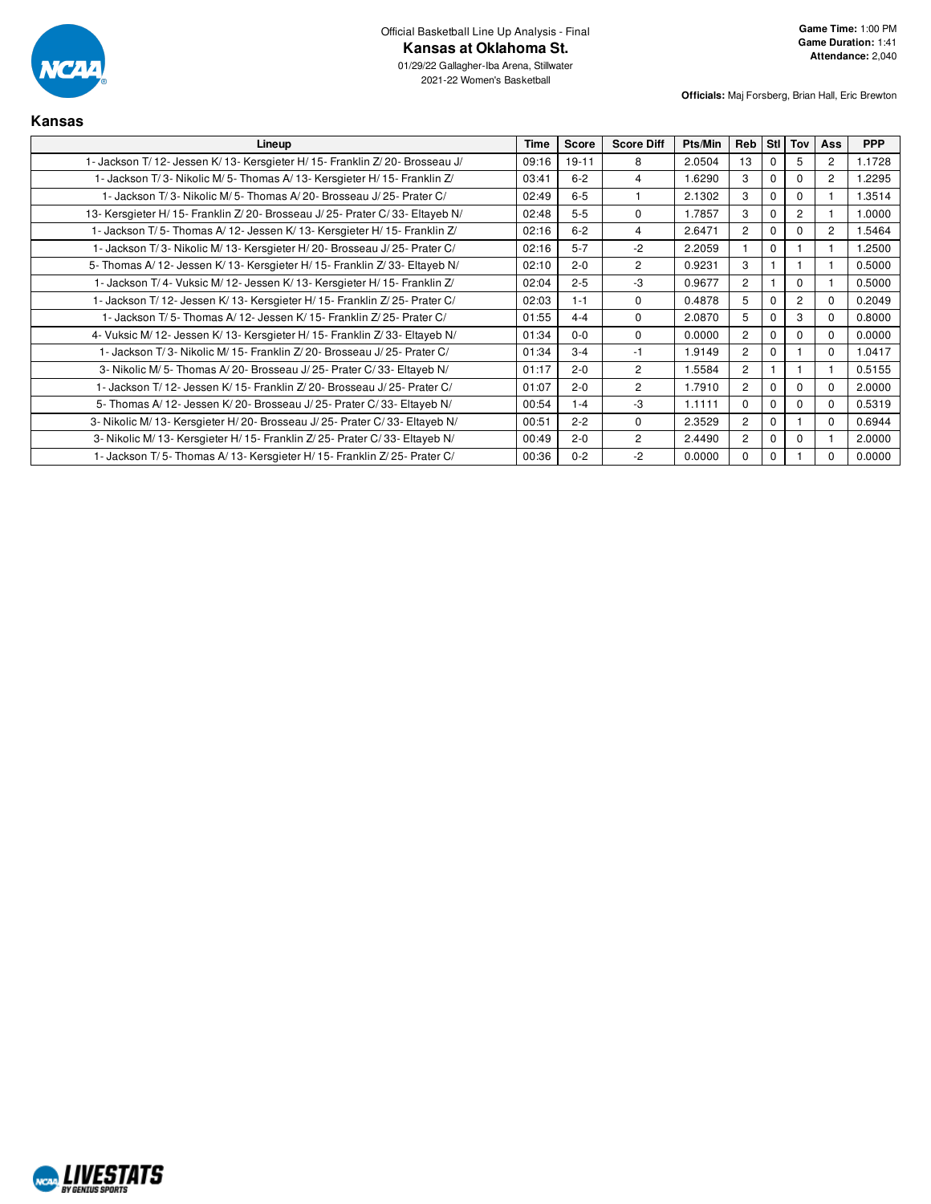

01/29/22 Gallagher-Iba Arena, Stillwater 2021-22 Women's Basketball

| <b>Kansas</b>                                                                  |             |              |                   |         |          |              |                |                       |            |
|--------------------------------------------------------------------------------|-------------|--------------|-------------------|---------|----------|--------------|----------------|-----------------------|------------|
| Lineup                                                                         | <b>Time</b> | <b>Score</b> | <b>Score Diff</b> | Pts/Min | Reb      | Stl          | Tov            | <b>Ass</b>            | <b>PPP</b> |
| 1- Jackson T/ 12- Jessen K/ 13- Kersgieter H/ 15- Franklin Z/ 20- Brosseau J/  | 09:16       | $19 - 11$    | 8                 | 2.0504  | 13       | <sup>0</sup> | 5              | $\mathbf{2}^{\prime}$ | 1.1728     |
| 1- Jackson T/3- Nikolic M/5- Thomas A/13- Kersgieter H/15- Franklin Z/         | 03:41       | $6 - 2$      | 4                 | 1.6290  | 3        | <sup>0</sup> | $\Omega$       | $\overline{2}$        | 1.2295     |
| 1- Jackson T/3- Nikolic M/5- Thomas A/20- Brosseau J/25- Prater C/             | 02:49       | $6 - 5$      |                   | 2.1302  | 3        | $\Omega$     | $\Omega$       |                       | 1.3514     |
| 13- Kersgieter H/ 15- Franklin Z/ 20- Brosseau J/ 25- Prater C/ 33- Eltayeb N/ | 02:48       | $5-5$        | $\Omega$          | 1.7857  | 3        |              | $\overline{2}$ |                       | .0000      |
| 1- Jackson T/5- Thomas A/12- Jessen K/13- Kersgieter H/15- Franklin Z/         | 02:16       | $6 - 2$      | 4                 | 2.6471  | 2        |              | $\Omega$       | $\overline{2}$        | 1.5464     |
| 1- Jackson T/3- Nikolic M/13- Kersgieter H/20- Brosseau J/25- Prater C/        | 02:16       | $5 - 7$      | $-2$              | 2.2059  |          | $\Omega$     |                |                       | 1.2500     |
| 5- Thomas A/ 12- Jessen K/ 13- Kersgieter H/ 15- Franklin Z/ 33- Eltayeb N/    | 02:10       | $2 - 0$      | $\overline{c}$    | 0.9231  | 3        |              |                |                       | 0.5000     |
| 1- Jackson T/4- Vuksic M/12- Jessen K/13- Kersgieter H/15- Franklin Z/         | 02:04       | $2 - 5$      | $-3$              | 0.9677  | 2        |              | $\Omega$       |                       | 0.5000     |
| 1- Jackson T/12- Jessen K/13- Kersgieter H/15- Franklin Z/25- Prater C/        | 02:03       | $1 - 1$      | $\Omega$          | 0.4878  | 5        |              | $\overline{2}$ | $\Omega$              | 0.2049     |
| 1- Jackson T/5- Thomas A/12- Jessen K/15- Franklin Z/25- Prater C/             | 01:55       | $4 - 4$      | 0                 | 2.0870  | 5        |              | 3              | $\Omega$              | 0.8000     |
| 4- Vuksic M/ 12- Jessen K/ 13- Kersgieter H/ 15- Franklin Z/ 33- Eltayeb N/    | 01:34       | $0 - 0$      | $\Omega$          | 0.0000  | 2        | n            | $\Omega$       | $\Omega$              | 0.0000     |
| 1- Jackson T/3- Nikolic M/15- Franklin Z/20- Brosseau J/25- Prater C/          | 01:34       | $3 - 4$      | $-1$              | 1.9149  | 2        | <sup>0</sup> |                | $\Omega$              | 1.0417     |
| 3- Nikolic M/5- Thomas A/20- Brosseau J/25- Prater C/33- Eltayeb N/            | 01:17       | $2 - 0$      | $\overline{2}$    | .5584   | 2        |              |                |                       | 0.5155     |
| 1- Jackson T/ 12- Jessen K/ 15- Franklin Z/ 20- Brosseau J/ 25- Prater C/      | 01:07       | $2 - 0$      | $\overline{2}$    | 1.7910  | 2        | n            | $\Omega$       | $\Omega$              | 2.0000     |
| 5- Thomas A/12- Jessen K/20- Brosseau J/25- Prater C/33- Eltayeb N/            | 00:54       | $1 - 4$      | $-3$              | 1.1111  | $\Omega$ | $\Omega$     | $\Omega$       | $\Omega$              | 0.5319     |
| 3- Nikolic M/ 13- Kersgieter H/ 20- Brosseau J/ 25- Prater C/ 33- Eltayeb N/   | 00:51       | $2 - 2$      | $\Omega$          | 2.3529  | 2        | $\Omega$     |                | $\Omega$              | 0.6944     |
| 3- Nikolic M/ 13- Kersgieter H/ 15- Franklin Z/ 25- Prater C/ 33- Eltayeb N/   | 00:49       | $2 - 0$      | $\overline{2}$    | 2.4490  | 2        |              | $\Omega$       |                       | 2.0000     |
| 1- Jackson T/5- Thomas A/13- Kersgieter H/15- Franklin Z/25- Prater C/         | 00:36       | $0 - 2$      | $-2$              | 0.0000  | $\Omega$ | $\Omega$     |                |                       | 0.0000     |